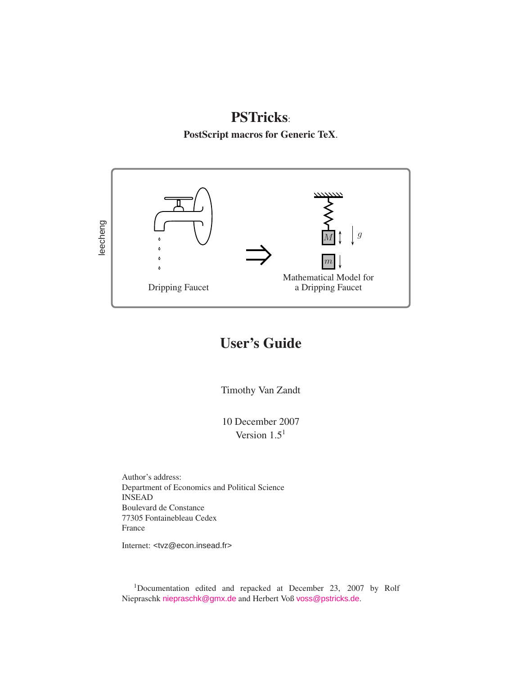# PSTricks:

PostScript macros for Generic TeX.



# User's Guide

Timothy Van Zandt

10 December 2007 Version  $1.5<sup>1</sup>$ 

Author's address: Department of Economics and Political Science INSEAD Boulevard de Constance 77305 Fontainebleau Cedex France

Internet: <tvz@econ.insead.fr>

<sup>1</sup>Documentation edited and repacked at December 23, 2007 by Rolf Niepraschk <niepraschk@gmx.de> and Herbert Voß <voss@pstricks.de>.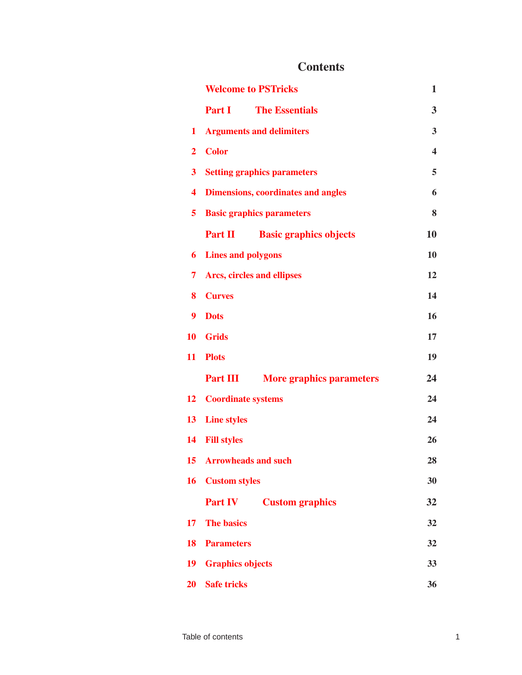## **Contents**

|                | <b>Welcome to PSTricks</b>                         | 1                       |
|----------------|----------------------------------------------------|-------------------------|
|                | Part I<br><b>The Essentials</b>                    | 3                       |
| 1              | <b>Arguments and delimiters</b>                    | 3                       |
| $\overline{2}$ | <b>Color</b>                                       | $\overline{\mathbf{4}}$ |
| 3              | <b>Setting graphics parameters</b>                 | 5                       |
| 4              | <b>Dimensions, coordinates and angles</b>          | 6                       |
| 5              | <b>Basic graphics parameters</b>                   | 8                       |
|                | Part II<br><b>Basic graphics objects</b>           | 10                      |
| 6              | <b>Lines and polygons</b>                          | 10                      |
| 7              | <b>Arcs, circles and ellipses</b>                  | 12                      |
| 8              | <b>Curves</b>                                      | 14                      |
| 9              | <b>Dots</b>                                        | 16                      |
| 10             | <b>Grids</b>                                       | 17                      |
| 11             | <b>Plots</b>                                       | 19                      |
|                | <b>Part III</b><br><b>More graphics parameters</b> | 24                      |
| 12             | <b>Coordinate systems</b>                          | 24                      |
| 13             | <b>Line styles</b>                                 | 24                      |
| 14             | <b>Fill styles</b>                                 | 26                      |
| 15             | <b>Arrowheads and such</b>                         | 28                      |
| 16             | <b>Custom styles</b>                               | 30                      |
|                | <b>Part IV</b><br><b>Custom graphics</b>           | 32                      |
| 17             | <b>The basics</b>                                  | 32                      |
| 18             | <b>Parameters</b>                                  | 32                      |
| 19             | <b>Graphics objects</b>                            | 33                      |
| 20             | <b>Safe tricks</b>                                 | 36                      |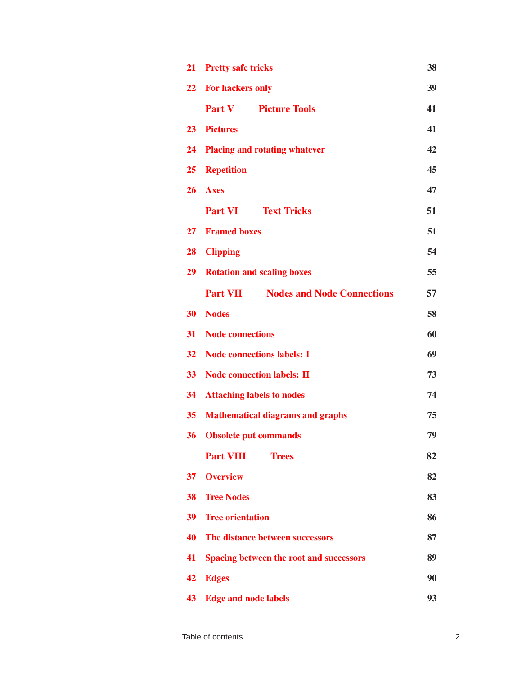| 21              | <b>Pretty safe tricks</b><br>38                      |    |  |  |  |  |
|-----------------|------------------------------------------------------|----|--|--|--|--|
|                 | 22 For hackers only                                  | 39 |  |  |  |  |
|                 | <b>Part V</b><br><b>Picture Tools</b>                | 41 |  |  |  |  |
| 23              | <b>Pictures</b>                                      | 41 |  |  |  |  |
| 24              | <b>Placing and rotating whatever</b>                 | 42 |  |  |  |  |
| 25              | <b>Repetition</b>                                    | 45 |  |  |  |  |
| 26              | <b>Axes</b>                                          | 47 |  |  |  |  |
|                 | <b>Part VI</b><br><b>Text Tricks</b>                 | 51 |  |  |  |  |
| $27\,$          | <b>Framed boxes</b>                                  | 51 |  |  |  |  |
| 28              | <b>Clipping</b>                                      | 54 |  |  |  |  |
|                 | <b>29</b> Rotation and scaling boxes                 | 55 |  |  |  |  |
|                 | <b>Part VII</b><br><b>Nodes and Node Connections</b> | 57 |  |  |  |  |
| 30              | <b>Nodes</b>                                         | 58 |  |  |  |  |
| 31              | Node connections                                     | 60 |  |  |  |  |
|                 | 32 Node connections labels: I                        | 69 |  |  |  |  |
| 33 <sup>°</sup> | <b>Node connection labels: II</b>                    | 73 |  |  |  |  |
| 34              | <b>Attaching labels to nodes</b>                     | 74 |  |  |  |  |
| 35 <sup>7</sup> | <b>Mathematical diagrams and graphs</b>              | 75 |  |  |  |  |
| 36              | <b>Obsolete put commands</b>                         | 79 |  |  |  |  |
|                 | <b>Part VIII</b><br><b>Trees</b>                     | 82 |  |  |  |  |
| 37              | <b>Overview</b>                                      | 82 |  |  |  |  |
| 38              | <b>Tree Nodes</b>                                    | 83 |  |  |  |  |
| 39              | <b>Tree orientation</b>                              | 86 |  |  |  |  |
| 40              | The distance between successors                      | 87 |  |  |  |  |
| 41              | <b>Spacing between the root and successors</b>       | 89 |  |  |  |  |
| 42              | <b>Edges</b>                                         | 90 |  |  |  |  |
| 43              | <b>Edge and node labels</b>                          | 93 |  |  |  |  |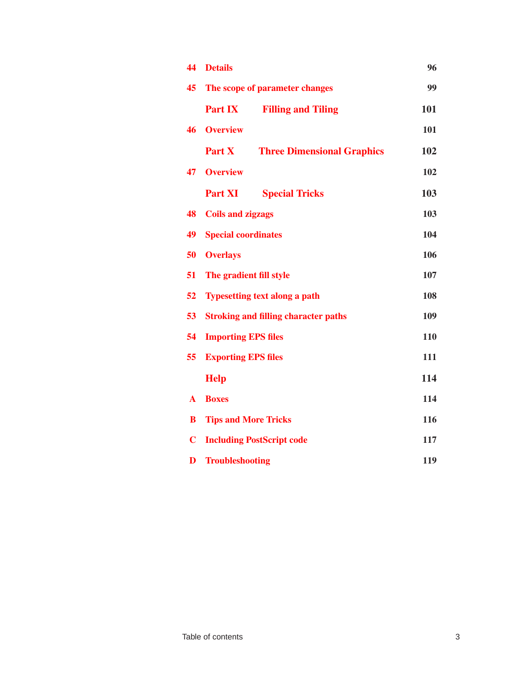| 44           | <b>Details</b>                                     | 96  |  |  |  |  |  |
|--------------|----------------------------------------------------|-----|--|--|--|--|--|
| 45           | The scope of parameter changes                     | 99  |  |  |  |  |  |
|              | <b>Part IX</b><br><b>Filling and Tiling</b>        | 101 |  |  |  |  |  |
| 46           | <b>Overview</b>                                    | 101 |  |  |  |  |  |
|              | <b>Three Dimensional Graphics</b><br><b>Part X</b> | 102 |  |  |  |  |  |
| 47           | <b>Overview</b>                                    | 102 |  |  |  |  |  |
|              | <b>Part XI</b><br><b>Special Tricks</b>            | 103 |  |  |  |  |  |
| 48           | <b>Coils and zigzags</b>                           | 103 |  |  |  |  |  |
| 49           | <b>Special coordinates</b>                         | 104 |  |  |  |  |  |
| 50           | <b>Overlays</b>                                    | 106 |  |  |  |  |  |
| 51           | The gradient fill style                            | 107 |  |  |  |  |  |
| 52           | <b>Typesetting text along a path</b>               |     |  |  |  |  |  |
| 53           | <b>Stroking and filling character paths</b><br>109 |     |  |  |  |  |  |
| 54           | <b>Importing EPS files</b>                         | 110 |  |  |  |  |  |
| 55           | <b>Exporting EPS files</b>                         | 111 |  |  |  |  |  |
|              | <b>Help</b>                                        | 114 |  |  |  |  |  |
| $\mathbf{A}$ | <b>Boxes</b>                                       | 114 |  |  |  |  |  |
| B            | <b>Tips and More Tricks</b>                        | 116 |  |  |  |  |  |
| $\mathbf C$  | <b>Including PostScript code</b>                   | 117 |  |  |  |  |  |
| D            | <b>Troubleshooting</b>                             | 119 |  |  |  |  |  |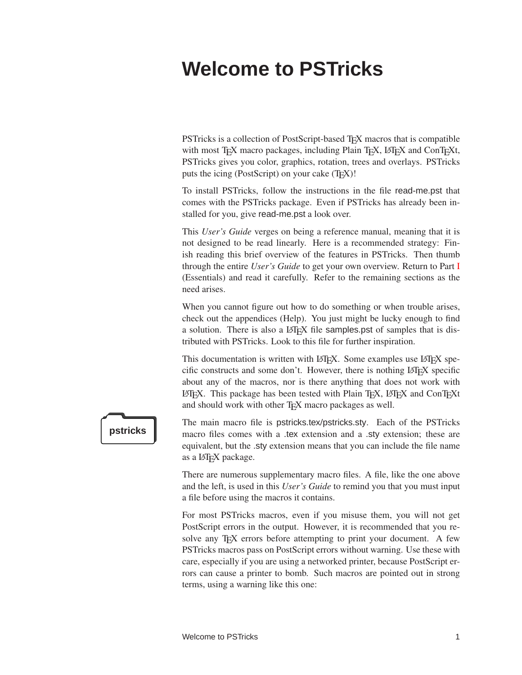# <span id="page-4-0"></span>**Welcome to PSTricks**

PSTricks is a collection of PostScript-based T<sub>EX</sub> macros that is compatible with most TEX macro packages, including Plain TEX, LATEX and ConTEXt, PSTricks gives you color, graphics, rotation, trees and overlays. PSTricks puts the icing (PostScript) on your cake (T<sub>E</sub>X)!

To install PSTricks, follow the instructions in the file read-me.pst that comes with the PSTricks package. Even if PSTricks has already been installed for you, give read-me.pst a look over.

This *User's Guide* verges on being a reference manual, meaning that it is not designed to be read linearly. Here is a recommended strategy: Finish reading this brief overview of the features in PSTricks. Then thumb through the entire *User's Guide* to get your own overview. Return to Part [I](#page-6-0) (Essentials) and read it carefully. Refer to the remaining sections as the need arises.

When you cannot figure out how to do something or when trouble arises, check out the appendices (Help). You just might be lucky enough to find a solution. There is also a LAT<sub>E</sub>X file samples.pst of samples that is distributed with PSTricks. Look to this file for further inspiration.

This documentation is written with LAT<sub>EX</sub>. Some examples use LAT<sub>EX</sub> specific constructs and some don't. However, there is nothing LATEX specific about any of the macros, nor is there anything that does not work with LATEX. This package has been tested with Plain TEX, LATEX and ConTEXt and should work with other T<sub>E</sub>X macro packages as well.



The main macro file is pstricks.tex/pstricks.sty. Each of the PSTricks **pstricks** macro files comes with a .tex extension and a .sty extension; these are equivalent, but the .sty extension means that you can include the file name as a L<sup>AT</sup><sub>E</sub>X package.

> There are numerous supplementary macro files. A file, like the one above and the left, is used in this *User's Guide* to remind you that you must input a file before using the macros it contains.

> For most PSTricks macros, even if you misuse them, you will not get PostScript errors in the output. However, it is recommended that you resolve any T<sub>E</sub>X errors before attempting to print your document. A few PSTricks macros pass on PostScript errors without warning. Use these with care, especially if you are using a networked printer, because PostScript errors can cause a printer to bomb. Such macros are pointed out in strong terms, using a warning like this one: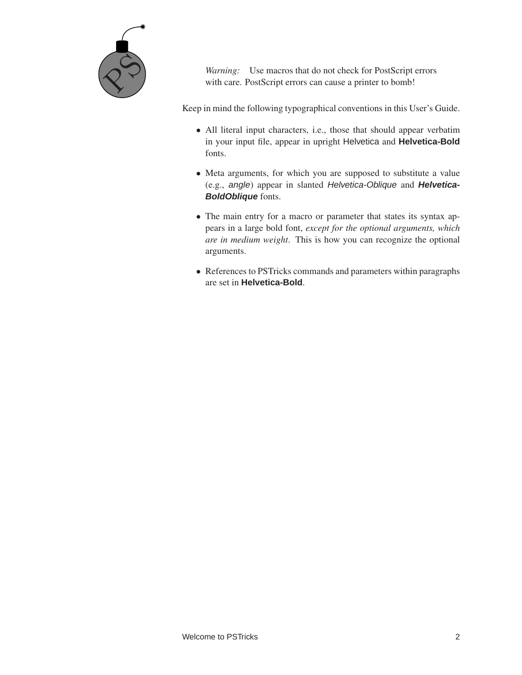

*Warning:* Use macros that do not check for PostScript errors with care. PostScript errors can cause a printer to bomb!

Keep in mind the following typographical conventions in this User's Guide.

- All literal input characters, i.e., those that should appear verbatim in your input file, appear in upright Helvetica and **Helvetica-Bold** fonts.
- Meta arguments, for which you are supposed to substitute a value (e.g., angle) appear in slanted Helvetica-Oblique and **Helvetica-BoldOblique** fonts.
- The main entry for a macro or parameter that states its syntax appears in a large bold font, *except for the optional arguments, which are in medium weight*. This is how you can recognize the optional arguments.
- References to PSTricks commands and parameters within paragraphs are set in **Helvetica-Bold**.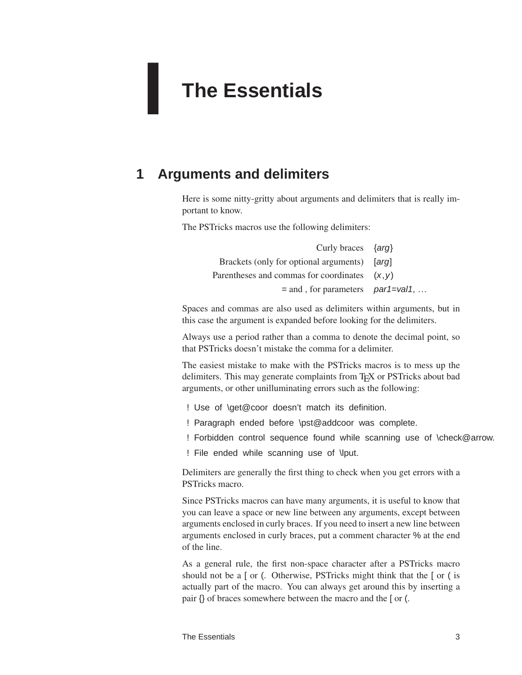# <span id="page-6-0"></span>**The Essentials**

# **1 Arguments and delimiters**

**I**

<span id="page-6-1"></span>Here is some nitty-gritty about arguments and delimiters that is really important to know.

The PSTricks macros use the following delimiters:

| Curly braces $\{arg\}$                          |  |
|-------------------------------------------------|--|
| Brackets (only for optional arguments) [arg]    |  |
| Parentheses and commas for coordinates $(x, y)$ |  |
| $=$ and , for parameters par1=val1,             |  |

Spaces and commas are also used as delimiters within arguments, but in this case the argument is expanded before looking for the delimiters.

Always use a period rather than a comma to denote the decimal point, so that PSTricks doesn't mistake the comma for a delimiter.

The easiest mistake to make with the PSTricks macros is to mess up the delimiters. This may generate complaints from T<sub>E</sub>X or PSTricks about bad arguments, or other unilluminating errors such as the following:

- ! Use of \get@coor doesn't match its definition.
- ! Paragraph ended before \pst@addcoor was complete.
- ! Forbidden control sequence found while scanning use of \check@arrow.
- ! File ended while scanning use of \lput.

Delimiters are generally the first thing to check when you get errors with a PSTricks macro.

Since PSTricks macros can have many arguments, it is useful to know that you can leave a space or new line between any arguments, except between arguments enclosed in curly braces. If you need to insert a new line between arguments enclosed in curly braces, put a comment character % at the end of the line.

As a general rule, the first non-space character after a PSTricks macro should not be a [ or (. Otherwise, PSTricks might think that the [ or ( is actually part of the macro. You can always get around this by inserting a pair {} of braces somewhere between the macro and the [ or (.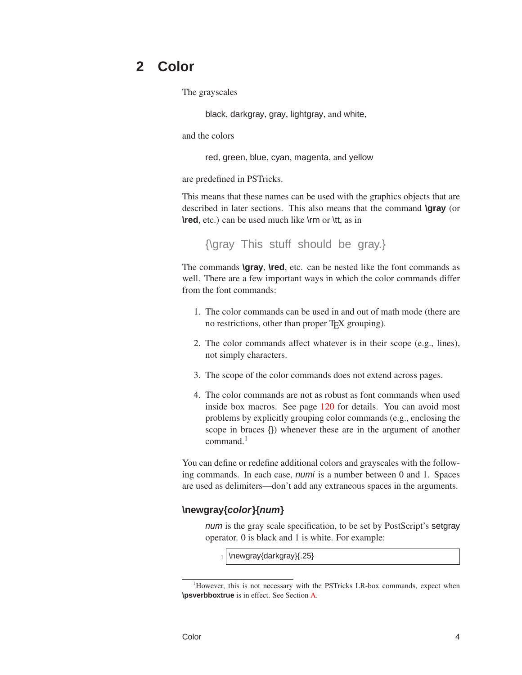# **2 Color**

<span id="page-7-0"></span>The grayscales

black, darkgray, gray, lightgray, and white,

and the colors

red, green, blue, cyan, magenta, and yellow

are predefined in PSTricks.

This means that these names can be used with the graphics objects that are described in later sections. This also means that the command **\gray** (or **\red**, etc.) can be used much like \rm or \tt, as in

{\gray This stuff should be gray.}

The commands **\gray**, **\red**, etc. can be nested like the font commands as well. There are a few important ways in which the color commands differ from the font commands:

- 1. The color commands can be used in and out of math mode (there are no restrictions, other than proper T<sub>E</sub>X grouping).
- 2. The color commands affect whatever is in their scope (e.g., lines), not simply characters.
- 3. The scope of the color commands does not extend across pages.
- 4. The color commands are not as robust as font commands when used inside box macros. See page [120](#page-123-0) for details. You can avoid most problems by explicitly grouping color commands (e.g., enclosing the scope in braces {}) whenever these are in the argument of another command.<sup>1</sup>

You can define or redefine additional colors and grayscales with the following commands. In each case, numi is a number between 0 and 1. Spaces are used as delimiters—don't add any extraneous spaces in the arguments.

#### **\newgray{color}{num}**

num is the gray scale specification, to be set by PostScript's setgray operator. 0 is black and 1 is white. For example:

\newgray{darkgray}{.25}

<sup>&</sup>lt;sup>1</sup>However, this is not necessary with the PSTricks LR-box commands, expect when **\psverbboxtrue** is in effect. See Section [A.](#page-117-0)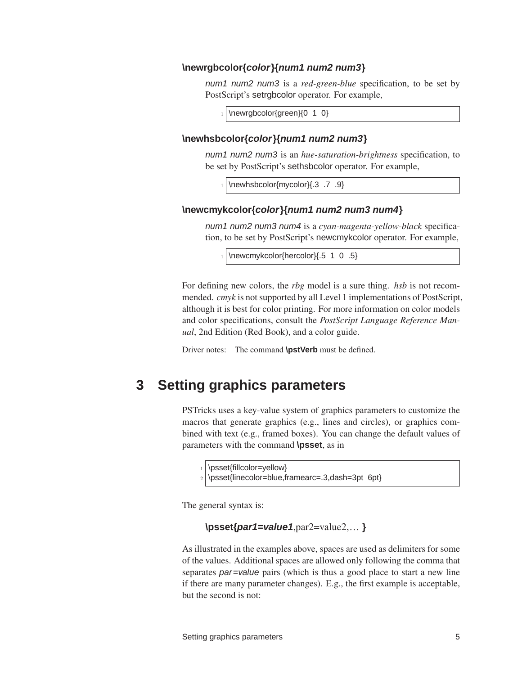#### **\newrgbcolor{color}{num1 num2 num3}**

num1 num2 num3 is a *red-green-blue* specification, to be set by PostScript's setrgbcolor operator. For example,

\newrgbcolor{green}{0 1 0}

#### **\newhsbcolor{color}{num1 num2 num3}**

num1 num2 num3 is an *hue-saturation-brightness* specification, to be set by PostScript's sethsbcolor operator. For example,

<sup>1</sup> \newhsbcolor{mycolor}{.3 .7 .9}

#### **\newcmykcolor{color}{num1 num2 num3 num4}**

num1 num2 num3 num4 is a *cyan-magenta-yellow-black* specification, to be set by PostScript's newcmykcolor operator. For example,

\newcmykcolor{hercolor}{.5 1 0 .5}

For defining new colors, the *rbg* model is a sure thing. *hsb* is not recommended. *cmyk* is not supported by all Level 1 implementations of PostScript, although it is best for color printing. For more information on color models and color specifications, consult the *PostScript Language Reference Manual*, 2nd Edition (Red Book), and a color guide.

<span id="page-8-0"></span>Driver notes: The command **\pstVerb** must be defined.

## **3 Setting graphics parameters**

PSTricks uses a key-value system of graphics parameters to customize the macros that generate graphics (e.g., lines and circles), or graphics combined with text (e.g., framed boxes). You can change the default values of parameters with the command **\psset**, as in

```
\psset{fillcolor=yellow}
```
\psset{linecolor=blue,framearc=.3,dash=3pt 6pt}

The general syntax is:

#### **\psset{par1=value1**,par2=value2,… **}**

As illustrated in the examples above, spaces are used as delimiters for some of the values. Additional spaces are allowed only following the comma that separates *par*=value pairs (which is thus a good place to start a new line if there are many parameter changes). E.g., the first example is acceptable, but the second is not: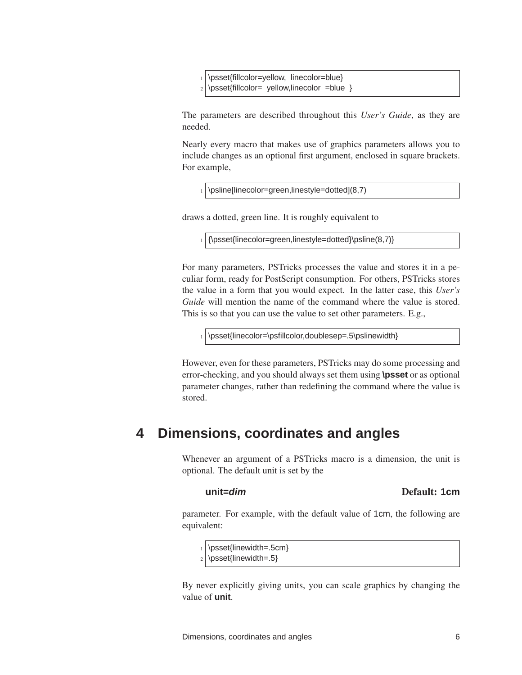\psset{fillcolor=yellow, linecolor=blue} \psset{fillcolor= yellow,linecolor =blue }

The parameters are described throughout this *User's Guide*, as they are needed.

Nearly every macro that makes use of graphics parameters allows you to include changes as an optional first argument, enclosed in square brackets. For example,

 $_1$  \psline[linecolor=green,linestyle=dotted](8,7)

draws a dotted, green line. It is roughly equivalent to

 $_1$  {\psset{linecolor=green,linestyle=dotted}\psline(8,7)}

For many parameters, PSTricks processes the value and stores it in a peculiar form, ready for PostScript consumption. For others, PSTricks stores the value in a form that you would expect. In the latter case, this *User's Guide* will mention the name of the command where the value is stored. This is so that you can use the value to set other parameters. E.g.,

1 \psset{linecolor=\psfillcolor,doublesep=.5\pslinewidth}

<span id="page-9-0"></span>However, even for these parameters, PSTricks may do some processing and error-checking, and you should always set them using **\psset** or as optional parameter changes, rather than redefining the command where the value is stored.

# **4 Dimensions, coordinates and angles**

Whenever an argument of a PSTricks macro is a dimension, the unit is optional. The default unit is set by the

## **unit=dim** Default: **1cm**

parameter. For example, with the default value of 1cm, the following are equivalent:

\psset{linewidth=.5cm}

 $_2$  \psset{linewidth=.5}

By never explicitly giving units, you can scale graphics by changing the value of **unit**.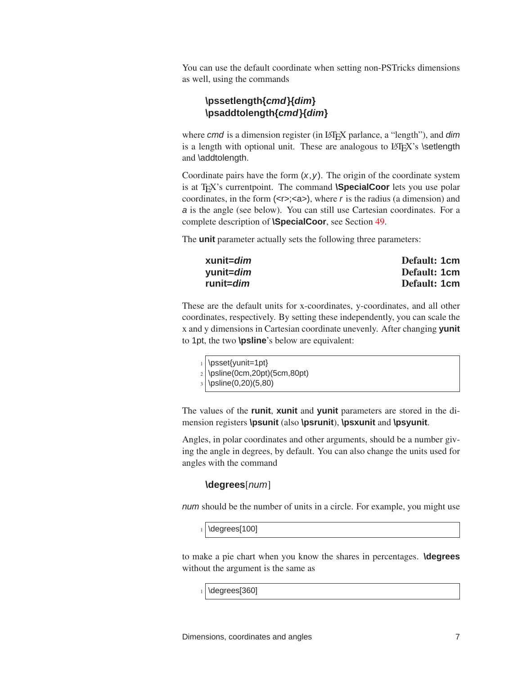You can use the default coordinate when setting non-PSTricks dimensions as well, using the commands

#### **\pssetlength{cmd}{dim} \psaddtolength{cmd}{dim}**

where cmd is a dimension register (in LAT<sub>EX</sub> parlance, a "length"), and dim is a length with optional unit. These are analogous to  $\mathbb{F}X$ 's \setlength and \addtolength.

Coordinate pairs have the form  $(x, y)$ . The origin of the coordinate system is at T<sub>E</sub>X's currentpoint. The command **\SpecialCoor** lets you use polar coordinates, in the form  $\langle$  <r>> $\langle$  <<r/> $\langle$  <</a> $\rangle$ ), where r is the radius (a dimension) and a is the angle (see below). You can still use Cartesian coordinates. For a complete description of **\SpecialCoor**, see Section [49.](#page-107-0)

The **unit** parameter actually sets the following three parameters:

| xunit= <i>dim</i> | Default: 1cm |
|-------------------|--------------|
| yunit= <i>dim</i> | Default: 1cm |
| runit= <i>dim</i> | Default: 1cm |

These are the default units for x-coordinates, y-coordinates, and all other coordinates, respectively. By setting these independently, you can scale the x and y dimensions in Cartesian coordinate unevenly. After changing **yunit** to 1pt, the two **\psline**'s below are equivalent:

| $_1$ \psset{yunit=1pt}           |
|----------------------------------|
| $_2$ \psline(0cm,20pt)(5cm,80pt) |
| $_3   \psi(0,20)(5,80)$          |
|                                  |

The values of the **runit**, **xunit** and **yunit** parameters are stored in the dimension registers **\psunit** (also **\psrunit**), **\psxunit** and **\psyunit**.

Angles, in polar coordinates and other arguments, should be a number giving the angle in degrees, by default. You can also change the units used for angles with the command

#### **\degrees**[num]

num should be the number of units in a circle. For example, you might use

 $_1$  \degrees[100]

to make a pie chart when you know the shares in percentages. **\degrees** without the argument is the same as

\degrees[360]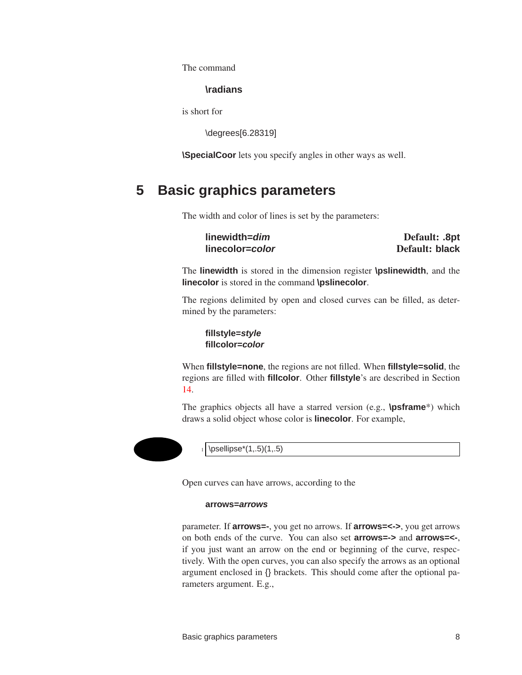The command

#### **\radians**

is short for

\degrees[6.28319]

<span id="page-11-0"></span>**\SpecialCoor** lets you specify angles in other ways as well.

# **5 Basic graphics parameters**

The width and color of lines is set by the parameters:

**linewidth=dim** Default: **.8pt linecolor=color** Default: **black**

The **linewidth** is stored in the dimension register **\pslinewidth**, and the **linecolor** is stored in the command **\pslinecolor**.

The regions delimited by open and closed curves can be filled, as determined by the parameters:

**fillstyle=style fillcolor=color**

When **fillstyle=none**, the regions are not filled. When **fillstyle=solid**, the regions are filled with **fillcolor**. Other **fillstyle**'s are described in Section [14.](#page-29-0)

The graphics objects all have a starred version (e.g., **\psframe**\*) which draws a solid object whose color is **linecolor**. For example,



 $\psi(1, .5)$ 

Open curves can have arrows, according to the

#### **arrows=arrows**

parameter. If **arrows=-**, you get no arrows. If **arrows=<->**, you get arrows on both ends of the curve. You can also set **arrows=->** and **arrows=<-**, if you just want an arrow on the end or beginning of the curve, respectively. With the open curves, you can also specify the arrows as an optional argument enclosed in {} brackets. This should come after the optional parameters argument. E.g.,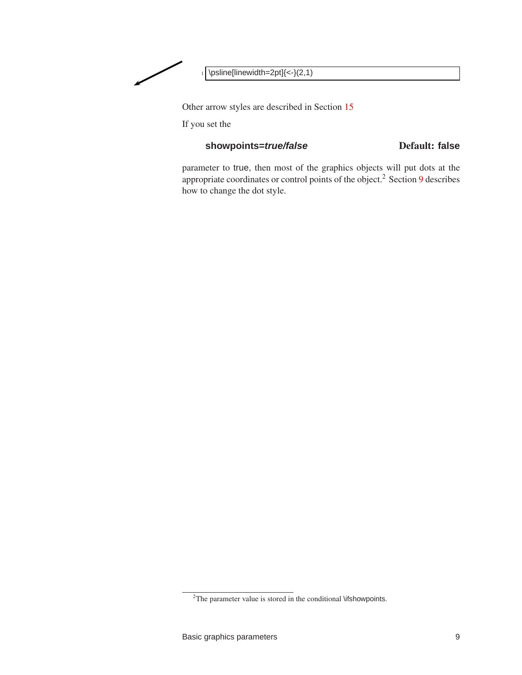

Other arrow styles are described in Section [15](#page-31-0)

If you set the

#### showpoints=*true/false* Default: false

parameter to true, then most of the graphics objects will put dots at the appropriate coordinates or control points of the object.<sup>2</sup> Section [9](#page-19-0) describes how to change the dot style.

 $2$ The parameter value is stored in the conditional \ifshowpoints.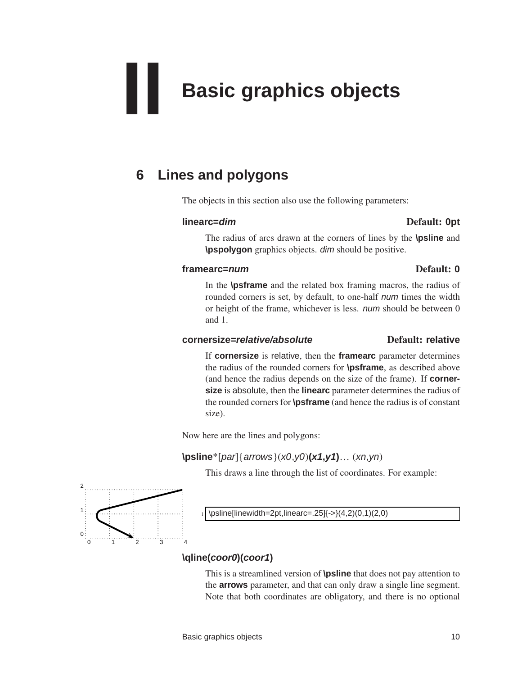# <span id="page-13-0"></span>**II Basic graphics objects**

# **6 Lines and polygons**

<span id="page-13-1"></span>The objects in this section also use the following parameters:

#### **linearc=dim** Default: **0pt**

The radius of arcs drawn at the corners of lines by the **\psline** and **\pspolygon** graphics objects. dim should be positive.

#### **framearc=num** Default: **0**

In the **\psframe** and the related box framing macros, the radius of rounded corners is set, by default, to one-half *num* times the width or height of the frame, whichever is less. num should be between 0 and 1.

#### **cornersize=relative/absolute** Default: **relative**

If **cornersize** is relative, then the **framearc** parameter determines the radius of the rounded corners for **\psframe**, as described above (and hence the radius depends on the size of the frame). If **cornersize** is absolute, then the **linearc** parameter determines the radius of the rounded corners for **\psframe** (and hence the radius is of constant size).

Now here are the lines and polygons:

## **\psline**\*[par]{arrows}(x0,y0)**(x1,y1)**… (xn,yn)

This draws a line through the list of coordinates. For example:



## **\qline(coor0)(coor1)**

This is a streamlined version of **\psline** that does not pay attention to the **arrows** parameter, and that can only draw a single line segment. Note that both coordinates are obligatory, and there is no optional

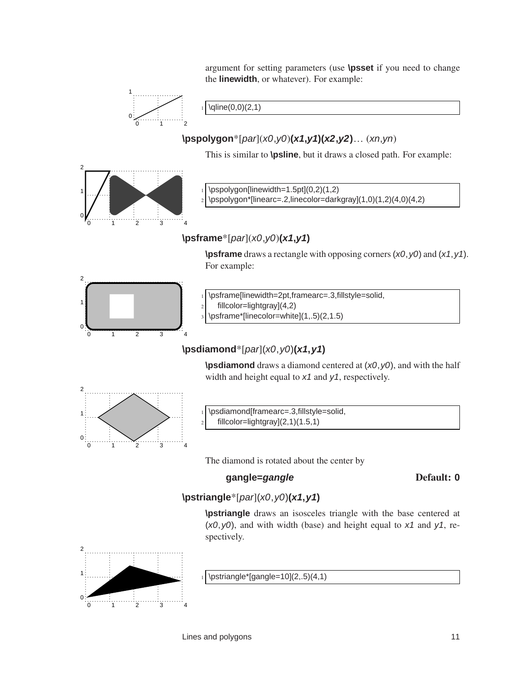argument for setting parameters (use **\psset** if you need to change the **linewidth**, or whatever). For example:



 $\langle 0,0)(2,1)$ 

**\pspolygon**\*[par](x0,y0)**(x1,y1)(x2,y2)**… (xn,yn)

This is similar to **\psline**, but it draws a closed path. For example:



 $\pspolygon[linear=1.5pt](0,2)(1,2)$ 

<sup>2</sup> \pspolygon\*[linearc=.2,linecolor=darkgray](1,0)(1,2)(4,0)(4,2)

## **\psframe**\*[par](x0,y0)**(x1,y1)**

**\psframe** draws a rectangle with opposing corners (x0, y0) and (x1, y1). For example:



\psframe[linewidth=2pt,framearc=.3,fillstyle=solid,  $2$  fillcolor=lightgray](4,2)

 $3 \rightarrow$  \psframe\*[linecolor=white](1,.5)(2,1.5)

## **\psdiamond**\*[par](x0,y0)**(x1,y1)**

**\psdiamond** draws a diamond centered at  $(x0, y0)$ , and with the half width and height equal to  $x_1$  and  $y_1$ , respectively.



\psdiamond[framearc=.3,fillstyle=solid,  $filcolor=lightgray](2,1)(1.5,1)$ 

The diamond is rotated about the center by

## **gangle=gangle** Default: **0**

**\pstriangle**\*[par](x0,y0)**(x1,y1)**

**\pstriangle** draws an isosceles triangle with the base centered at  $(x0, y0)$ , and with width (base) and height equal to  $x1$  and  $y1$ , respectively.



 $\sqrt{2,5}(4,1)$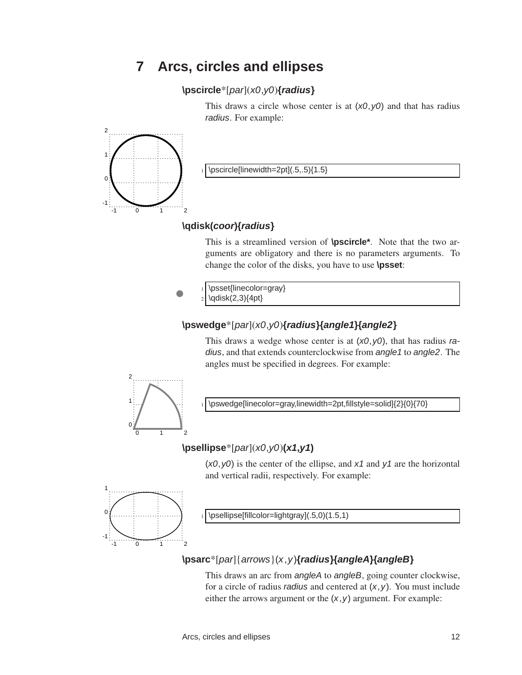# **7 Arcs, circles and ellipses**

#### <span id="page-15-0"></span>**\pscircle**\*[par](x0,y0)**{radius}**

This draws a circle whose center is at  $(x0, y0)$  and that has radius radius. For example:



 $\text{P}$  \pscircle[linewidth=2pt](.5,.5){1.5}

## **\qdisk(coor){radius}**

This is a streamlined version of **\pscircle\***. Note that the two arguments are obligatory and there is no parameters arguments. To change the color of the disks, you have to use **\psset**:

\psset{linecolor=gray} \qdisk(2,3){4pt}

## **\pswedge**\*[par](x0,y0)**{radius}{angle1}{angle2}**

This draws a wedge whose center is at  $(x0, y0)$ , that has radius radius, and that extends counterclockwise from angle1 to angle2. The angles must be specified in degrees. For example:



\pswedge[linecolor=gray,linewidth=2pt,fillstyle=solid]{2}{0}{70}

## **\psellipse**\*[par](x0,y0)**(x1,y1)**

 $(x0, y0)$  is the center of the ellipse, and  $x1$  and  $y1$  are the horizontal and vertical radii, respectively. For example:



\psellipse[fillcolor=lightgray](.5,0)(1.5,1)

## **\psarc**\*[par]{arrows}(x,y)**{radius}{angleA}{angleB}**

This draws an arc from angleA to angleB, going counter clockwise, for a circle of radius *radius* and centered at  $(x, y)$ . You must include either the arrows argument or the  $(x, y)$  argument. For example: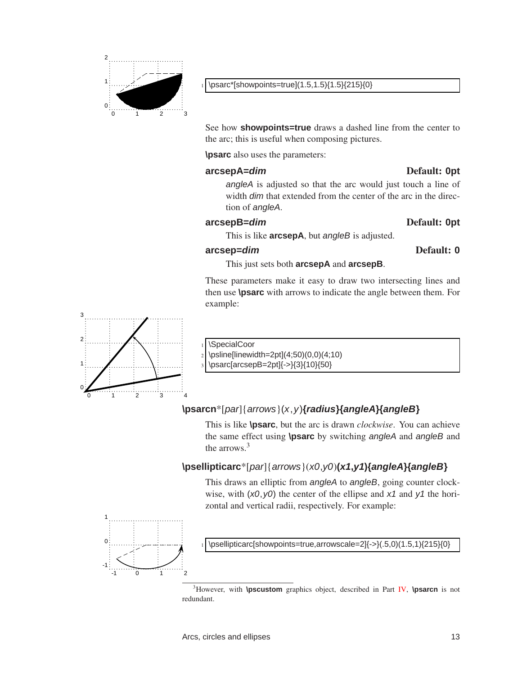

See how **showpoints=true** draws a dashed line from the center to the arc; this is useful when composing pictures.

**\psarc** also uses the parameters:

#### **arcsepA=dim** Default: **0pt**

angleA is adjusted so that the arc would just touch a line of width *dim* that extended from the center of the arc in the direction of angleA.

#### **arcsepB=dim** Default: **0pt**

This is like **arcsepA**, but *angleB* is adjusted.

#### **arcsep=dim** Default: **0**

This just sets both **arcsepA** and **arcsepB**.

These parameters make it easy to draw two intersecting lines and then use **\psarc** with arrows to indicate the angle between them. For example:



\SpecialCoor

\psline[linewidth=2pt](4;50)(0,0)(4;10)

\psarc[arcsepB=2pt]{->}{3}{10}{50}

## **\psarcn**\*[par]{arrows}(x,y)**{radius}{angleA}{angleB}**

This is like **\psarc**, but the arc is drawn *clockwise*. You can achieve the same effect using **\psarc** by switching angleA and angleB and the arrows  $3$ 

## **\psellipticarc**\*[par]{arrows}(x0,y0)**(x1,y1){angleA}{angleB}**

This draws an elliptic from angleA to angleB, going counter clockwise, with  $(x0, y0)$  the center of the ellipse and  $x1$  and  $y1$  the horizontal and vertical radii, respectively. For example:



\psellipticarc[showpoints=true,arrowscale=2]{->}(.5,0)(1.5,1){215}{0}

<sup>3</sup>However, with **\pscustom** graphics object, described in Part [IV,](#page-35-0) **\psarcn** is not redundant.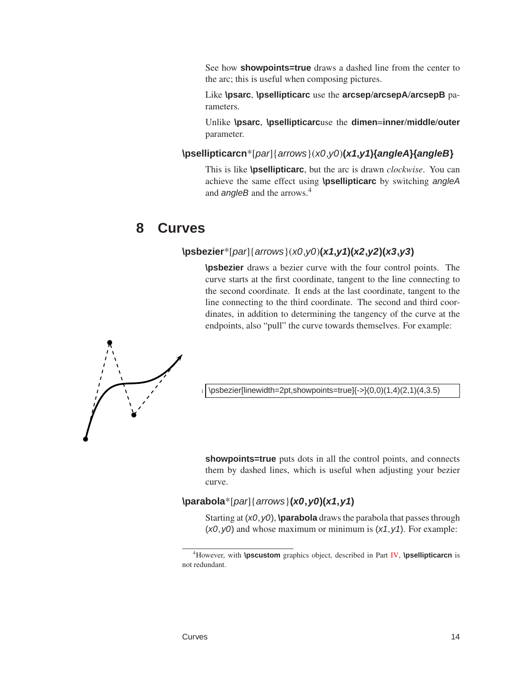See how **showpoints=true** draws a dashed line from the center to the arc; this is useful when composing pictures.

Like **\psarc**, **\psellipticarc** use the **arcsep**/**arcsepA**/**arcsepB** parameters.

Unlike **\psarc**, **\psellipticarc**use the **dimen**=**inner**/**middle**/**outer** parameter.

**\psellipticarcn**\*[par]{arrows}(x0,y0)**(x1,y1){angleA}{angleB}**

<span id="page-17-0"></span>This is like **\psellipticarc**, but the arc is drawn *clockwise*. You can achieve the same effect using **\psellipticarc** by switching angleA and *angleB* and the arrows.<sup>4</sup>

# **8 Curves**

#### **\psbezier**\*[par]{arrows}(x0,y0)**(x1,y1)(x2,y2)(x3,y3)**

**\psbezier** draws a bezier curve with the four control points. The curve starts at the first coordinate, tangent to the line connecting to the second coordinate. It ends at the last coordinate, tangent to the line connecting to the third coordinate. The second and third coordinates, in addition to determining the tangency of the curve at the endpoints, also "pull" the curve towards themselves. For example:



 $\b{psbezier[linewidth=2pt, showpoints=true]{->}(0,0)(1,4)(2,1)(4,3.5)}$ 

**showpoints=true** puts dots in all the control points, and connects them by dashed lines, which is useful when adjusting your bezier curve.

## **\parabola**\*[par]{arrows}**(x0,y0)(x1,y1)**

Starting at (x0,y0), **\parabola** draws the parabola that passes through  $(x0, y0)$  and whose maximum or minimum is  $(x1, y1)$ . For example:

<sup>4</sup>However, with **\pscustom** graphics object, described in Part [IV,](#page-35-0) **\psellipticarcn** is not redundant.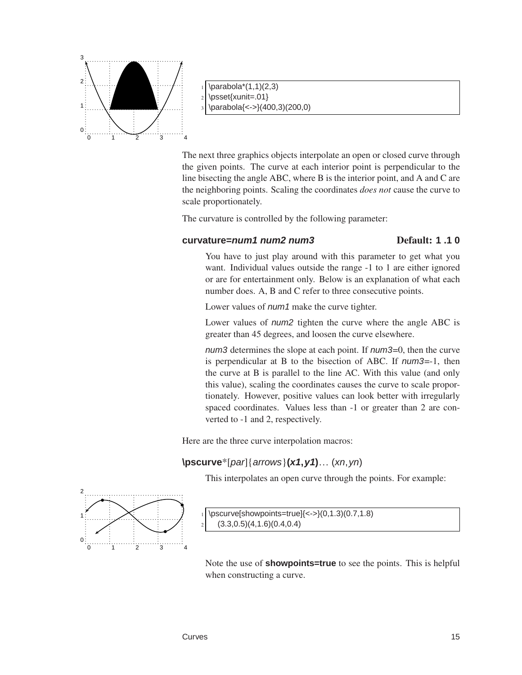

 $\bar{\text{1,1}}(2,3)$  $_2$  \psset{xunit=.01} \parabola{<->}(400,3)(200,0)

The next three graphics objects interpolate an open or closed curve through the given points. The curve at each interior point is perpendicular to the line bisecting the angle ABC, where B is the interior point, and A and C are the neighboring points. Scaling the coordinates *does not* cause the curve to scale proportionately.

The curvature is controlled by the following parameter:

#### **curvature=num1 num2 num3** Default: **1 .1 0**

You have to just play around with this parameter to get what you want. Individual values outside the range -1 to 1 are either ignored or are for entertainment only. Below is an explanation of what each number does. A, B and C refer to three consecutive points.

Lower values of *num1* make the curve tighter.

Lower values of num2 tighten the curve where the angle ABC is greater than 45 degrees, and loosen the curve elsewhere.

num3 determines the slope at each point. If num3=0, then the curve is perpendicular at B to the bisection of ABC. If num3=-1, then the curve at B is parallel to the line AC. With this value (and only this value), scaling the coordinates causes the curve to scale proportionately. However, positive values can look better with irregularly spaced coordinates. Values less than -1 or greater than 2 are converted to -1 and 2, respectively.

Here are the three curve interpolation macros:

## **\pscurve**\*[par]{arrows}**(x1,y1)**… (xn,yn)

This interpolates an open curve through the points. For example:



 $\begin{equation} \frac{1}{8} \exp\{-\frac{1}{8}, 0.1.3(0.7, 1.8)\} \end{equation}$  $(3.3,0.5)(4,1.6)(0.4,0.4)$ 

Note the use of **showpoints=true** to see the points. This is helpful when constructing a curve.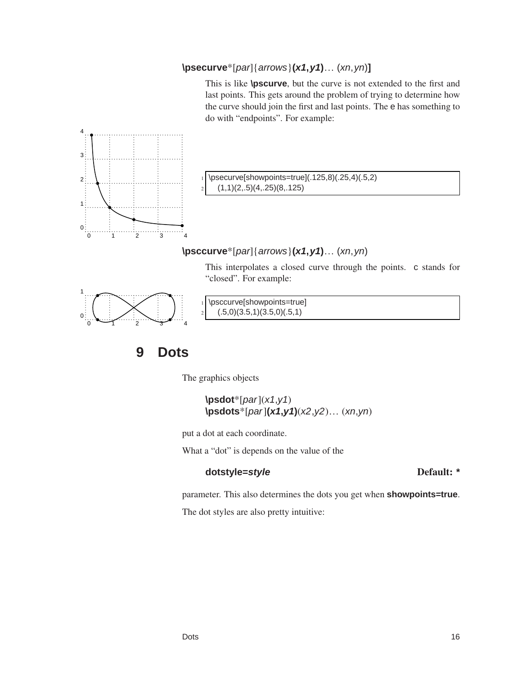## **\psecurve**\*[par]{arrows}**(x1,y1)**… (xn,yn)**]**

This is like **\pscurve**, but the curve is not extended to the first and last points. This gets around the problem of trying to determine how the curve should join the first and last points. The e has something to do with "endpoints". For example:



 $\text{P}\text{S}$  howpoints=true](.125,8)(.25,4)(.5,2)  $(1,1)(2, .5)(4, .25)(8, .125)$ 

## **\psccurve**\*[par]{arrows}**(x1,y1)**… (xn,yn)

This interpolates a closed curve through the points. c stands for "closed". For example:



<span id="page-19-0"></span>\psccurve[showpoints=true]  $(0.5,0)(3.5,1)(3.5,0)(0.5,1)$ 

# **9 Dots**

The graphics objects

$$
\begin{array}{c}\n\text{psdot*}[par](x1,y1) \\
\text{psdot*}[par](x1,y1)(x2,y2)... (xn,yn)\n\end{array}
$$

put a dot at each coordinate.

What a "dot" is depends on the value of the

#### **dotstyle=style** Default: **\***

parameter. This also determines the dots you get when **showpoints=true**.

The dot styles are also pretty intuitive: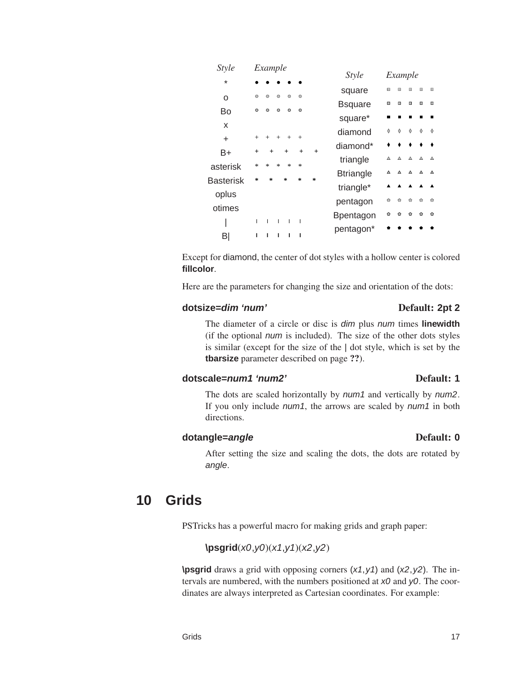| X                                                                                          |        |         |        |                                              |         |       |                  |                                                                                                          |                     |                       |         |  |
|--------------------------------------------------------------------------------------------|--------|---------|--------|----------------------------------------------|---------|-------|------------------|----------------------------------------------------------------------------------------------------------|---------------------|-----------------------|---------|--|
| $\ddot{}$                                                                                  |        |         |        | $+ + + + + +$                                |         |       | diamond          | $\Phi$ $\Phi$ $\Phi$ $\Phi$                                                                              |                     | $\Diamond$ $\Diamond$ |         |  |
|                                                                                            | $+$    |         | $+$    | $+$                                          | $+$     | $+$   | diamond*         |                                                                                                          | $\bullet$ $\bullet$ |                       |         |  |
| B+                                                                                         |        |         |        |                                              |         |       | triangle         | $\begin{array}{cccccccccccccc} \Delta & \Delta & \Delta & \Delta & \Delta \end{array}$                   |                     |                       | - 4     |  |
| asterisk                                                                                   | $\ast$ | $\star$ | $\ast$ | 未                                            | $\star$ |       | <b>Btriangle</b> | $\begin{array}{ccccccccccccccccc} \Delta & \Delta & \Delta & \Delta & \Delta & \Delta \end{array}$       |                     |                       |         |  |
| <b>Basterisk</b>                                                                           | $\ast$ | $\ast$  |        | $\ast$                                       | $\ast$  | $\gg$ |                  |                                                                                                          |                     |                       |         |  |
| oplus                                                                                      |        |         |        |                                              |         |       | triangle*        |                                                                                                          |                     |                       |         |  |
|                                                                                            |        |         |        |                                              |         |       | pentagon         | $\begin{array}{ccccccccccccccccc} \circ & \circ & \circ & \circ & \circ \end{array}$                     |                     | $\bullet$             | 一命      |  |
| otimes                                                                                     |        |         |        |                                              |         |       | <b>Bpentagon</b> | $\begin{array}{ccccccccccccccccc} \bullet & \bullet & \bullet & \bullet & \bullet & \bullet \end{array}$ |                     |                       | $\circ$ |  |
|                                                                                            |        |         |        | $\Gamma = \Gamma = \Gamma = \Gamma = \Gamma$ |         |       | pentagon*        |                                                                                                          |                     |                       |         |  |
| B                                                                                          |        |         |        | $1 - 1 - 1 - 1 - 1$                          |         |       |                  |                                                                                                          |                     |                       |         |  |
| Except for diamond, the center of dot styles with a hollow center is colored<br>fillcolor. |        |         |        |                                              |         |       |                  |                                                                                                          |                     |                       |         |  |
| Here are the parameters for changing the size and orientation of the dots:                 |        |         |        |                                              |         |       |                  |                                                                                                          |                     |                       |         |  |
| dotsize=dim 'num'<br>Default: 2pt 2                                                        |        |         |        |                                              |         |       |                  |                                                                                                          |                     |                       |         |  |

*Style Example* square  $\Box$   $\Box$   $\Box$   $\Box$   $\Box$ Bsquare  $\Box$   $\Box$   $\Box$   $\Box$   $\Box$ square\*  $\blacksquare$   $\blacksquare$   $\blacksquare$   $\blacksquare$   $\blacksquare$ 

*Style Example*

 $\bullet$   $\bullet$ 

Bo **b b b c b** 

bc bc bc bc bc

\*

o

#### The diameter of a circle or disc is dim plus num times **linewidth** (if the optional num is included). The size of the other dots styles is similar (except for the size of the | dot style, which is set by the **tbarsize** parameter described on page ??).

## **dotscale=num1 'num2'** Default: **1**

#### The dots are scaled horizontally by *num1* and vertically by *num2*. If you only include *num1*, the arrows are scaled by *num1* in both directions.

#### **dotangle=angle** Default: 0

#### <span id="page-20-0"></span>After setting the size and scaling the dots, the dots are rotated by angle.

# **10 Grids**

PSTricks has a powerful macro for making grids and graph paper:

## **\psgrid**(x0,y0)(x1,y1)(x2,y2)

**\psgrid** draws a grid with opposing corners  $(x1, y1)$  and  $(x2, y2)$ . The intervals are numbered, with the numbers positioned at  $x0$  and  $y0$ . The coordinates are always interpreted as Cartesian coordinates. For example: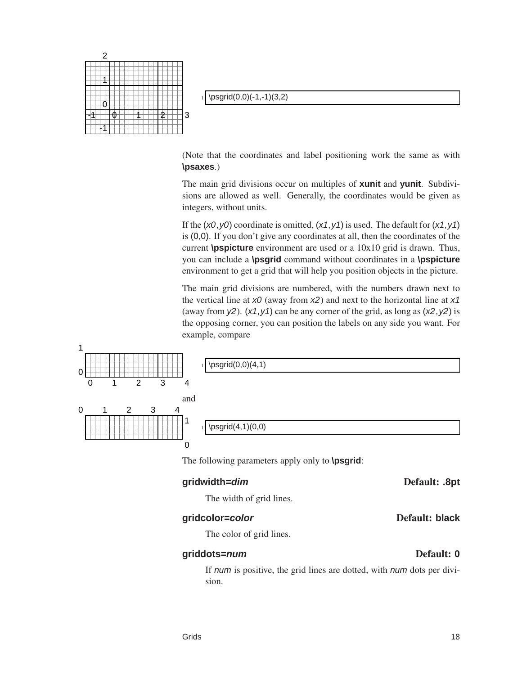

 $\psgrid(0,0)(-1,-1)(3,2)$ 

(Note that the coordinates and label positioning work the same as with **\psaxes**.)

The main grid divisions occur on multiples of **xunit** and **yunit**. Subdivisions are allowed as well. Generally, the coordinates would be given as integers, without units.

If the  $(x0, y0)$  coordinate is omitted,  $(x1, y1)$  is used. The default for  $(x1, y1)$ is (0,0). If you don't give any coordinates at all, then the coordinates of the current **\pspicture** environment are used or a 10x10 grid is drawn. Thus, you can include a **\psgrid** command without coordinates in a **\pspicture** environment to get a grid that will help you position objects in the picture.

The main grid divisions are numbered, with the numbers drawn next to the vertical line at  $x0$  (away from  $x2$ ) and next to the horizontal line at  $x1$ (away from  $y2$ ). (x1, y1) can be any corner of the grid, as long as (x2, y2) is the opposing corner, you can position the labels on any side you want. For example, compare

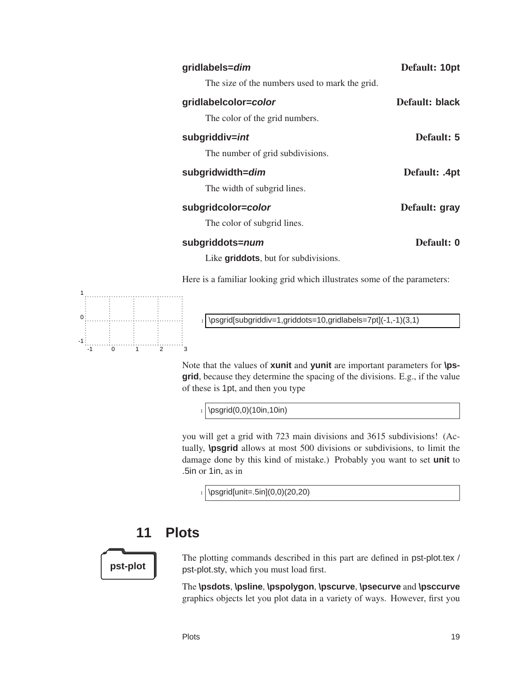| Default: 10pt  | gridlabels=dim                                                            |
|----------------|---------------------------------------------------------------------------|
|                | The size of the numbers used to mark the grid.                            |
| Default: black | gridlabelcolor=color                                                      |
|                | The color of the grid numbers.                                            |
| Default: 5     | subgriddiv=int                                                            |
|                | The number of grid subdivisions.                                          |
| Default: .4pt  | subgridwidth=dim                                                          |
|                | The width of subgrid lines.                                               |
| Default: gray  | subgridcolor=color                                                        |
|                | The color of subgrid lines.                                               |
| Default: 0     | subgriddots=num                                                           |
|                | Like <b>griddots</b> , but for subdivisions.                              |
|                | Here is a familiar looking grid which illustrates some of the parameters: |



\psgrid[subgriddiv=1,griddots=10,gridlabels=7pt](-1,-1)(3,1)

Note that the values of **xunit** and **yunit** are important parameters for **\psgrid**, because they determine the spacing of the divisions. E.g., if the value of these is 1pt, and then you type

 $_1$  \psgrid(0,0)(10in,10in)

you will get a grid with 723 main divisions and 3615 subdivisions! (Actually, **\psgrid** allows at most 500 divisions or subdivisions, to limit the damage done by this kind of mistake.) Probably you want to set **unit** to .5in or 1in, as in

<span id="page-22-0"></span> $_1$  \psgrid[unit=.5in](0,0)(20,20)

# **11 Plots**

The plotting commands described in this part are defined in pst-plot.tex / **pst-plot p**st-plot.sty, which you must load first.

> The **\psdots**, **\psline**, **\pspolygon**, **\pscurve**, **\psecurve** and **\psccurve** graphics objects let you plot data in a variety of ways. However, first you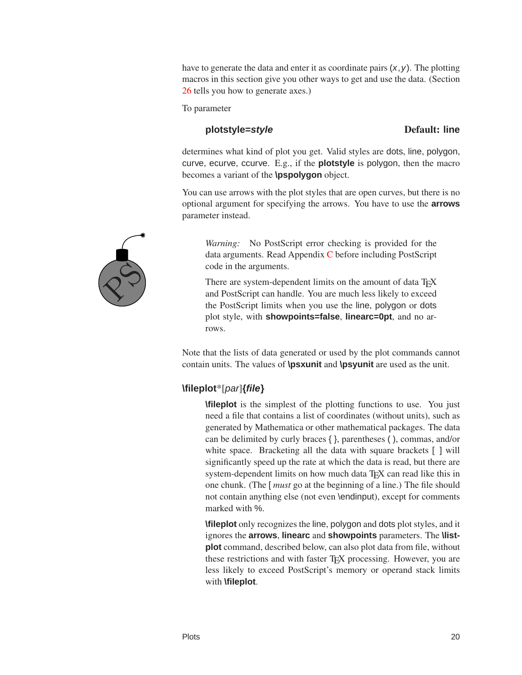have to generate the data and enter it as coordinate pairs  $(x, y)$ . The plotting macros in this section give you other ways to get and use the data. (Section [26](#page-50-0) tells you how to generate axes.)

To parameter

#### **plotstyle=style** Default: line

determines what kind of plot you get. Valid styles are dots, line, polygon, curve, ecurve, ccurve. E.g., if the **plotstyle** is polygon, then the macro becomes a variant of the **\pspolygon** object.

You can use arrows with the plot styles that are open curves, but there is no optional argument for specifying the arrows. You have to use the **arrows** parameter instead.

*Warning:* No PostScript error checking is provided for the data arguments. Read Appendix [C](#page-120-0) before including PostScript code in the arguments.

There are system-dependent limits on the amount of data T<sub>E</sub>X and PostScript can handle. You are much less likely to exceed the PostScript limits when you use the line, polygon or dots plot style, with **showpoints=false**, **linearc=0pt**, and no arrows.

Note that the lists of data generated or used by the plot commands cannot contain units. The values of **\psxunit** and **\psyunit** are used as the unit.

## **\fileplot**\*[par]**{file}**

**\fileplot** is the simplest of the plotting functions to use. You just need a file that contains a list of coordinates (without units), such as generated by Mathematica or other mathematical packages. The data can be delimited by curly braces { }, parentheses ( ), commas, and/or white space. Bracketing all the data with square brackets [ ] will significantly speed up the rate at which the data is read, but there are system-dependent limits on how much data T<sub>E</sub>X can read like this in one chunk. (The [ *must* go at the beginning of a line.) The file should not contain anything else (not even \endinput), except for comments marked with %.

**\fileplot** only recognizes the line, polygon and dots plot styles, and it ignores the **arrows**, **linearc** and **showpoints** parameters. The **\listplot** command, described below, can also plot data from file, without these restrictions and with faster T<sub>EX</sub> processing. However, you are less likely to exceed PostScript's memory or operand stack limits with **\fileplot**.

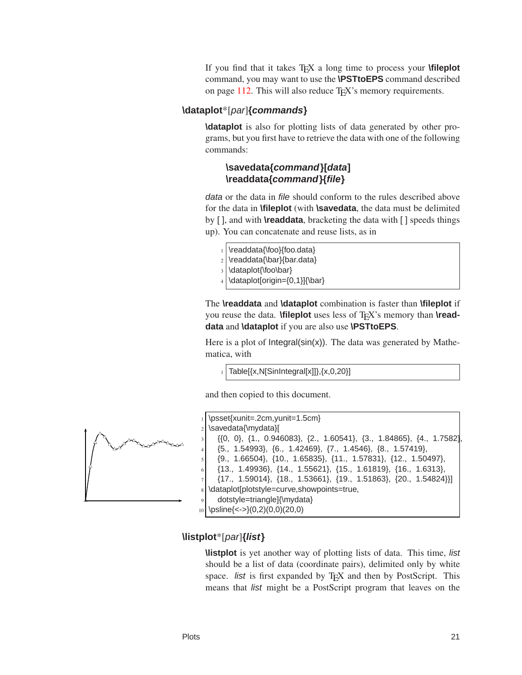If you find that it takes TEX a long time to process your **\fileplot** command, you may want to use the **\PSTtoEPS** command described on page  $112$ . This will also reduce  $T_F X$ 's memory requirements.

#### **\dataplot**\*[par]**{commands}**

**\dataplot** is also for plotting lists of data generated by other programs, but you first have to retrieve the data with one of the following commands:

#### **\savedata{command}[data] \readdata{command}{file}**

data or the data in file should conform to the rules described above for the data in **\fileplot** (with **\savedata**, the data must be delimited by [ ], and with **\readdata**, bracketing the data with [ ] speeds things up). You can concatenate and reuse lists, as in

- \readdata{\foo}{foo.data}
- $_2$  \readdata{\bar}{bar.data}
- 3 \dataplot{\foo\bar}
- $_4$  \dataplot[origin={0,1}]{\bar}

The **\readdata** and **\dataplot** combination is faster than **\fileplot** if you reuse the data. **\fileplot** uses less of T<sub>E</sub>X's memory than **\readdata** and **\dataplot** if you are also use **\PSTtoEPS**.

Here is a plot of  $Integral(sin(x))$ . The data was generated by Mathematica, with

 $1$  Table[{x,N[SinIntegral[x]]}, {x,0,20}]

and then copied to this document.



|                | $_1$ \psset{xunit=.2cm,yunit=1.5cm}                                               |  |
|----------------|-----------------------------------------------------------------------------------|--|
|                | $_2$ \savedata{\mydata}[                                                          |  |
| $\mathcal{R}$  | $\{\{0, 0\}, \{1., 0.946083\}, \{2., 1.60541\}, \{3., 1.84865\}, \{4., 1.7582\}\$ |  |
| 4 <sup>1</sup> | $\{5., 1.54993\}, \{6., 1.42469\}, \{7., 1.4546\}, \{8., 1.57419\},\$             |  |
| $\overline{5}$ | $\{9., 1.66504\}, \{10., 1.65835\}, \{11., 1.57831\}, \{12., 1.50497\},\$         |  |
| -6             | $\{13., 1.49936\}, \{14., 1.55621\}, \{15., 1.61819\}, \{16., 1.6313\},\$         |  |
|                | $\{17., 1.59014\}, \{18., 1.53661\}, \{19., 1.51863\}, \{20., 1.54824\}\}$        |  |
|                | s dataplot [plotstyle=curve, show points=true,                                    |  |
| 9 <sub>1</sub> | dotstyle=triangle]{\mydata}                                                       |  |
|                | $_{10}$ \psline{<->}(0,2)(0,0)(20,0)                                              |  |

#### **\listplot**\*[par]**{list}**

**\listplot** is yet another way of plotting lists of data. This time, list should be a list of data (coordinate pairs), delimited only by white space. *list* is first expanded by T<sub>E</sub>X and then by PostScript. This means that list might be a PostScript program that leaves on the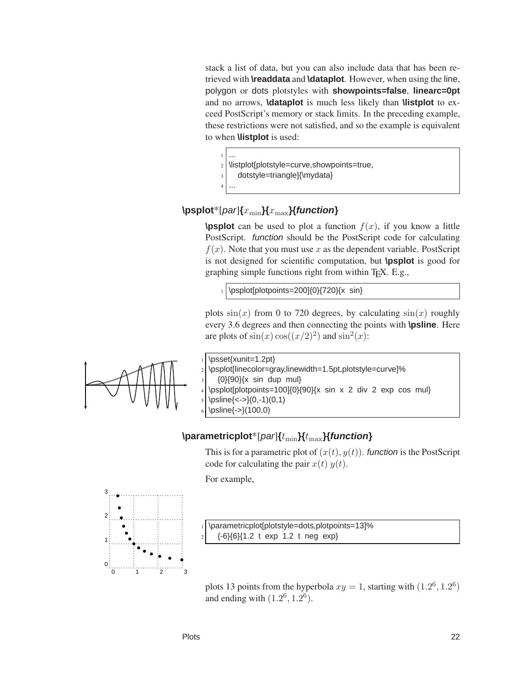stack a list of data, but you can also include data that has been retrieved with **\readdata** and **\dataplot**. However, when using the line, polygon or dots plotstyles with **showpoints=false**, **linearc=0pt** and no arrows, **\dataplot** is much less likely than **\listplot** to exceed PostScript's memory or stack limits. In the preceding example, these restrictions were not satisfied, and so the example is equivalent to when **\listplot** is used:

- <sup>1</sup> ... 2 \listplot[plotstyle=curve,showpoints=true,
	- dotstyle=triangle]{\mydata}
- <sup>4</sup> ...

#### $\Phi$  \psplot<sup>\*</sup>[*par*]{*x*<sub>min</sub>}{*x*<sub>max</sub>}{*function*}

**\psplot** can be used to plot a function  $f(x)$ , if you know a little PostScript. function should be the PostScript code for calculating  $f(x)$ . Note that you must use x as the dependent variable. PostScript is not designed for scientific computation, but **\psplot** is good for graphing simple functions right from within TEX. E.g.,

\psplot[plotpoints=200]{0}{720}{x sin}

plots  $sin(x)$  from 0 to 720 degrees, by calculating  $sin(x)$  roughly every 3.6 degrees and then connecting the points with **\psline**. Here are plots of  $sin(x) cos((x/2)^2)$  and  $sin^2(x)$ :



\psset{xunit=1.2pt} \psplot[linecolor=gray,linewidth=1.5pt,plotstyle=curve]%  ${0}$ {90}{x sin dup mul}  $\psplot[plotpoints=100]{0}{90}(x sin x 2 div 2 exp cos mu)$  $\psi(-,-)(0,-1)(0,1)$ \psline{->}(100,0)

#### \parametricplot<sup>\*</sup>[par]{ $t_{\min}$ }{ $t_{\max}$ }{*function*}

This is for a parametric plot of  $(x(t), y(t))$ . function is the PostScript code for calculating the pair  $x(t)$   $y(t)$ .

For example,



\parametricplot[plotstyle=dots,plotpoints=13]% <sup>2</sup> {-6}{6}{1.2 t exp 1.2 t neg exp}

plots 13 points from the hyperbola  $xy = 1$ , starting with  $(1.2^6, 1.2^6)$ and ending with  $(1.2^6, 1.2^6)$ .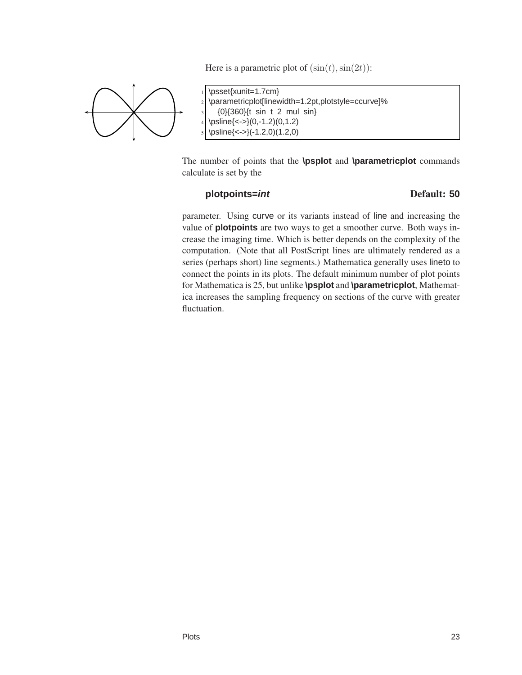



\psset{xunit=1.7cm} \parametricplot[linewidth=1.2pt,plotstyle=ccurve]% <sup>3</sup> {0}{360}{t sin t 2 mul sin}  $\left\{ \ \ \epsilon \right\} (0,-1.2)(0,1.2)$  $\psi(-1.2,0)(1.2,0)$ 

The number of points that the **\psplot** and **\parametricplot** commands calculate is set by the

#### **plotpoints=int** Default: **50**

parameter. Using curve or its variants instead of line and increasing the value of **plotpoints** are two ways to get a smoother curve. Both ways increase the imaging time. Which is better depends on the complexity of the computation. (Note that all PostScript lines are ultimately rendered as a series (perhaps short) line segments.) Mathematica generally uses lineto to connect the points in its plots. The default minimum number of plot points for Mathematica is 25, but unlike **\psplot** and **\parametricplot**, Mathematica increases the sampling frequency on sections of the curve with greater fluctuation.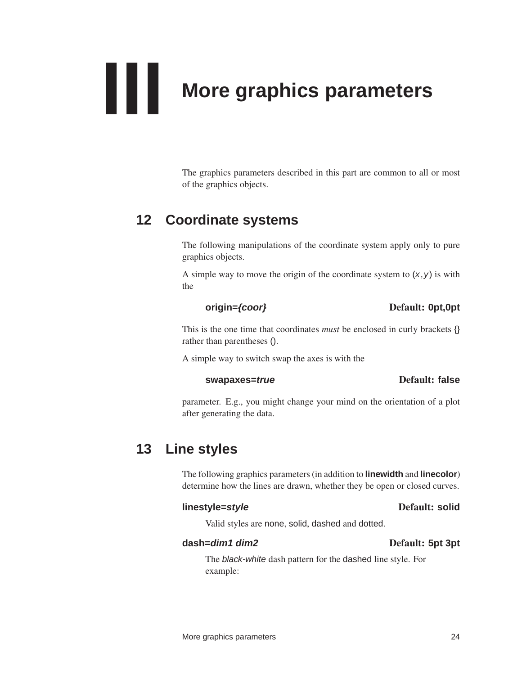<span id="page-27-0"></span>

<span id="page-27-1"></span>The graphics parameters described in this part are common to all or most of the graphics objects.

## **12 Coordinate systems**

The following manipulations of the coordinate system apply only to pure graphics objects.

A simple way to move the origin of the coordinate system to  $(x, y)$  is with the

#### **origin={coor}** Default: **0pt,0pt**

This is the one time that coordinates *must* be enclosed in curly brackets {} rather than parentheses ().

A simple way to switch swap the axes is with the

#### **swapaxes=true** Default: **false**

<span id="page-27-2"></span>parameter. E.g., you might change your mind on the orientation of a plot after generating the data.

# **13 Line styles**

The following graphics parameters (in addition to **linewidth** and **linecolor**) determine how the lines are drawn, whether they be open or closed curves.

#### **linestyle=style** Default: **solid**

Valid styles are none, solid, dashed and dotted.

#### **dash=dim1 dim2** Default: **5pt 3pt**

The black-white dash pattern for the dashed line style. For example: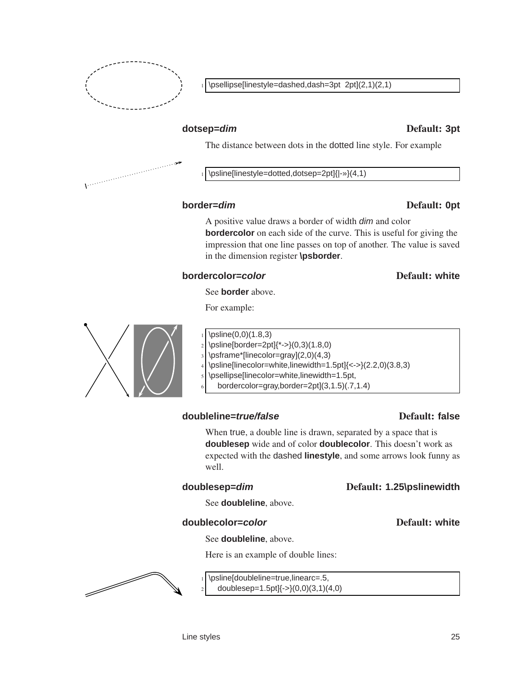

\psellipse[linestyle=dashed,dash=3pt 2pt](2,1)(2,1)

#### **dotsep=dim** Default: **3pt**

The distance between dots in the dotted line style. For example

\psline[linestyle=dotted,dotsep=2pt]{|-»}(4,1)

#### **border=dim** Default: **0pt**

A positive value draws a border of width dim and color **bordercolor** on each side of the curve. This is useful for giving the impression that one line passes on top of another. The value is saved in the dimension register **\psborder**.

#### **bordercolor=color** Default: white

See **border** above.

For example:



- \psline[border=2pt]{\*->}(0,3)(1.8,0)
- \psframe\*[linecolor=gray](2,0)(4,3)
- \psline[linecolor=white,linewidth=1.5pt]{<->}(2.2,0)(3.8,3)
	- \psellipse[linecolor=white,linewidth=1.5pt,
	- <sup>6</sup> bordercolor=gray,border=2pt](3,1.5)(.7,1.4)

## **doubleline=***true/false* Default: false

#### When true, a double line is drawn, separated by a space that is **doublesep** wide and of color **doublecolor**. This doesn't work as expected with the dashed **linestyle**, and some arrows look funny as well.

## **doublesep=dim** Default: **1.25\pslinewidth**

See **doubleline**, above.

#### **doublecolor=color color color Default: white**

#### See **doubleline**, above.

Here is an example of double lines:



#### \psline[doubleline=true,linearc=.5, doublesep= $1.5pt$ ] $\{-\}(0,0)(3,1)(4,0)$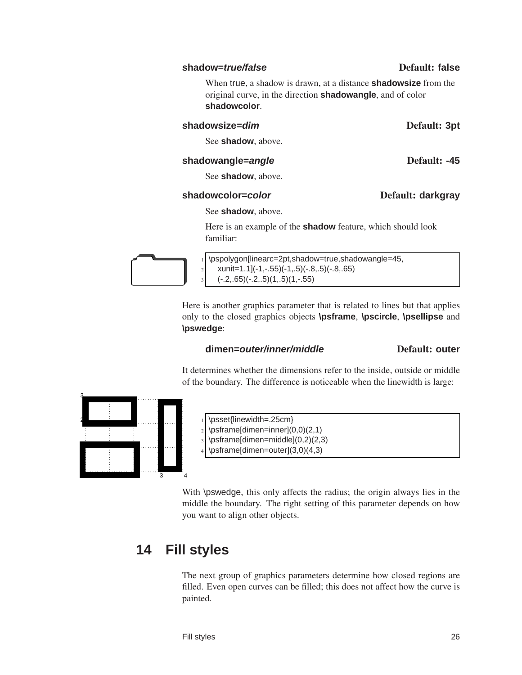#### **shadow=***true/false* Default: false

When true, a shadow is drawn, at a distance **shadowsize** from the original curve, in the direction **shadowangle**, and of color **shadowcolor**.

#### **shadowsize=dim** Default: **3pt**

See **shadow**, above.

#### **shadowangle=angle** Default: -45

See **shadow**, above.

#### **shadowcolor=color** Default: **darkgray**

See **shadow**, above.

Here is an example of the **shadow** feature, which should look familiar:

\pspolygon[linearc=2pt,shadow=true,shadowangle=45,  $|2|$  xunit=1.1](-1,-.55)(-1,.5)(-.8,.5)(-.8,.65)  $3 \mid (-2, .65)(-.2, .5)(1, .5)(1, .55)$ 

> Here is another graphics parameter that is related to lines but that applies only to the closed graphics objects **\psframe**, **\pscircle**, **\psellipse** and **\pswedge**:

#### **dimen=outer/inner/middle** Default: **outer**

It determines whether the dimensions refer to the inside, outside or middle of the boundary. The difference is noticeable when the linewidth is large:



- \psset{linewidth=.25cm}
- $_2$  \psframe[dimen=inner](0,0)(2,1)
	- \psframe[dimen=middle](0,2)(2,3)
- \psframe[dimen=outer](3,0)(4,3)

<span id="page-29-0"></span>With \pswedge, this only affects the radius; the origin always lies in the middle the boundary. The right setting of this parameter depends on how you want to align other objects.

# **14 Fill styles**

The next group of graphics parameters determine how closed regions are filled. Even open curves can be filled; this does not affect how the curve is painted.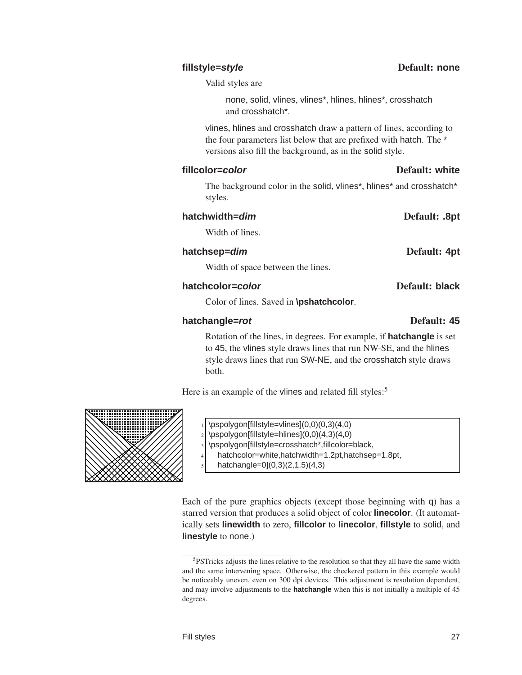Valid styles are

none, solid, vlines, vlines\*, hlines, hlines\*, crosshatch and crosshatch\*.

vlines, hlines and crosshatch draw a pattern of lines, according to the four parameters list below that are prefixed with hatch. The \* versions also fill the background, as in the solid style.

#### **fillcolor=color** Default: **white**

The background color in the solid, vlines\*, hlines\* and crosshatch\* styles.

#### **hatchwidth=dim** Default: **.8pt**

Width of lines.

#### **hatchsep=dim** Default: **4pt**

Width of space between the lines.

#### **hatchcolor=***color* Default: black

Color of lines. Saved in **\pshatchcolor**.

#### **hatchangle=***rot* Default: 45

Rotation of the lines, in degrees. For example, if **hatchangle** is set to 45, the vlines style draws lines that run NW-SE, and the hlines style draws lines that run SW-NE, and the crosshatch style draws both.

Here is an example of the vlines and related fill styles:<sup>5</sup>



- $\pspolyqon[fillstyle=vlines](0,0)(0,3)(4,0)$
- $_2$  \pspolygon[fillstyle=hlines](0,0)(4,3)(4,0)
- \pspolygon[fillstyle=crosshatch\*,fillcolor=black,
- <sup>4</sup> hatchcolor=white,hatchwidth=1.2pt,hatchsep=1.8pt,
	- hatchangle= $0(0,3)(2,1.5)(4,3)$

Each of the pure graphics objects (except those beginning with q) has a starred version that produces a solid object of color **linecolor**. (It automatically sets **linewidth** to zero, **fillcolor** to **linecolor**, **fillstyle** to solid, and **linestyle** to none.)

<sup>&</sup>lt;sup>5</sup>PSTricks adjusts the lines relative to the resolution so that they all have the same width and the same intervening space. Otherwise, the checkered pattern in this example would be noticeably uneven, even on 300 dpi devices. This adjustment is resolution dependent, and may involve adjustments to the **hatchangle** when this is not initially a multiple of 45 degrees.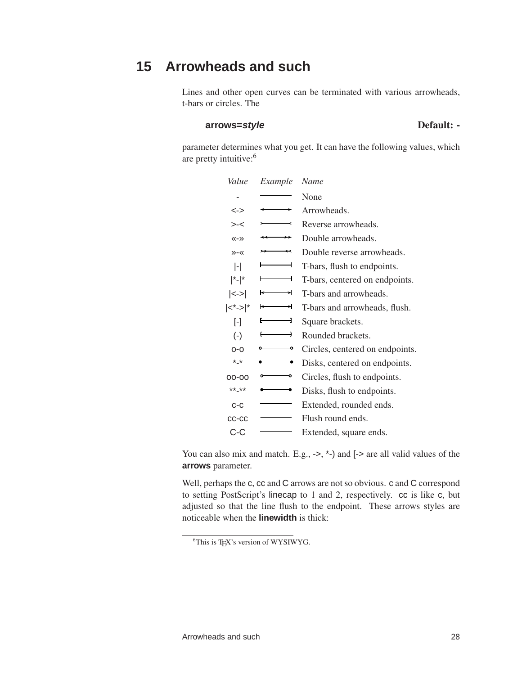# **15 Arrowheads and such**

<span id="page-31-0"></span>Lines and other open curves can be terminated with various arrowheads, t-bars or circles. The

#### **arrows=style** Default: **-**

parameter determines what you get. It can have the following values, which are pretty intuitive:<sup>6</sup>

| Value                               | Example | Name                            |
|-------------------------------------|---------|---------------------------------|
|                                     |         | None                            |
| <->                                 |         | Arrowheads.                     |
| > <                                 |         | Reverse arrowheads.             |
| $\langle \langle - \rangle \rangle$ |         | Double arrowheads.              |
| $\gg -\ll$                          | ↢       | Double reverse arrowheads.      |
| $\vert$ - $\vert$                   |         | T-bars, flush to endpoints.     |
| $ $ *- $ $ *                        |         | T-bars, centered on endpoints.  |
| $\left  < \sup>$                    | ⇥       | T-bars and arrowheads.          |
| $ <^*-> $ *                         | ᅱ       | T-bars and arrowheads, flush.   |
| $\lceil - \rceil$                   | -1      | Square brackets.                |
| $(-)$                               | ⊣       | Rounded brackets.               |
| $O-O$                               | ۰       | Circles, centered on endpoints. |
| $*_{\mathbf{-}}*$                   |         | Disks, centered on endpoints.   |
| $00 - 00$                           | ۰       | Circles, flush to endpoints.    |
| $***$ **                            |         | Disks, flush to endpoints.      |
| $C-C$                               |         | Extended, rounded ends.         |
| CC-CC                               |         | Flush round ends.               |
| C-C                                 |         | Extended, square ends.          |

You can also mix and match. E.g., ->, \*-) and  $\left[-\right]$  are all values of the **arrows** parameter.

Well, perhaps the c, cc and C arrows are not so obvious. c and C correspond to setting PostScript's linecap to 1 and 2, respectively. cc is like c, but adjusted so that the line flush to the endpoint. These arrows styles are noticeable when the **linewidth** is thick:

<sup>&</sup>lt;sup>6</sup>This is TEX's version of WYSIWYG.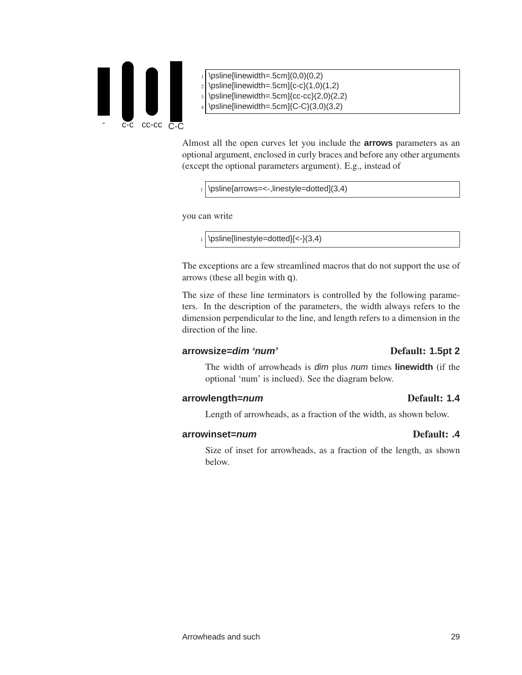

- $\psi(0,0)(0,2)$
- $\psi(1,0)(1,2)$
- $\psi$ sline[linewidth=.5cm]{cc-cc}(2,0)(2,2)
- $\psi$ cosline[linewidth=.5cm]{C-C}(3,0)(3,2)

Almost all the open curves let you include the **arrows** parameters as an optional argument, enclosed in curly braces and before any other arguments (except the optional parameters argument). E.g., instead of

 $_1$  \psline[arrows=<-,linestyle=dotted](3,4)

you can write

 $_1$  \psline[linestyle=dotted] $\leq$ -}(3,4)

The exceptions are a few streamlined macros that do not support the use of arrows (these all begin with q).

The size of these line terminators is controlled by the following parameters. In the description of the parameters, the width always refers to the dimension perpendicular to the line, and length refers to a dimension in the direction of the line.

#### **arrowsize=dim 'num'** Default: **1.5pt 2**

The width of arrowheads is dim plus num times **linewidth** (if the optional 'num' is inclued). See the diagram below.

#### **arrowlength=num** Default: **1.4**

Length of arrowheads, as a fraction of the width, as shown below.

#### **arrowinset=***num* Default: .4

Size of inset for arrowheads, as a fraction of the length, as shown below.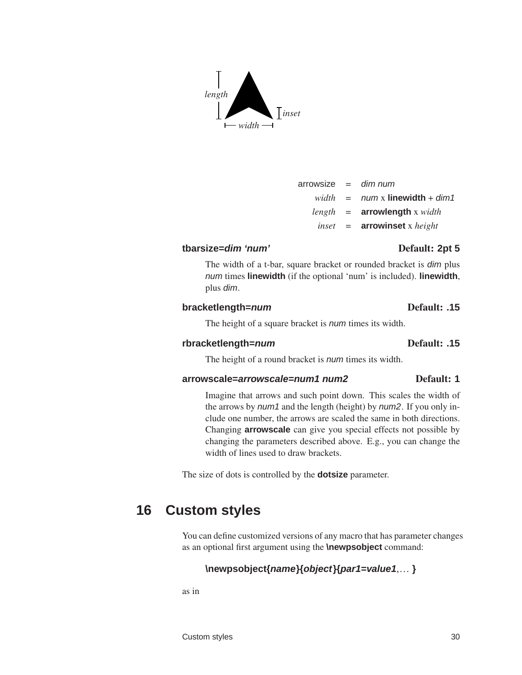# **tbarsize=dim 'num'** Default: **2pt 5**

The width of a t-bar, square bracket or rounded bracket is *dim* plus num times **linewidth** (if the optional 'num' is included). **linewidth**, plus dim.

 $arrowsize = dim num$ 

 $width = num \times linewidth + dim1$ 

## **bracketlength=num** Default: **.15**

The height of a square bracket is *num* times its width.

## **rbracketlength=num** Default: **.15**

The height of a round bracket is *num* times its width.

## **arrowscale=arrowscale=num1 num2** Default: **1**

Imagine that arrows and such point down. This scales the width of the arrows by *num1* and the length (height) by *num2*. If you only include one number, the arrows are scaled the same in both directions. Changing **arrowscale** can give you special effects not possible by changing the parameters described above. E.g., you can change the width of lines used to draw brackets.

<span id="page-33-0"></span>The size of dots is controlled by the **dotsize** parameter.

# **16 Custom styles**

You can define customized versions of any macro that has parameter changes as an optional first argument using the **\newpsobject** command:

## **\newpsobject{name}{object}{par1=value1**,… **}**

as in

# *length*  $\rightarrow$ *width* – *inset*

*length* = **arrowlength** x *width inset* = **arrowinset** x *height*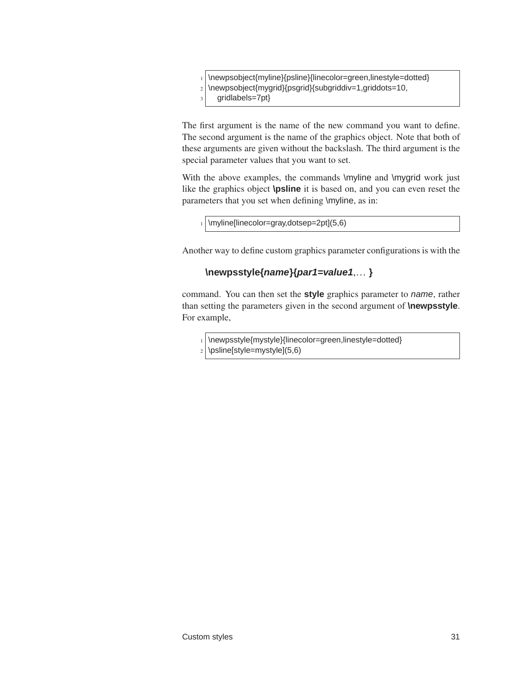\newpsobject{myline}{psline}{linecolor=green,linestyle=dotted} 2 \newpsobject{mygrid}{psgrid}{subgriddiv=1,griddots=10, gridlabels=7pt}

The first argument is the name of the new command you want to define. The second argument is the name of the graphics object. Note that both of these arguments are given without the backslash. The third argument is the special parameter values that you want to set.

With the above examples, the commands \myline and \mygrid work just like the graphics object **\psline** it is based on, and you can even reset the parameters that you set when defining \myline, as in:

 $_1$  \myline[linecolor=gray,dotsep=2pt](5,6)

Another way to define custom graphics parameter configurations is with the

#### **\newpsstyle{name}{par1=value1**,… **}**

command. You can then set the **style** graphics parameter to name, rather than setting the parameters given in the second argument of **\newpsstyle**. For example,

1 \newpsstyle{mystyle}{linecolor=green,linestyle=dotted} \psline[style=mystyle](5,6)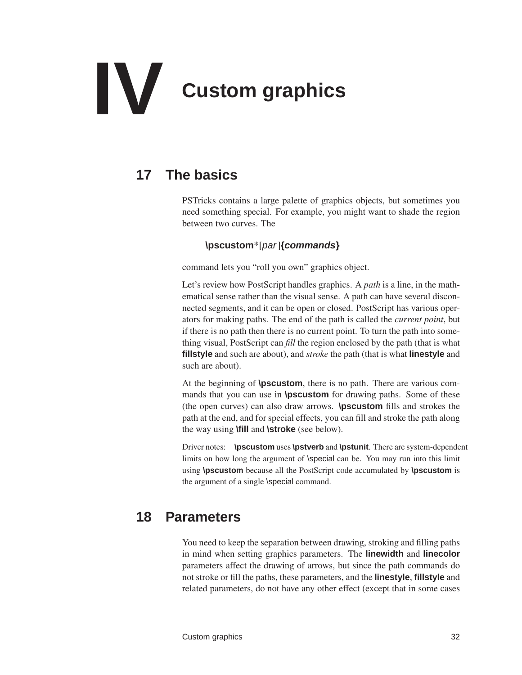# **IV Custom graphics**

# <span id="page-35-0"></span>**17 The basics**

<span id="page-35-1"></span>PSTricks contains a large palette of graphics objects, but sometimes you need something special. For example, you might want to shade the region between two curves. The

## **\pscustom**\*[par]**{commands}**

command lets you "roll you own" graphics object.

Let's review how PostScript handles graphics. A *path* is a line, in the mathematical sense rather than the visual sense. A path can have several disconnected segments, and it can be open or closed. PostScript has various operators for making paths. The end of the path is called the *current point*, but if there is no path then there is no current point. To turn the path into something visual, PostScript can *fill* the region enclosed by the path (that is what **fillstyle** and such are about), and *stroke* the path (that is what **linestyle** and such are about).

At the beginning of **\pscustom**, there is no path. There are various commands that you can use in **\pscustom** for drawing paths. Some of these (the open curves) can also draw arrows. **\pscustom** fills and strokes the path at the end, and for special effects, you can fill and stroke the path along the way using **\fill** and **\stroke** (see below).

Driver notes: **\pscustom** uses**\pstverb** and **\pstunit**. There are system-dependent limits on how long the argument of \special can be. You may run into this limit using **\pscustom** because all the PostScript code accumulated by **\pscustom** is the argument of a single \special command.

# **18 Parameters**

<span id="page-35-2"></span>You need to keep the separation between drawing, stroking and filling paths in mind when setting graphics parameters. The **linewidth** and **linecolor** parameters affect the drawing of arrows, but since the path commands do not stroke or fill the paths, these parameters, and the **linestyle**, **fillstyle** and related parameters, do not have any other effect (except that in some cases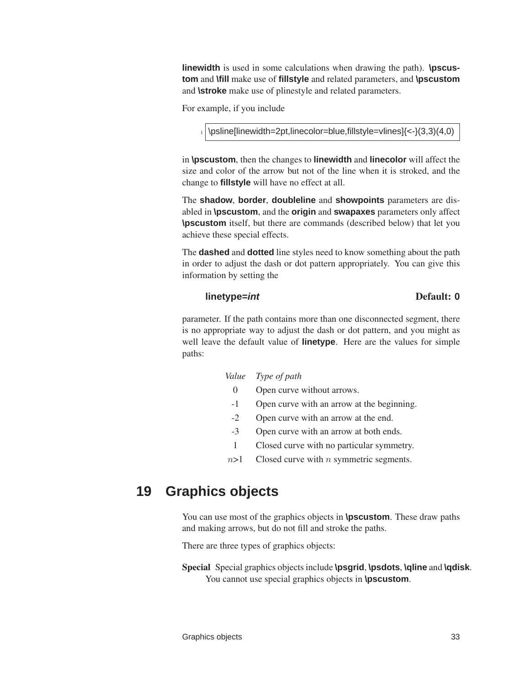**linewidth** is used in some calculations when drawing the path). **\pscustom** and **\fill** make use of **fillstyle** and related parameters, and **\pscustom** and **\stroke** make use of plinestyle and related parameters.

For example, if you include

 $_1$  \psline[linewidth=2pt,linecolor=blue,fillstyle=vlines] $\{<- \}$ (3,3)(4,0)

in **\pscustom**, then the changes to **linewidth** and **linecolor** will affect the size and color of the arrow but not of the line when it is stroked, and the change to **fillstyle** will have no effect at all.

The **shadow**, **border**, **doubleline** and **showpoints** parameters are disabled in **\pscustom**, and the **origin** and **swapaxes** parameters only affect **\pscustom** itself, but there are commands (described below) that let you achieve these special effects.

The **dashed** and **dotted** line styles need to know something about the path in order to adjust the dash or dot pattern appropriately. You can give this information by setting the

#### **linetype=int** Default: **0**

parameter. If the path contains more than one disconnected segment, there is no appropriate way to adjust the dash or dot pattern, and you might as well leave the default value of **linetype**. Here are the values for simple paths:

#### *Value Type of path*

- 0 Open curve without arrows.
- -1 Open curve with an arrow at the beginning.
- -2 Open curve with an arrow at the end.
- -3 Open curve with an arrow at both ends.
- 1 Closed curve with no particular symmetry.
- $n>1$  Closed curve with *n* symmetric segments.

## **19 Graphics objects**

You can use most of the graphics objects in **\pscustom**. These draw paths and making arrows, but do not fill and stroke the paths.

There are three types of graphics objects:

Special Special graphics objects include **\psgrid**, **\psdots**, **\qline** and **\qdisk**. You cannot use special graphics objects in **\pscustom**.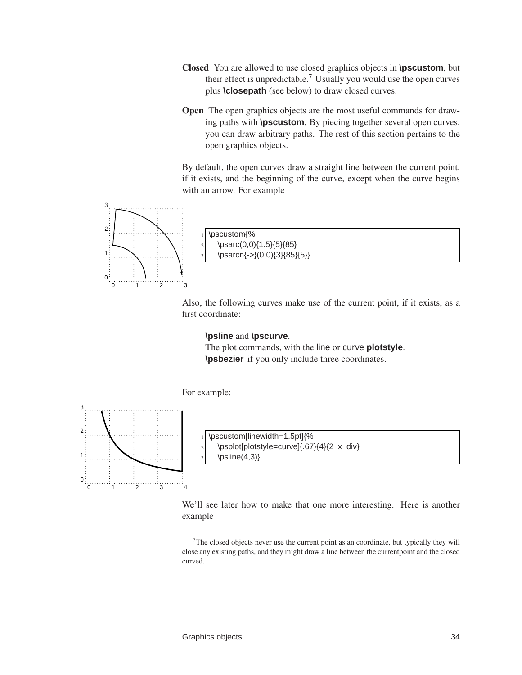- Closed You are allowed to use closed graphics objects in **\pscustom**, but their effect is unpredictable.<sup>7</sup> Usually you would use the open curves plus **\closepath** (see below) to draw closed curves.
- Open The open graphics objects are the most useful commands for drawing paths with **\pscustom**. By piecing together several open curves, you can draw arbitrary paths. The rest of this section pertains to the open graphics objects.

By default, the open curves draw a straight line between the current point, if it exists, and the beginning of the curve, except when the curve begins with an arrow. For example



Also, the following curves make use of the current point, if it exists, as a first coordinate:

#### **\psline** and **\pscurve**.

The plot commands, with the line or curve **plotstyle**. **\psbezier** if you only include three coordinates.

For example:



\pscustom[linewidth=1.5pt]{%  $|2|$  \psplot[plotstyle=curve]{.67}{4}{2 x div}  $\psi(4,3)$ 

We'll see later how to make that one more interesting. Here is another example

 $\alpha$ <sup>7</sup>The closed objects never use the current point as an coordinate, but typically they will close any existing paths, and they might draw a line between the currentpoint and the closed curved.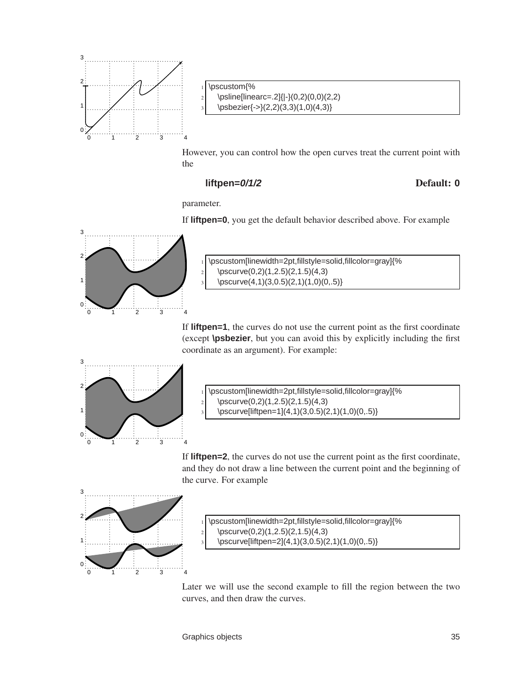

\pscustom{% \psline[linearc=.2]{|-}(0,2)(0,0)(2,2)  $\text{b}\text{s}$ bezier{->}(2,2)(3,3)(1,0)(4,3)}

However, you can control how the open curves treat the current point with the

#### **liftpen=0/1/2** Default: **0**

parameter.

If **liftpen=0**, you get the default behavior described above. For example



<sup>1</sup> \pscustom[linewidth=2pt,fillstyle=solid,fillcolor=gray]{%  $\lvert 2 \rvert$  \pscurve(0,2)(1,2.5)(2,1.5)(4,3)  $\begin{align*}\n\begin{bmatrix}\n3,0.5 \\
2,1 \\
1,0 \\
0,.5\n\end{bmatrix}$ 

If **liftpen=1**, the curves do not use the current point as the first coordinate (except **\psbezier**, but you can avoid this by explicitly including the first coordinate as an argument). For example:



\pscustom[linewidth=2pt,fillstyle=solid,fillcolor=gray]{%  $\lvert_2 \rvert$  \pscurve(0,2)(1,2.5)(2,1.5)(4,3)

\pscurve[liftpen=1](4,1)(3,0.5)(2,1)(1,0)(0,.5)}

If **liftpen=2**, the curves do not use the current point as the first coordinate, and they do not draw a line between the current point and the beginning of the curve. For example



\pscustom[linewidth=2pt,fillstyle=solid,fillcolor=gray]{% \pscurve(0,2)(1,2.5)(2,1.5)(4,3) \pscurve[liftpen=2](4,1)(3,0.5)(2,1)(1,0)(0,.5)}

Later we will use the second example to fill the region between the two curves, and then draw the curves.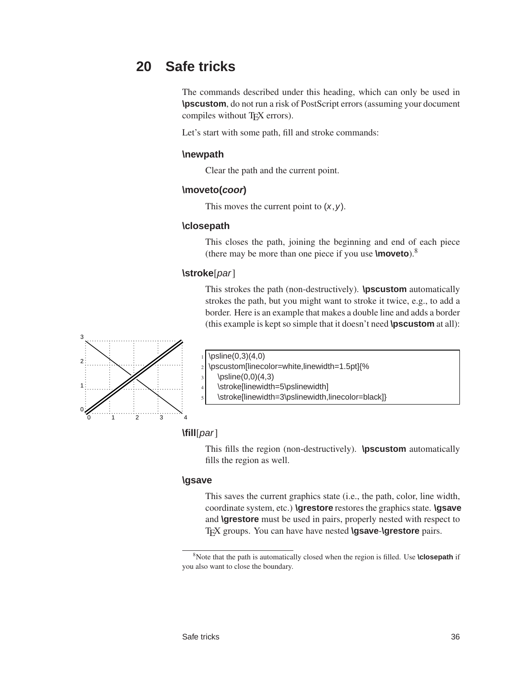# **20 Safe tricks**

The commands described under this heading, which can only be used in **\pscustom**, do not run a risk of PostScript errors (assuming your document compiles without T<sub>E</sub>X errors).

Let's start with some path, fill and stroke commands:

#### **\newpath**

Clear the path and the current point.

#### **\moveto(coor)**

This moves the current point to  $(x, y)$ .

#### **\closepath**

This closes the path, joining the beginning and end of each piece (there may be more than one piece if you use **\moveto**).<sup>8</sup>

#### **\stroke**[par]

This strokes the path (non-destructively). **\pscustom** automatically strokes the path, but you might want to stroke it twice, e.g., to add a border. Here is an example that makes a double line and adds a border (this example is kept so simple that it doesn't need **\pscustom** at all):



 $\psi(0,3)(4,0)$ 

<sup>2</sup> \pscustom[linecolor=white,linewidth=1.5pt]{%

 $\psi(0,0)(4,3)$ 

\stroke[linewidth=5\pslinewidth]

\stroke[linewidth=3\pslinewidth,linecolor=black]}

#### **\fill**[par]

This fills the region (non-destructively). **\pscustom** automatically fills the region as well.

#### **\gsave**

This saves the current graphics state (i.e., the path, color, line width, coordinate system, etc.) **\grestore** restores the graphics state. **\gsave** and **\grestore** must be used in pairs, properly nested with respect to TEX groups. You can have have nested **\gsave**-**\grestore** pairs.

<sup>8</sup>Note that the path is automatically closed when the region is filled. Use **\closepath** if you also want to close the boundary.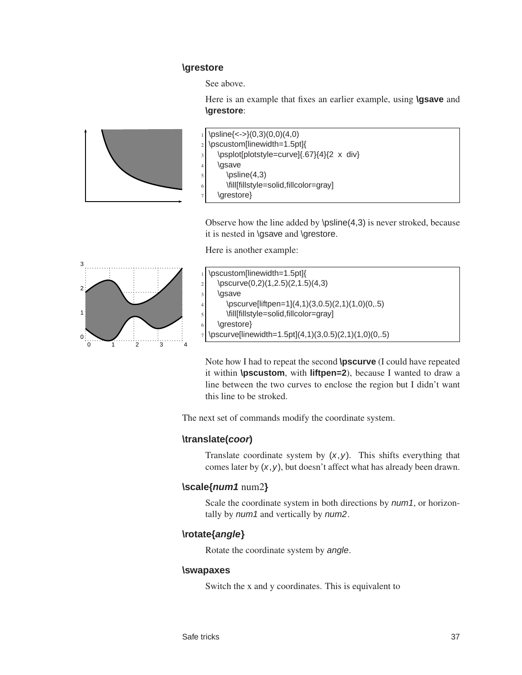#### **\grestore**

See above.

Here is an example that fixes an earlier example, using **\gsave** and **\grestore**:



|               | $\frac{1}{\mathrm{psline}\{->\}(0,3)(0,0)(4,0)}$ |
|---------------|--------------------------------------------------|
|               | 2 \pscustom[linewidth=1.5pt]{                    |
|               | \psplot[plotstyle=curve]{.67}{4}{2 x div}        |
| $\frac{4}{3}$ | \gsave                                           |
| $\mathsf{s}$  | \psline(4,3)                                     |
| 6             | \fill[fillstyle=solid,fillcolor=gray]            |
|               | \grestore}                                       |

Observe how the line added by \psline(4,3) is never stroked, because it is nested in \gsave and \grestore.

Here is another example:



|                | \pscustom[linewidth=1.5pt]{                                         |
|----------------|---------------------------------------------------------------------|
|                | \pscurve $(0,2)(1,2.5)(2,1.5)(4,3)$                                 |
| $\frac{3}{3}$  | \gsave                                                              |
| $\overline{4}$ | \pscurve[liftpen=1](4,1)(3,0.5)(2,1)(1,0)(0,.5)                     |
| $\mathbf{5}$   | \fill[fillstyle=solid,fillcolor=gray]                               |
| 6 I            | \grestore }                                                         |
|                | $\frac{1}{2}$ \pscurve[linewidth=1.5pt](4,1)(3,0.5)(2,1)(1,0)(0,.5) |

Note how I had to repeat the second **\pscurve** (I could have repeated it within **\pscustom**, with **liftpen=2**), because I wanted to draw a line between the two curves to enclose the region but I didn't want this line to be stroked.

The next set of commands modify the coordinate system.

#### **\translate(coor)**

Translate coordinate system by  $(x, y)$ . This shifts everything that comes later by  $(x, y)$ , but doesn't affect what has already been drawn.

#### **\scale{num1** num2**}**

Scale the coordinate system in both directions by *num1*, or horizontally by num1 and vertically by num2.

#### **\rotate{angle}**

Rotate the coordinate system by angle.

#### **\swapaxes**

Switch the x and y coordinates. This is equivalent to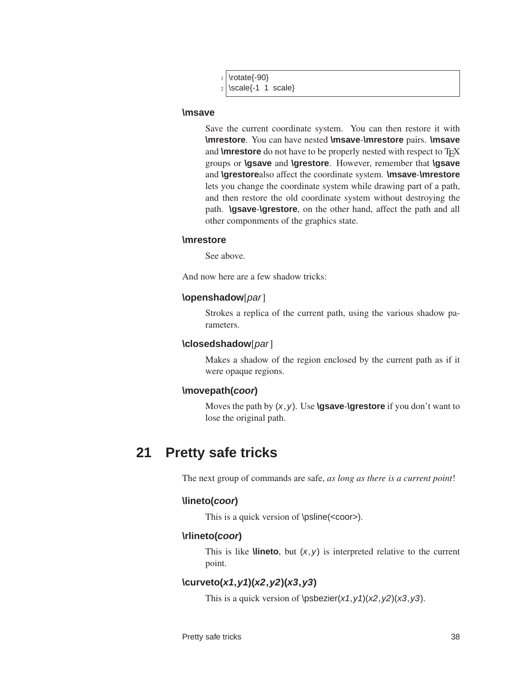| $_1$ \rotate{-90}      |
|------------------------|
| $2$ \scale{-1 1 scale} |

#### **\msave**

Save the current coordinate system. You can then restore it with **\mrestore**. You can have nested **\msave**-**\mrestore** pairs. **\msave** and **\mrestore** do not have to be properly nested with respect to T<sub>E</sub>X groups or **\gsave** and **\grestore**. However, remember that **\gsave** and **\grestore**also affect the coordinate system. **\msave**-**\mrestore** lets you change the coordinate system while drawing part of a path, and then restore the old coordinate system without destroying the path. **\gsave**-**\grestore**, on the other hand, affect the path and all other componments of the graphics state.

#### **\mrestore**

See above.

And now here are a few shadow tricks:

#### **\openshadow**[par]

Strokes a replica of the current path, using the various shadow parameters.

#### **\closedshadow**[par]

Makes a shadow of the region enclosed by the current path as if it were opaque regions.

#### **\movepath(coor)**

Moves the path by  $(x, y)$ . Use **\gsave-\grestore** if you don't want to lose the original path.

## **21 Pretty safe tricks**

The next group of commands are safe, *as long as there is a current point*!

#### **\lineto(coor)**

This is a quick version of \psline(<coor>).

#### **\rlineto(coor)**

This is like **\lineto**, but  $(x, y)$  is interpreted relative to the current point.

#### **\curveto(x1,y1)(x2,y2)(x3,y3)**

This is a quick version of \psbezier( $x1, y1$ )( $x2, y2$ )( $x3, y3$ ).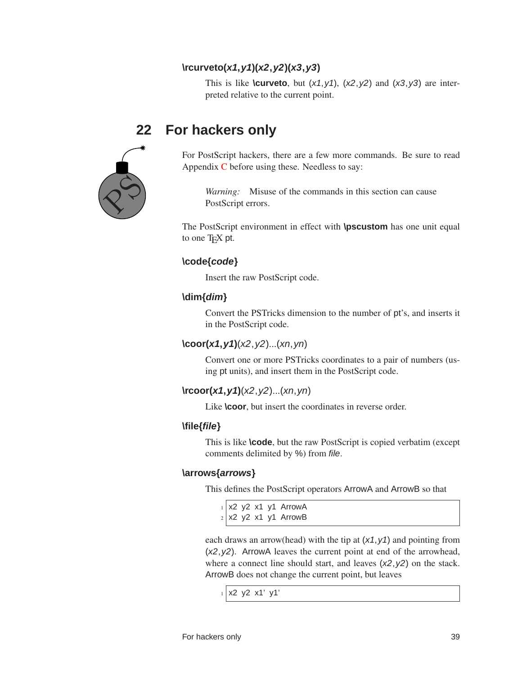### **\rcurveto(x1,y1)(x2,y2)(x3,y3)**

This is like **\curveto**, but  $(x1, y1)$ ,  $(x2, y2)$  and  $(x3, y3)$  are interpreted relative to the current point.

# $\chi^{\circlearrowleft}$

# **22 For hackers only**

For PostScript hackers, there are a few more commands. Be sure to read Appendix [C](#page-120-0) before using these. Needless to say:

*Warning:* Misuse of the commands in this section can cause PostScript errors.

The PostScript environment in effect with **\pscustom** has one unit equal to one T<sub>E</sub>X pt.

#### **\code{code}**

Insert the raw PostScript code.

#### **\dim{dim}**

Convert the PSTricks dimension to the number of pt's, and inserts it in the PostScript code.

#### **\coor(x1,y1)**(x2,y2)...(xn,yn)

Convert one or more PSTricks coordinates to a pair of numbers (using pt units), and insert them in the PostScript code.

#### **\rcoor(x1,y1)**(x2,y2)...(xn,yn)

Like **\coor**, but insert the coordinates in reverse order.

#### **\file{file}**

This is like **\code**, but the raw PostScript is copied verbatim (except comments delimited by %) from file.

#### **\arrows{arrows}**

This defines the PostScript operators ArrowA and ArrowB so that

 $1$  x2 y2 x1 y1 ArrowA  $2$  x2 y2 x1 y1 ArrowB

each draws an arrow(head) with the tip at  $(x1, y1)$  and pointing from (x2,y2). ArrowA leaves the current point at end of the arrowhead, where a connect line should start, and leaves  $(x2, y2)$  on the stack. ArrowB does not change the current point, but leaves

```
1 x2 y2 x1' y1'
```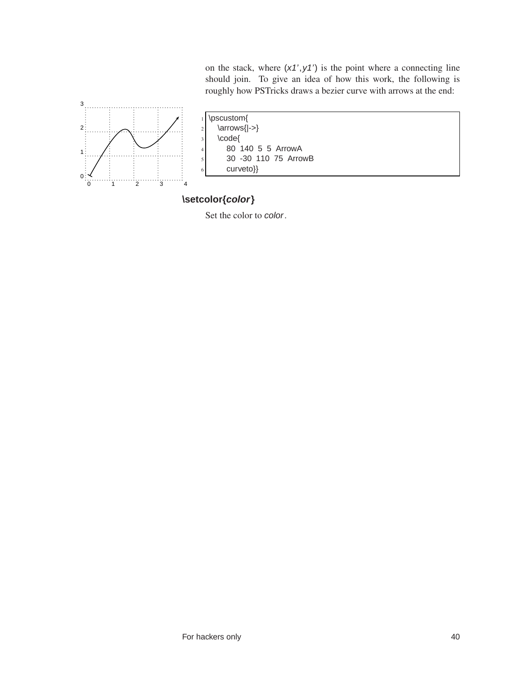on the stack, where  $(x1', y1')$  is the point where a connecting line should join. To give an idea of how this work, the following is roughly how PSTricks draws a bezier curve with arrows at the end:



|               | $1$   \pscustom{             |
|---------------|------------------------------|
|               | \arrows{ ->}<br>$\mathbf{2}$ |
| $\frac{1}{3}$ | \code{                       |
| $\frac{4}{1}$ | 80 140 5 5 ArrowA            |
| 5             | 30 - 30 110 75 ArrowB        |
| 6             | curveto}}                    |

## **\setcolor{color}**

Set the color to color.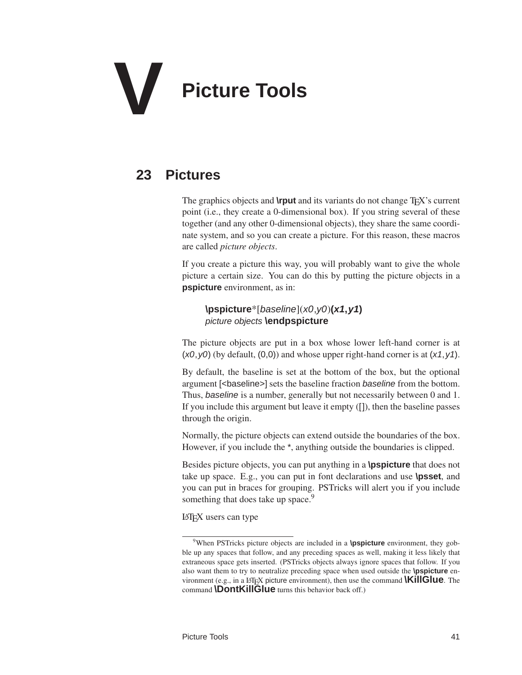# **V Picture Tools**

# **23 Pictures**

The graphics objects and **\rput** and its variants do not change TEX's current point (i.e., they create a 0-dimensional box). If you string several of these together (and any other 0-dimensional objects), they share the same coordinate system, and so you can create a picture. For this reason, these macros are called *picture objects*.

If you create a picture this way, you will probably want to give the whole picture a certain size. You can do this by putting the picture objects in a **pspicture** environment, as in:

**\pspicture**\*[baseline](x0,y0)**(x1,y1)** picture objects **\endpspicture**

The picture objects are put in a box whose lower left-hand corner is at  $(x0, y0)$  (by default,  $(0,0)$ ) and whose upper right-hand corner is at  $(x1, y1)$ .

By default, the baseline is set at the bottom of the box, but the optional argument [<br/>baseline>] sets the baseline fraction baseline from the bottom. Thus, baseline is a number, generally but not necessarily between 0 and 1. If you include this argument but leave it empty ([]), then the baseline passes through the origin.

Normally, the picture objects can extend outside the boundaries of the box. However, if you include the \*, anything outside the boundaries is clipped.

Besides picture objects, you can put anything in a **\pspicture** that does not take up space. E.g., you can put in font declarations and use **\psset**, and you can put in braces for grouping. PSTricks will alert you if you include something that does take up space.<sup>9</sup>

LATEX users can type

<sup>&</sup>lt;sup>9</sup>When PSTricks picture objects are included in a **\pspicture** environment, they gobble up any spaces that follow, and any preceding spaces as well, making it less likely that extraneous space gets inserted. (PSTricks objects always ignore spaces that follow. If you also want them to try to neutralize preceding space when used outside the **\pspicture** environment (e.g., in a L<sub>TE</sub>X picture environment), then use the command **\KillGlue**. The command **\DontKillGlue** turns this behavior back off.)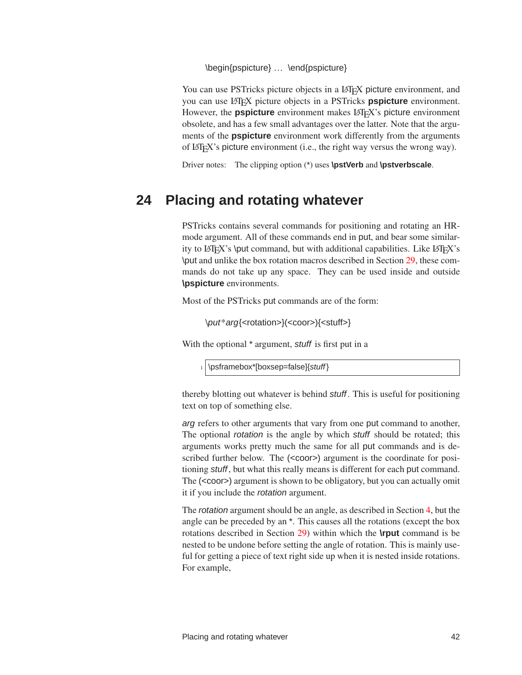\begin{pspicture} … \end{pspicture}

You can use PSTricks picture objects in a LAT<sub>E</sub>X picture environment, and you can use LATEX picture objects in a PSTricks **pspicture** environment. However, the **pspicture** environment makes LAT<sub>E</sub>X's picture environment obsolete, and has a few small advantages over the latter. Note that the arguments of the **pspicture** environment work differently from the arguments of LATEX's picture environment (i.e., the right way versus the wrong way).

Driver notes: The clipping option (\*) uses **\pstVerb** and **\pstverbscale**.

## **24 Placing and rotating whatever**

PSTricks contains several commands for positioning and rotating an HRmode argument. All of these commands end in put, and bear some similarity to LATEX's \put command, but with additional capabilities. Like LATEX's \put and unlike the box rotation macros described in Section [29,](#page-58-0) these commands do not take up any space. They can be used inside and outside **\pspicture** environments.

Most of the PSTricks put commands are of the form:

\put\*arg{<rotation>}(<coor>){<stuff>}

With the optional  $*$  argument, stuff is first put in a

 $_1$  \psframebox\*[boxsep=false]{stuff}

thereby blotting out whatever is behind stuff. This is useful for positioning text on top of something else.

arg refers to other arguments that vary from one put command to another, The optional rotation is the angle by which stuff should be rotated; this arguments works pretty much the same for all put commands and is described further below. The (<coor>) argument is the coordinate for positioning stuff, but what this really means is different for each put command. The (<coor>) argument is shown to be obligatory, but you can actually omit it if you include the rotation argument.

The rotation argument should be an angle, as described in Section [4,](#page-9-0) but the angle can be preceded by an \*. This causes all the rotations (except the box rotations described in Section [29\)](#page-58-0) within which the **\rput** command is be nested to be undone before setting the angle of rotation. This is mainly useful for getting a piece of text right side up when it is nested inside rotations. For example,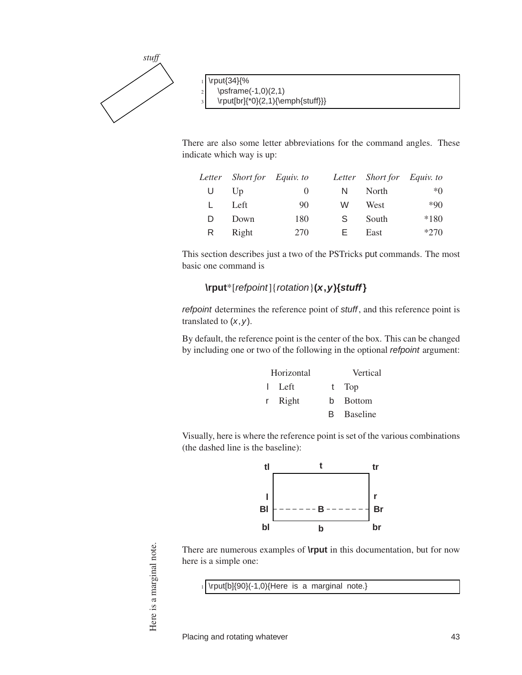

 $2 \times 1,0$  \psframe(-1,0)(2,1)  $\rput[br]\{*0\}(2,1)\{empty]$ 

There are also some letter abbreviations for the command angles. These indicate which way is up:

|    | Letter Short for Equiv. to |          |    | Letter Short for Equiv. to |        |
|----|----------------------------|----------|----|----------------------------|--------|
| U  | $U_{\mathcal{D}}$          | $\theta$ | N  | North                      | $*0$   |
|    | Left                       | 90       | W  | West                       | $*90$  |
| D. | Down                       | 180      | S. | South                      | $*180$ |
| R. | Right                      | 270      | н. | East                       | $*270$ |

This section describes just a two of the PSTricks put commands. The most basic one command is

#### **\rput**\*[refpoint]{rotation}**(x,y){stuff}**

refpoint determines the reference point of stuff, and this reference point is translated to  $(x, y)$ .

By default, the reference point is the center of the box. This can be changed by including one or two of the following in the optional refpoint argument:

| Horizontal |    | Vertical        |
|------------|----|-----------------|
| l Left     |    | t Top           |
| r Right    |    | b Bottom        |
|            | B. | <b>Baseline</b> |

Visually, here is where the reference point is set of the various combinations (the dashed line is the baseline):



There are numerous examples of **\rput** in this documentation, but for now here is a simple one:

 $1$  \rput[b]{90}(-1,0){Here is a marginal note.}

Here is a marginal note. Here is a marginal note.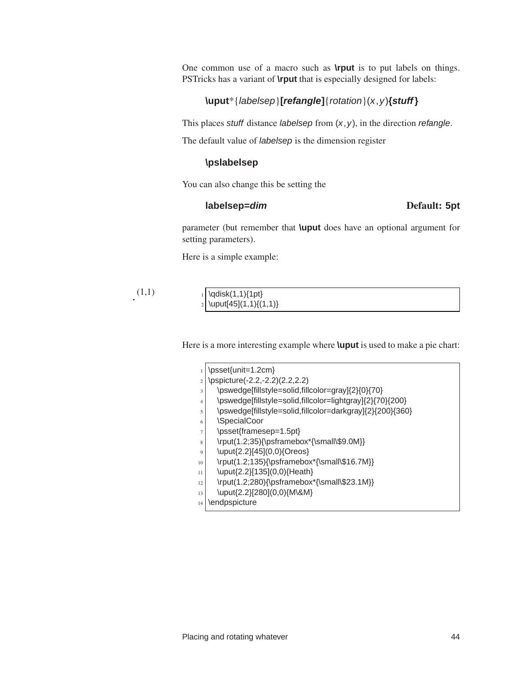One common use of a macro such as **\rput** is to put labels on things. PSTricks has a variant of **\rput** that is especially designed for labels:

#### **\uput**\*{labelsep}**[refangle]**{rotation}(x,y)**{stuff}**

This places stuff distance *labelsep* from  $(x, y)$ , in the direction *refangle*.

The default value of *labelsep* is the dimension register

#### **\pslabelsep**

You can also change this be setting the

#### **labelsep=dim** Default: **5pt**

parameter (but remember that **\uput** does have an optional argument for setting parameters).

Here is a simple example:

 $(1,1)$ 

| $_1$ \qdisk(1,1){1pt}                         |
|-----------------------------------------------|
| $\left  \text{uput}[45](1,1)\{(1,1)\}\right $ |

Here is a more interesting example where **\uput** is used to make a pie chart:

|                | \psset{unit=1.2cm}                                        |
|----------------|-----------------------------------------------------------|
|                |                                                           |
| $\overline{c}$ | \pspicture(-2.2,-2.2)(2.2,2.2)                            |
| 3              | \pswedge[fillstyle=solid,fillcolor=gray]{2}{0}{70}        |
| 4              | \pswedge[fillstyle=solid,fillcolor=lightgray]{2}{70}{200} |
| 5              | \pswedge[fillstyle=solid,fillcolor=darkgray]{2}{200}{360} |
| 6              | \SpecialCoor                                              |
| 7              | \psset{framesep=1.5pt}                                    |
| 8              | \rput(1.2;35){\psframebox*{\small\\$9.0M}}                |
| 9              | \uput{2.2}[45](0,0){Oreos}                                |
| 10             | \rput(1.2;135){\psframebox*{\small\\$16.7M}}              |
| 11             | \uput{2.2}[135](0,0){Heath}                               |
| 12             | \rput(1.2;280){\psframebox*{\small\\$23.1M}}              |
| 13             | \uput{2.2}[280](0,0){M\&M}                                |
| 14             | \endpspicture                                             |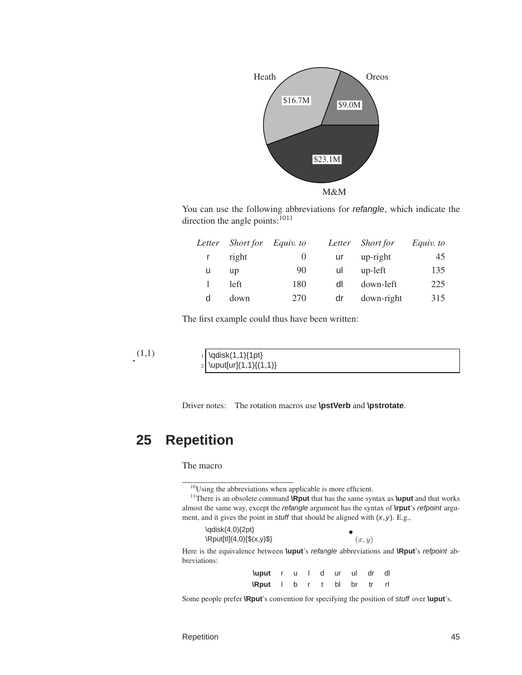

You can use the following abbreviations for refangle, which indicate the direction the angle points:<sup>1011</sup>

| Letter | <i>Short for</i> | Equiv. to |    | Letter Short for | Equiv. to |
|--------|------------------|-----------|----|------------------|-----------|
| r      | right            | $\theta$  | ur | up-right         | 45        |
| u      | up               | 90        | ul | up-left          | 135       |
|        | left             | 180       | dl | down-left        | 225       |
| d      | down             | 270       | dr | down-right       | 315       |

The first example could thus have been written:

(1,1) <sup>1</sup> \qdisk(1,1){1pt}  $\frac{1}{2} \begin{pmatrix} \frac{1}{1} & 1 \end{pmatrix}$ 

Driver notes: The rotation macros use **\pstVerb** and **\pstrotate**.

# **25 Repetition**

The macro

<sup>&</sup>lt;sup>11</sup>There is an obsolete command **\Rput** that has the same syntax as **\uput** and that works almost the same way, except the refangle argument has the syntax of **\rput**'s refpoint argument, and it gives the point in *stuff* that should be aligned with  $(x, y)$ . E.g.,

| $\qquad(4,0)\{2pt\}$               |        |
|------------------------------------|--------|
| $\Re\text{put}[t](4,0)\{\$(x,y)\$$ | (x, y) |

Here is the equivalence between **\uput**'s refangle abbreviations and **\Rput**'s refpoint abbreviations:

| <b>\uput</b> r u I d ur ul dr dl |  |  |  |  |
|----------------------------------|--|--|--|--|
| <b>\Rput</b> I b r t bl br tr rl |  |  |  |  |

Some people prefer **\Rput**'s convention for specifying the position of stuff over **\uput**'s.

 $10$ Using the abbreviations when applicable is more efficient.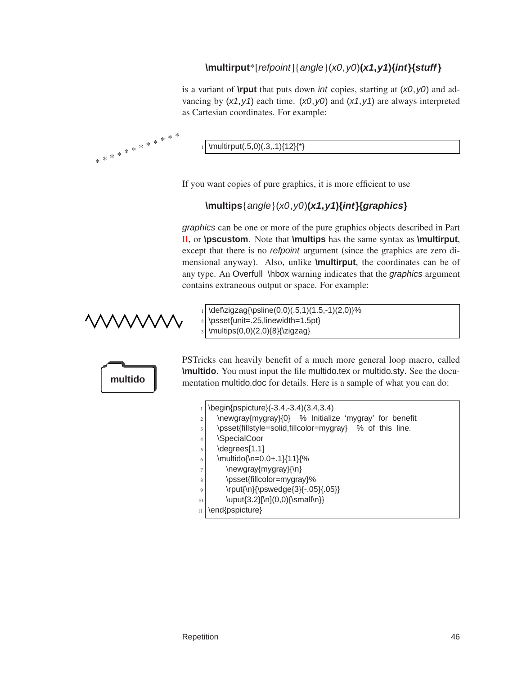## **\multirput**\*[refpoint]{angle}(x0,y0)**(x1,y1){int}{stuff}**

is a variant of **\rput** that puts down int copies, starting at (x0,y0) and advancing by  $(x1, y1)$  each time.  $(x0, y0)$  and  $(x1, y1)$  are always interpreted as Cartesian coordinates. For example:

\multirput(.5,0)(.3,.1){12}{\*}

If you want copies of pure graphics, it is more efficient to use

### **\multips**{angle}(x0,y0)**(x1,y1){int}{graphics}**

graphics can be one or more of the pure graphics objects described in Part [II,](#page-13-0) or **\pscustom**. Note that **\multips** has the same syntax as **\multirput**, except that there is no refpoint argument (since the graphics are zero dimensional anyway). Also, unlike **\multirput**, the coordinates can be of any type. An Overfull \hbox warning indicates that the graphics argument contains extraneous output or space. For example:

\* \* \* \* \* \* \* \* \* \* \*

\*

 $\def\zigzag{\psi(0,0)(.5,1)(1.5,-1)(2,0)}\%$  $_2$  \psset{unit=.25,linewidth=1.5pt}  $\mbox{10,0}(2,0)$ {8}{\zigzag}

PSTricks can heavily benefit of a much more general loop macro, called **\multido**. You must input the file multido.tex or multido.sty. See the docu**multido** mentation multido.doc for details. Here is a sample of what you can do:

> \begin{pspicture}(-3.4,-3.4)(3.4,3.4)  $2 \times 2$  \newgray{mygray}{0} % Initialize 'mygray' for benefit  $3$  \psset{fillstyle=solid,fillcolor=mygray} % of this line. 4 \SpecialCoor  $5$  \degrees[1.1]  $6$  \multido{\n=0.0+.1}{11}{%  $7$  \newgray{mygray}{\n}  $|$  \psset{fillcolor=mygray}%

- $9$  \rput{\n}{\pswedge{3}{-.05}{.05}}
- $_{10}$  \uput{3.2}[\n](0,0){\small\n}}
- 11 | \end{pspicture}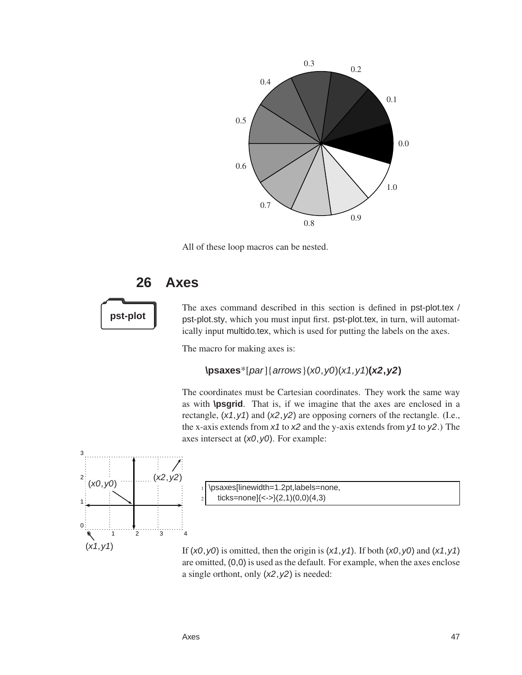

All of these loop macros can be nested.

# **26 Axes**

The axes command described in this section is defined in pst-plot.tex / **pst-plot** pst-plot.sty, which you must input first. pst-plot.tex, in turn, will automatically input multido.tex, which is used for putting the labels on the axes.

The macro for making axes is:

### **\psaxes**\*[par]{arrows}(x0,y0)(x1,y1)**(x2,y2)**

The coordinates must be Cartesian coordinates. They work the same way as with **\psgrid**. That is, if we imagine that the axes are enclosed in a rectangle,  $(x1, y1)$  and  $(x2, y2)$  are opposing corners of the rectangle. (I.e., the x-axis extends from  $x1$  to  $x2$  and the y-axis extends from  $y1$  to  $y2$ .) The axes intersect at  $(x0, y0)$ . For example:



\psaxes[linewidth=1.2pt,labels=none, ticks=none] $\{<- \} (2,1)(0,0)(4,3)$ 

If  $(x0, y0)$  is omitted, then the origin is  $(x1, y1)$ . If both  $(x0, y0)$  and  $(x1, y1)$ are omitted, (0,0) is used as the default. For example, when the axes enclose a single orthont, only  $(x2, y2)$  is needed: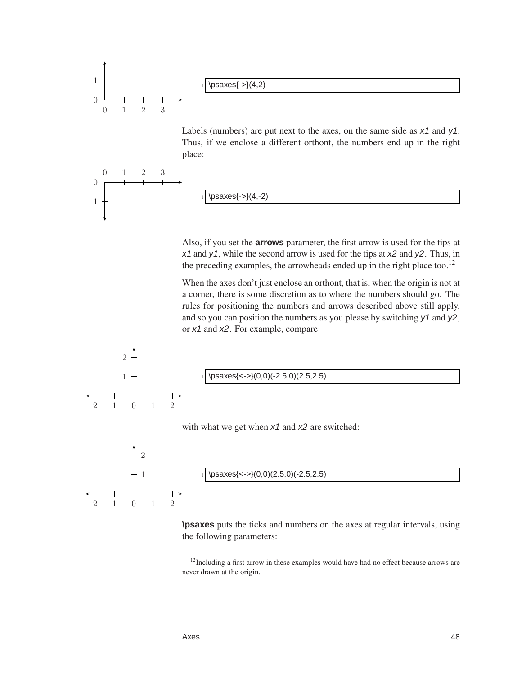

Labels (numbers) are put next to the axes, on the same side as  $x1$  and  $y1$ . Thus, if we enclose a different orthont, the numbers end up in the right place:



0 1 2 3

0

1

 $\begin{subarray}{l} \text{1} \\ \text{1} \\ \text{2} \end{subarray}$ 

Also, if you set the **arrows** parameter, the first arrow is used for the tips at  $x_1$  and  $y_1$ , while the second arrow is used for the tips at  $x_2$  and  $y_2$ . Thus, in the preceding examples, the arrowheads ended up in the right place too.<sup>12</sup>

When the axes don't just enclose an orthont, that is, when the origin is not at a corner, there is some discretion as to where the numbers should go. The rules for positioning the numbers and arrows described above still apply, and so you can position the numbers as you please by switching  $y_1$  and  $y_2$ , or x1 and x2. For example, compare



**\psaxes** puts the ticks and numbers on the axes at regular intervals, using the following parameters:



<sup>&</sup>lt;sup>12</sup>Including a first arrow in these examples would have had no effect because arrows are never drawn at the origin.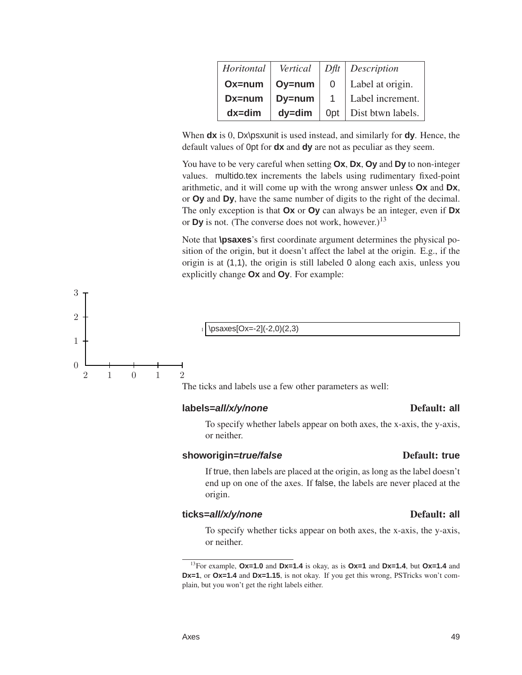| Horitontal | Vertical   |                 | $DBt$ Description |
|------------|------------|-----------------|-------------------|
| Ox=num     | Oy=num     | 0               | Label at origin.  |
| Dx=num     | Dy=num     | $\mathbf{1}$    | Label increment.  |
| $dx = dim$ | $dy = dim$ | 0 <sub>pt</sub> | Dist btwn labels. |

When **dx** is 0, Dx\psxunit is used instead, and similarly for **dy**. Hence, the default values of 0pt for **dx** and **dy** are not as peculiar as they seem.

You have to be very careful when setting **Ox**, **Dx**, **Oy** and **Dy** to non-integer values. multido.tex increments the labels using rudimentary fixed-point arithmetic, and it will come up with the wrong answer unless **Ox** and **Dx**, or **Oy** and **Dy**, have the same number of digits to the right of the decimal. The only exception is that **Ox** or **Oy** can always be an integer, even if **Dx** or **Dy** is not. (The converse does not work, however.)<sup>13</sup>

Note that **\psaxes**'s first coordinate argument determines the physical position of the origin, but it doesn't affect the label at the origin. E.g., if the origin is at (1,1), the origin is still labeled 0 along each axis, unless you explicitly change **Ox** and **Oy**. For example:



The ticks and labels use a few other parameters as well:

#### **labels=all/x/y/none** Default: **all**

2 1 0 1 2

0

1

2

3

#### To specify whether labels appear on both axes, the x-axis, the y-axis, or neither.

### **showorigin=***true/false* Default: true

If true, then labels are placed at the origin, as long as the label doesn't end up on one of the axes. If false, the labels are never placed at the origin.

## **ticks=all/x/y/none** Default: **all**

To specify whether ticks appear on both axes, the x-axis, the y-axis, or neither.

<sup>13</sup>For example, **Ox=1.0** and **Dx=1.4** is okay, as is **Ox=1** and **Dx=1.4**, but **Ox=1.4** and **Dx=1**, or **Ox=1.4** and **Dx=1.15**, is not okay. If you get this wrong, PSTricks won't complain, but you won't get the right labels either.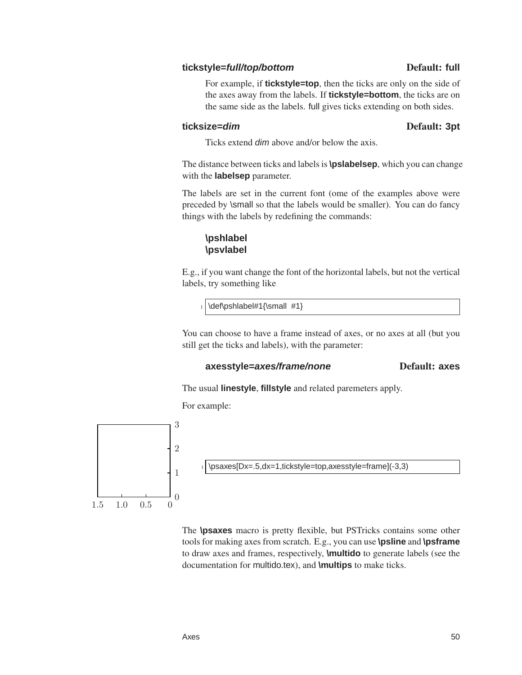#### **tickstyle=full/top/bottom** Default: **full**

For example, if **tickstyle=top**, then the ticks are only on the side of the axes away from the labels. If **tickstyle=bottom**, the ticks are on the same side as the labels. full gives ticks extending on both sides.

#### **ticksize=dim** Default: **3pt**

Ticks extend dim above and/or below the axis.

The distance between ticks and labels is**\pslabelsep**, which you can change with the **labelsep** parameter.

The labels are set in the current font (ome of the examples above were preceded by \small so that the labels would be smaller). You can do fancy things with the labels by redefining the commands:

#### **\pshlabel \psvlabel**

E.g., if you want change the font of the horizontal labels, but not the vertical labels, try something like

\def\pshlabel#1{\small #1}

You can choose to have a frame instead of axes, or no axes at all (but you still get the ticks and labels), with the parameter:

#### **axesstyle=axes/frame/none** Default: **axes**

The usual **linestyle**, **fillstyle** and related paremeters apply.

For example:



The **\psaxes** macro is pretty flexible, but PSTricks contains some other tools for making axes from scratch. E.g., you can use **\psline** and **\psframe** to draw axes and frames, respectively, **\multido** to generate labels (see the documentation for multido.tex), and **\multips** to make ticks.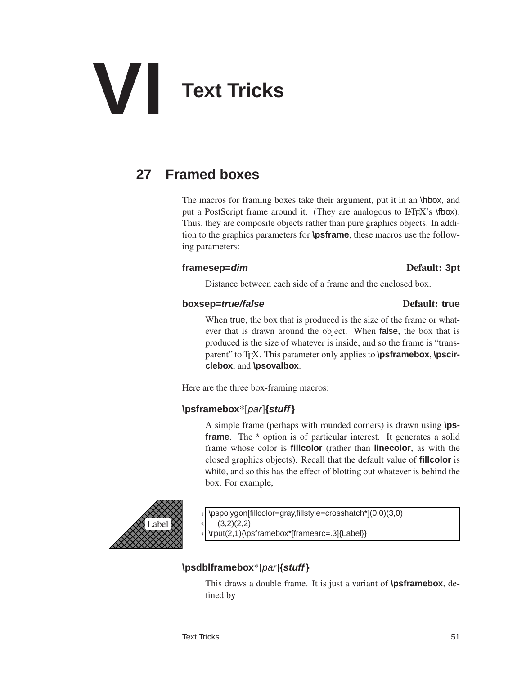# **VI Text Tricks**

# **27 Framed boxes**

The macros for framing boxes take their argument, put it in an \hbox, and put a PostScript frame around it. (They are analogous to LATEX's \fbox). Thus, they are composite objects rather than pure graphics objects. In addition to the graphics parameters for **\psframe**, these macros use the following parameters:

#### **framesep=dim** Default: **3pt**

Distance between each side of a frame and the enclosed box.

#### **boxsep=***true/false* Default: true

When true, the box that is produced is the size of the frame or whatever that is drawn around the object. When false, the box that is produced is the size of whatever is inside, and so the frame is "transparent" to T<sub>E</sub>X. This parameter only applies to **\psframebox**, **\pscirclebox**, and **\psovalbox**.

Here are the three box-framing macros:

### **\psframebox**\*[par]**{stuff}**

A simple frame (perhaps with rounded corners) is drawn using **\psframe**. The \* option is of particular interest. It generates a solid frame whose color is **fillcolor** (rather than **linecolor**, as with the closed graphics objects). Recall that the default value of **fillcolor** is white, and so this has the effect of blotting out whatever is behind the box. For example,



\pspolygon[fillcolor=gray,fillstyle=crosshatch\*](0,0)(3,0)

 $2 \mid (3,2)(2,2)$ 

<sup>3</sup> \rput(2,1){\psframebox\*[framearc=.3]{Label}}

## **\psdblframebox**\*[par]**{stuff}**

This draws a double frame. It is just a variant of **\psframebox**, defined by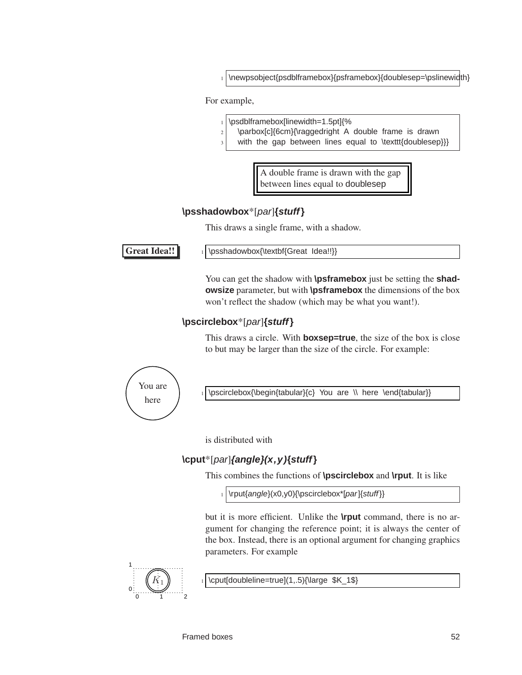\newpsobject{psdblframebox}{psframebox}{doublesep=\pslinewidth}

For example,

- <sup>1</sup> \psdblframebox[linewidth=1.5pt]{%
- $2$  \parbox[c]{6cm}{\raggedright A double frame is drawn
	- with the gap between lines equal to \texttt{doublesep}}}

A double frame is drawn with the gap between lines equal to doublesep

#### **\psshadowbox**\*[par]**{stuff}**

This draws a single frame, with a shadow.

Great Idea!!  $\|\$  \psshadowbox{\textbf{Great Idea!!}}

You can get the shadow with **\psframebox** just be setting the **shadowsize** parameter, but with **\psframebox** the dimensions of the box won't reflect the shadow (which may be what you want!).

## **\pscirclebox**\*[par]**{stuff}**

This draws a circle. With **boxsep=true**, the size of the box is close to but may be larger than the size of the circle. For example:

You are here

\pscirclebox{\begin{tabular}{c} You are \\ here \end{tabular}}

is distributed with

## **\cput**\*[par]**{angle}(x,y){stuff}**

This combines the functions of **\pscirclebox** and **\rput**. It is like

1 \rput{angle}(x0,y0){\pscirclebox\*[par]{stuff}}

but it is more efficient. Unlike the **\rput** command, there is no argument for changing the reference point; it is always the center of the box. Instead, there is an optional argument for changing graphics parameters. For example



\cput[doubleline=true](1,.5){\large \$K\_1\$}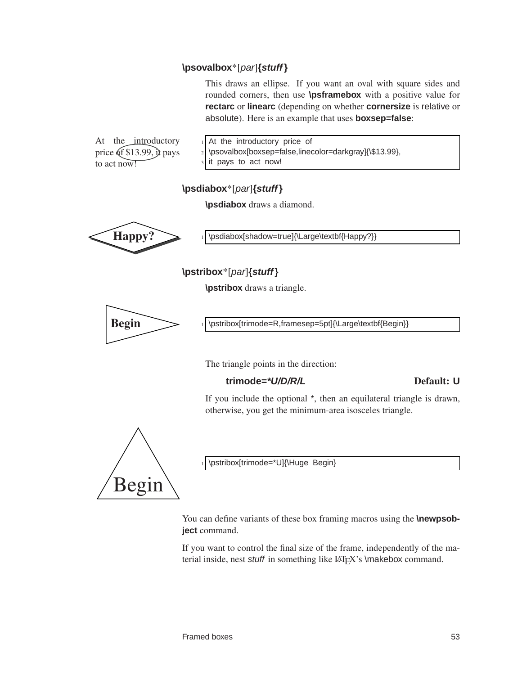#### **\psovalbox**\*[par]**{stuff}**

This draws an ellipse. If you want an oval with square sides and rounded corners, then use **\psframebox** with a positive value for **rectarc** or **linearc** (depending on whether **cornersize** is relative or absolute). Here is an example that uses **boxsep=false**:

At the introductory price  $(f \$13.99)$ ,  $\mu$  pays to act now!

 $1$  At the introductory price of 2 \psovalbox[boxsep=false,linecolor=darkgray]{\\$13.99}, it pays to act now!

#### **\psdiabox**\*[par]**{stuff}**

**\psdiabox** draws a diamond.



Happy? 1 \psdiabox[shadow=true]{\Large\textbf{Happy?}}

**\pstribox**\*[par]**{stuff}**

**\pstribox** draws a triangle.



Begin 1 \pstribox[trimode=R,framesep=5pt]{\Large\textbf{Begin}}

The triangle points in the direction:

#### **trimode=\*U/D/R/L** Default: **U**

If you include the optional \*, then an equilateral triangle is drawn, otherwise, you get the minimum-area isosceles triangle.

Begin

\pstribox[trimode=\*U]{\Huge Begin}

You can define variants of these box framing macros using the **\newpsobject** command.

If you want to control the final size of the frame, independently of the material inside, nest stuff in something like LAT<sub>EX</sub>'s \makebox command.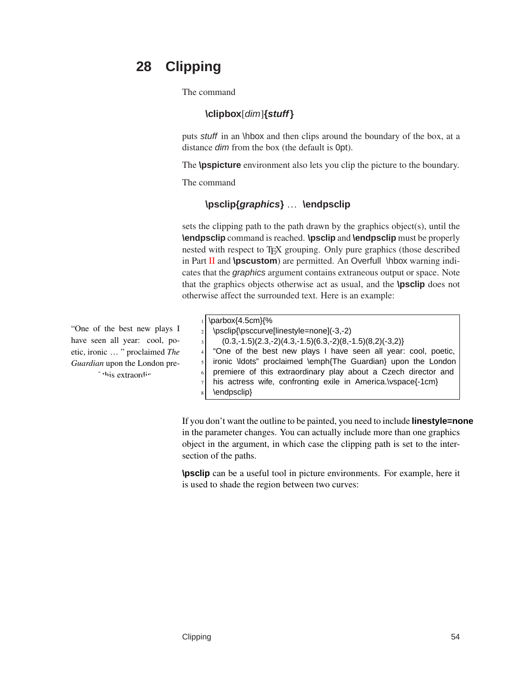# **28 Clipping**

The command

### **\clipbox**[dim]**{stuff}**

puts stuff in an \hbox and then clips around the boundary of the box, at a distance dim from the box (the default is 0pt).

The **\pspicture** environment also lets you clip the picture to the boundary.

The command

### **\psclip{graphics}** … **\endpsclip**

sets the clipping path to the path drawn by the graphics object(s), until the **\endpsclip** command is reached. **\psclip** and **\endpsclip** must be properly nested with respect to T<sub>E</sub>X grouping. Only pure graphics (those described in Part [II](#page-13-0) and **\pscustom**) are permitted. An Overfull \hbox warning indicates that the graphics argument contains extraneous output or space. Note that the graphics objects otherwise act as usual, and the **\psclip** does not otherwise affect the surrounded text. Here is an example:

"One of the best new plays I have seen all year: cool, poetic, ironic … " proclaimed *The Guardian* upon the London pre-<sup>c</sup>this extraording

|                | $_1$ \parbox{4.5cm}{%                                          |
|----------------|----------------------------------------------------------------|
|                | 2 \psclip{\psccurve[linestyle=none](-3,-2)                     |
| $\overline{3}$ | $(0.3,-1.5)(2.3,-2)(4.3,-1.5)(6.3,-2)(8,-1.5)(8,2)(-3,2)$      |
| 4 <sup>1</sup> | "One of the best new plays I have seen all year: cool, poetic, |
| 5 <sup>1</sup> | ironic \ldots" proclaimed \emph{The Guardian} upon the London  |
| 6 <sup>1</sup> | premiere of this extraordinary play about a Czech director and |
| 7 <sup>1</sup> | his actress wife, confronting exile in America.\vspace{-1cm}   |
| $\mathbf{8}$   | \endpsclip}                                                    |

If you don't want the outline to be painted, you need to include **linestyle=none** in the parameter changes. You can actually include more than one graphics object in the argument, in which case the clipping path is set to the intersection of the paths.

**\psclip** can be a useful tool in picture environments. For example, here it is used to shade the region between two curves: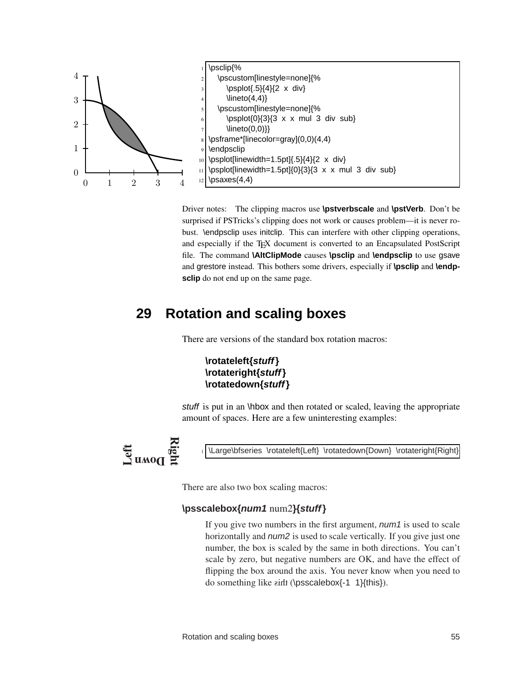

Driver notes: The clipping macros use **\pstverbscale** and **\pstVerb**. Don't be surprised if PSTricks's clipping does not work or causes problem—it is never robust. \endpsclip uses initclip. This can interfere with other clipping operations, and especially if the TEX document is converted to an Encapsulated PostScript file. The command **\AltClipMode** causes **\psclip** and **\endpsclip** to use gsave and grestore instead. This bothers some drivers, especially if **\psclip** and **\endpsclip** do not end up on the same page.

# **29 Rotation and scaling boxes**

<span id="page-58-0"></span>There are versions of the standard box rotation macros:

#### **\rotateleft{stuff} \rotateright{stuff} \rotatedown{stuff}**

stuff is put in an \hbox and then rotated or scaled, leaving the appropriate amount of spaces. Here are a few uninteresting examples:



\Large\bfseries \rotateleft{Left} \rotatedown{Down} \rotateright{Right}

There are also two box scaling macros:

#### **\psscalebox{num1** num2**}{stuff}**

If you give two numbers in the first argument, num1 is used to scale horizontally and num2 is used to scale vertically. If you give just one number, the box is scaled by the same in both directions. You can't scale by zero, but negative numbers are OK, and have the effect of flipping the box around the axis. You never know when you need to do something like  $\sinh(\text{DSScalebox} - 1 \cdot 1}{\text{this})$ .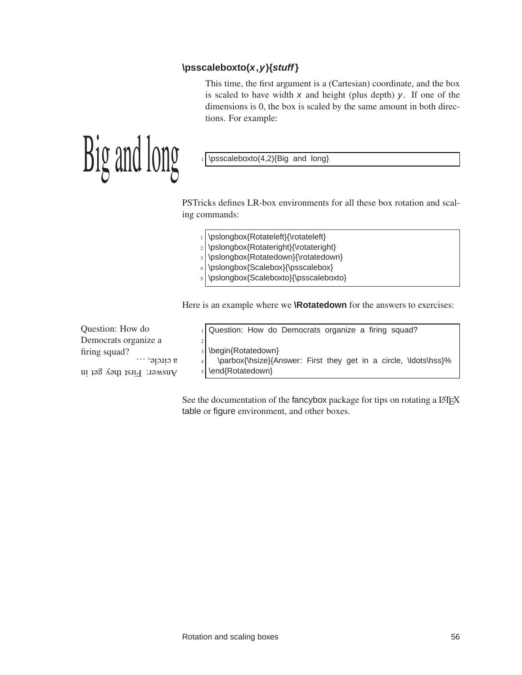#### **\psscaleboxto(x,y){stuff}**

This time, the first argument is a (Cartesian) coordinate, and the box is scaled to have width  $x$  and height (plus depth)  $y$ . If one of the dimensions is 0, the box is scaled by the same amount in both directions. For example:

 $\lim_{\epsilon \to 0} \lim_{\epsilon \to 0}$  1 \psscaleboxto(4,2){Big and long}

PSTricks defines LR-box environments for all these box rotation and scaling commands:

- \pslongbox{Rotateleft}{\rotateleft}
- 2 \pslongbox{Rotateright}{\rotateright}
- 3 \pslongbox{Rotatedown}{\rotatedown}
- <sup>4</sup> \pslongbox{Scalebox}{\psscalebox}
- \pslongbox{Scaleboxto}{\psscaleboxto}

Here is an example where we **\Rotatedown** for the answers to exercises:

| Question: How do             | 1 Question: How do Democrats organize a firing squad?            |
|------------------------------|------------------------------------------------------------------|
| Democrats organize a         |                                                                  |
| firing squad?                | 3 \begin{Rotatedown}                                             |
| $a$ circle, $\ldots$         | \parbox{\hsize}{Answer: First they get in a circle, \ldots\hss}% |
| Answer: $H_1$ is the year in | s   \end{Rotatedown}                                             |

See the documentation of the fancybox package for tips on rotating a LATEX table or figure environment, and other boxes.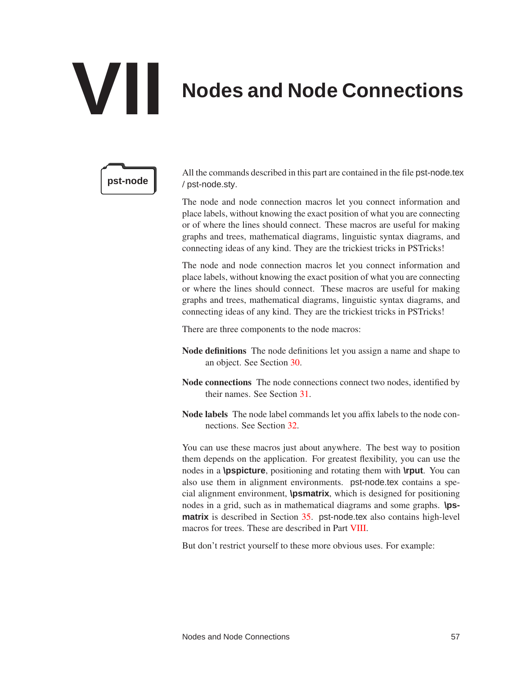# **VII Nodes and Node Connections**



All the commands described in this part are contained in the file pst-node.tex **pst-node** / pst-node.sty.

> The node and node connection macros let you connect information and place labels, without knowing the exact position of what you are connecting or of where the lines should connect. These macros are useful for making graphs and trees, mathematical diagrams, linguistic syntax diagrams, and connecting ideas of any kind. They are the trickiest tricks in PSTricks!

> The node and node connection macros let you connect information and place labels, without knowing the exact position of what you are connecting or where the lines should connect. These macros are useful for making graphs and trees, mathematical diagrams, linguistic syntax diagrams, and connecting ideas of any kind. They are the trickiest tricks in PSTricks!

There are three components to the node macros:

- Node definitions The node definitions let you assign a name and shape to an object. See Section [30.](#page-61-0)
- Node connections The node connections connect two nodes, identified by their names. See Section [31.](#page-63-0)
- Node labels The node label commands let you affix labels to the node connections. See Section [32.](#page-72-0)

You can use these macros just about anywhere. The best way to position them depends on the application. For greatest flexibility, you can use the nodes in a **\pspicture**, positioning and rotating them with **\rput**. You can also use them in alignment environments. pst-node.tex contains a special alignment environment, **\psmatrix**, which is designed for positioning nodes in a grid, such as in mathematical diagrams and some graphs. **\psmatrix** is described in Section [35.](#page-78-0) pst-node.tex also contains high-level macros for trees. These are described in Part [VIII.](#page-85-0)

But don't restrict yourself to these more obvious uses. For example: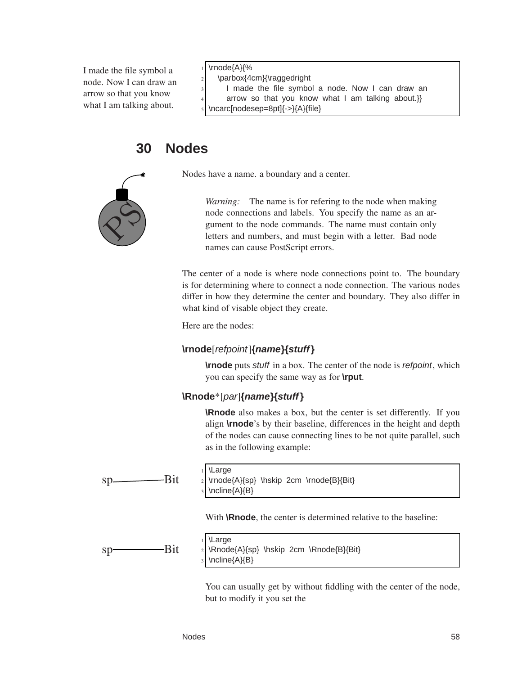I made the file symbol a node. Now I can draw an arrow so that you know what I am talking about.

#### \rnode{A}{%

- \parbox{4cm}{\raggedright
- I made the file symbol a node. Now I can draw an
- arrow so that you know what I am talking about.}}
- <span id="page-61-0"></span>\ncarc[nodesep=8pt]{->}{A}{file}

# **30 Nodes**

 $\chi^2$ 

Nodes have a name. a boundary and a center.

*Warning:* The name is for refering to the node when making node connections and labels. You specify the name as an argument to the node commands. The name must contain only letters and numbers, and must begin with a letter. Bad node names can cause PostScript errors.

The center of a node is where node connections point to. The boundary is for determining where to connect a node connection. The various nodes differ in how they determine the center and boundary. They also differ in what kind of visable object they create.

Here are the nodes:

#### **\rnode**[refpoint]**{name}{stuff}**

**\rnode** puts stuff in a box. The center of the node is refpoint, which you can specify the same way as for **\rput**.

#### **\Rnode**\*[par]**{name}{stuff}**

**\Rnode** also makes a box, but the center is set differently. If you align **\rnode**'s by their baseline, differences in the height and depth of the nodes can cause connecting lines to be not quite parallel, such as in the following example:



**\Large** \rnode{A}{sp} \hskip 2cm \rnode{B}{Bit} \ncline{A}{B}

With **\Rnode**, the center is determined relative to the baseline:



**\Large** \Rnode{A}{sp} \hskip 2cm \Rnode{B}{Bit} \ncline{A}{B}

You can usually get by without fiddling with the center of the node, but to modify it you set the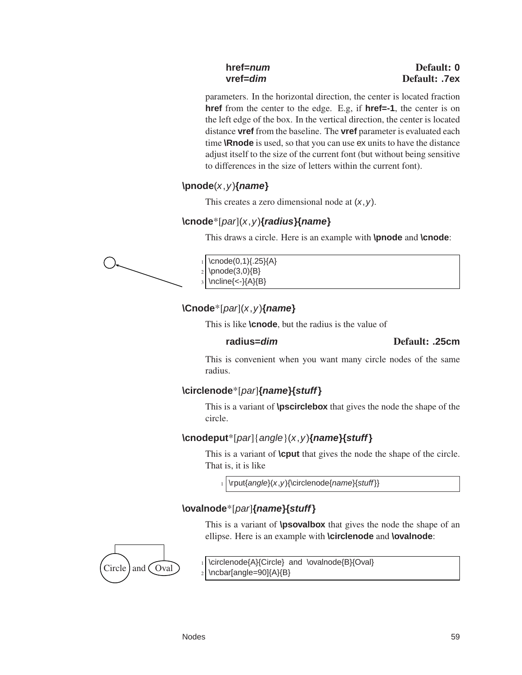parameters. In the horizontal direction, the center is located fraction **href** from the center to the edge. E.g, if **href=-1**, the center is on the left edge of the box. In the vertical direction, the center is located distance **vref** from the baseline. The **vref** parameter is evaluated each time **\Rnode** is used, so that you can use ex units to have the distance adjust itself to the size of the current font (but without being sensitive to differences in the size of letters within the current font).

## **\pnode**(x,y)**{name}**

This creates a zero dimensional node at  $(x, y)$ .

## **\cnode**\*[par](x,y)**{radius}{name}**

This draws a circle. Here is an example with **\pnode** and **\cnode**:



 $\cnode(0,1)\{.25\}$ A}  $\pmod{(3,0)}$ \ncline{<-}{A}{B}

## **\Cnode**\*[par](x,y)**{name}**

This is like **\cnode**, but the radius is the value of

#### **radius=dim** Default: **.25cm**

This is convenient when you want many circle nodes of the same radius.

### **\circlenode**\*[par]**{name}{stuff}**

This is a variant of **\pscirclebox** that gives the node the shape of the circle.

## **\cnodeput**\*[par]{angle}(x,y)**{name}{stuff}**

This is a variant of **\cput** that gives the node the shape of the circle. That is, it is like

 $_1$  \rput{angle}(x,y){\circlenode{name}{stuff}}

## **\ovalnode**\*[par]**{name}{stuff}**

This is a variant of **\psovalbox** that gives the node the shape of an ellipse. Here is an example with **\circlenode** and **\ovalnode**:



 $Circle$  and  $\overline{Oval}$  1 \circlenode{A}{Circle} and \ovalnode{B}{Oval} \ncbar[angle=90]{A}{B}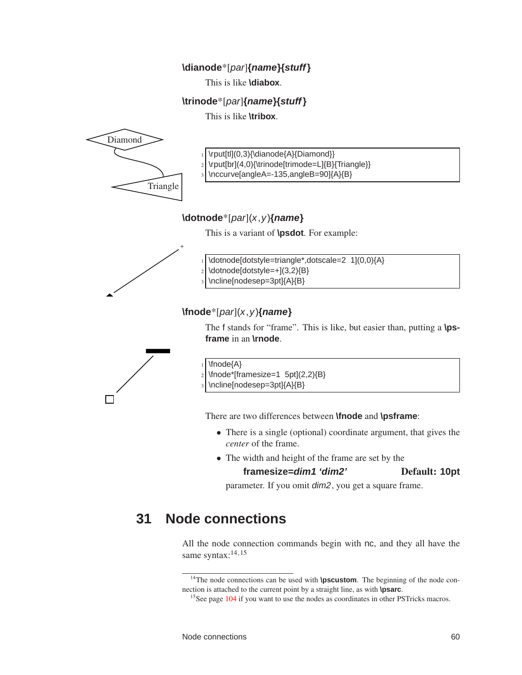#### **\dianode**\*[par]**{name}{stuff}**

This is like **\diabox**.

#### **\trinode**\*[par]**{name}{stuff}**

This is like **\tribox**.



- \rput[tl](0,3){\dianode{A}{Diamond}}
- \rput[br](4,0){\trinode[trimode=L]{B}{Triangle}}
- \nccurve[angleA=-135,angleB=90]{A}{B}

#### **\dotnode**\*[par](x,y)**{name}**

This is a variant of **\psdot**. For example:



\dotnode[dotstyle=triangle\*,dotscale=2 1](0,0){A} \dotnode[dotstyle=+](3,2){B} \ncline[nodesep=3pt]{A}{B}

## **\fnode**\*[par](x,y)**{name}**

The f stands for "frame". This is like, but easier than, putting a **\psframe** in an **\rnode**.



\fnode{A}

 $\frac{\frac{2}{3}}{B}$ 

\ncline[nodesep=3pt]{A}{B}

There are two differences between **\fnode** and **\psframe**:

- There is a single (optional) coordinate argument, that gives the *center* of the frame.
- The width and height of the frame are set by the

### **framesize=dim1 'dim2'** Default: **10pt**

<span id="page-63-0"></span>parameter. If you omit dim2, you get a square frame.

# **31 Node connections**

All the node connection commands begin with nc, and they all have the same syntax:<sup>14,15</sup>

<sup>&</sup>lt;sup>14</sup>The node connections can be used with **\pscustom**. The beginning of the node connection is attached to the current point by a straight line, as with **\psarc**.

<sup>&</sup>lt;sup>15</sup>See page [104](#page-107-0) if you want to use the nodes as coordinates in other PSTricks macros.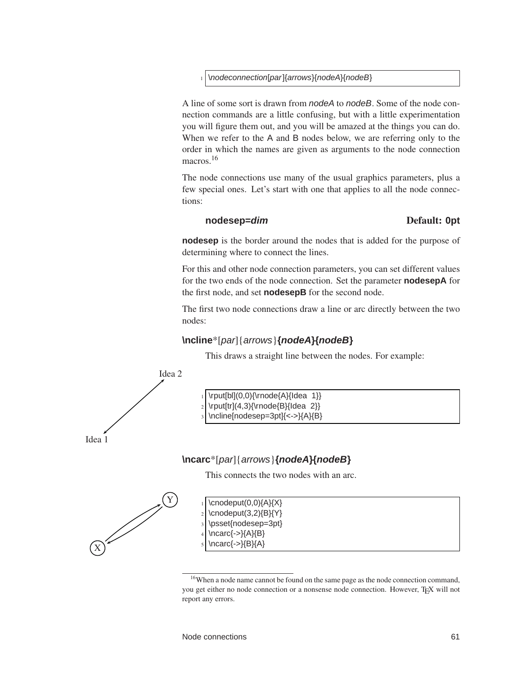#### \nodeconnection[par]{arrows}{nodeA}{nodeB}

A line of some sort is drawn from nodeA to nodeB. Some of the node connection commands are a little confusing, but with a little experimentation you will figure them out, and you will be amazed at the things you can do. When we refer to the A and B nodes below, we are referring only to the order in which the names are given as arguments to the node connection macros.<sup>16</sup>

The node connections use many of the usual graphics parameters, plus a few special ones. Let's start with one that applies to all the node connections:

#### **nodesep=dim** Default: **0pt**

**nodesep** is the border around the nodes that is added for the purpose of determining where to connect the lines.

For this and other node connection parameters, you can set different values for the two ends of the node connection. Set the parameter **nodesepA** for the first node, and set **nodesepB** for the second node.

The first two node connections draw a line or arc directly between the two nodes:

#### **\ncline**\*[par]{arrows}**{nodeA}{nodeB}**

 $\rput[b][(0,0)\{\rnot[k]\}]$  $\rput[tr](4,3){\rnode{B}}ldea 2}$ \ncline[nodesep=3pt]{<->}{A}{B}

This draws a straight line between the nodes. For example:



**\ncarc**\*[par]{arrows}**{nodeA}{nodeB}**

This connects the two nodes with an arc.





<sup>&</sup>lt;sup>16</sup>When a node name cannot be found on the same page as the node connection command, you get either no node connection or a nonsense node connection. However, T<sub>E</sub>X will not report any errors.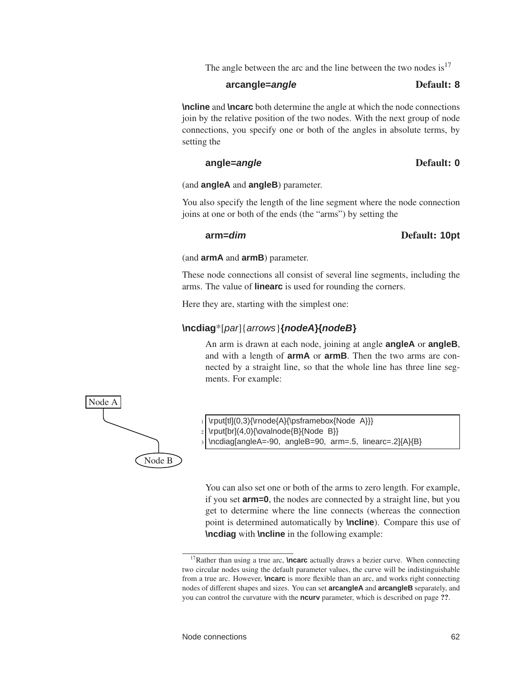The angle between the arc and the line between the two nodes is  $17$ 

#### **arcangle=angle** Default: **8**

**\ncline** and **\ncarc** both determine the angle at which the node connections join by the relative position of the two nodes. With the next group of node connections, you specify one or both of the angles in absolute terms, by setting the

#### **angle=angle** Default: **0**

(and **angleA** and **angleB**) parameter.

You also specify the length of the line segment where the node connection joins at one or both of the ends (the "arms") by setting the

#### **arm=dim** Default: **10pt**

#### (and **armA** and **armB**) parameter.

These node connections all consist of several line segments, including the arms. The value of **linearc** is used for rounding the corners.

Here they are, starting with the simplest one:

#### **\ncdiag**\*[par]{arrows}**{nodeA}{nodeB}**

An arm is drawn at each node, joining at angle **angleA** or **angleB**, and with a length of **armA** or **armB**. Then the two arms are connected by a straight line, so that the whole line has three line segments. For example:



\rput[tl](0,3){\rnode{A}{\psframebox{Node A}}}  $\rput[br](4,0){\normal\dnode{B}}\Node B\}$ 

\ncdiag[angleA=-90, angleB=90, arm=.5, linearc=.2]{A}{B}

You can also set one or both of the arms to zero length. For example, if you set **arm=0**, the nodes are connected by a straight line, but you get to determine where the line connects (whereas the connection point is determined automatically by **\ncline**). Compare this use of **\ncdiag** with **\ncline** in the following example:

<sup>&</sup>lt;sup>17</sup>Rather than using a true arc, **\ncarc** actually draws a bezier curve. When connecting two circular nodes using the default parameter values, the curve will be indistinguishable from a true arc. However, **\ncarc** is more flexible than an arc, and works right connecting nodes of different shapes and sizes. You can set **arcangleA** and **arcangleB** separately, and you can control the curvature with the **ncurv** parameter, which is described on page ??.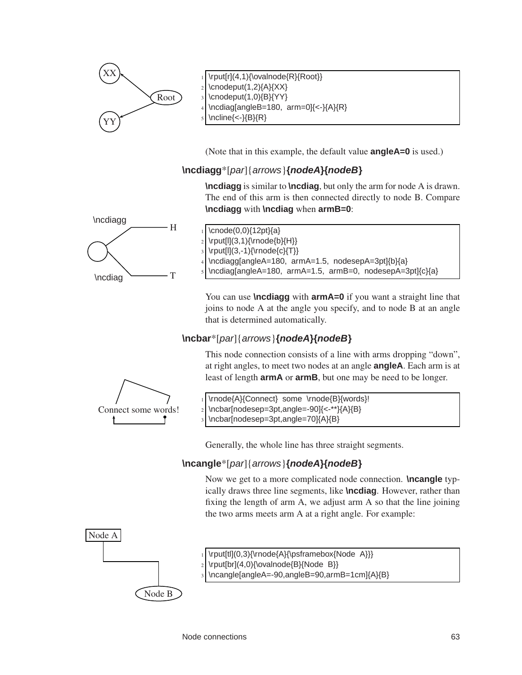

(Note that in this example, the default value **angleA=0** is used.)

## **\ncdiagg**\*[par]{arrows}**{nodeA}{nodeB}**

**\ncdiagg** is similar to **\ncdiag**, but only the arm for node A is drawn. The end of this arm is then connected directly to node B. Compare **\ncdiagg** with **\ncdiag** when **armB=0**:



\cnode(0,0){12pt}{a}  $\rput[1](3,1)\{\rnot\in\Bbb{N}_{H}\}$  $\rput[1](3,-1){\rnode{c}{T}}$ \ncdiagg[angleA=180, armA=1.5, nodesepA=3pt]{b}{a} \ncdiag[angleA=180, armA=1.5, armB=0, nodesepA=3pt]{c}{a}

You can use **\ncdiagg** with **armA=0** if you want a straight line that joins to node A at the angle you specify, and to node B at an angle that is determined automatically.

### **\ncbar**\*[par]{arrows}**{nodeA}{nodeB}**

This node connection consists of a line with arms dropping "down", at right angles, to meet two nodes at an angle **angleA**. Each arm is at least of length **armA** or **armB**, but one may be need to be longer.



\rnode{A}{Connect} some \rnode{B}{words}! \ncbar[nodesep=3pt,angle=-90]{<-\*\*}{A}{B} \ncbar[nodesep=3pt,angle=70]{A}{B}

Generally, the whole line has three straight segments.

### **\ncangle**\*[par]{arrows}**{nodeA}{nodeB}**

Now we get to a more complicated node connection. **\ncangle** typically draws three line segments, like **\ncdiag**. However, rather than fixing the length of arm A, we adjust arm A so that the line joining the two arms meets arm A at a right angle. For example:



 $\rput[tl](0,3)\{\rnot{A}\}\psfrank{Inde}\snot{A}\$ 

- \rput[br](4,0){\ovalnode{B}{Node B}}
- \ncangle[angleA=-90,angleB=90,armB=1cm]{A}{B}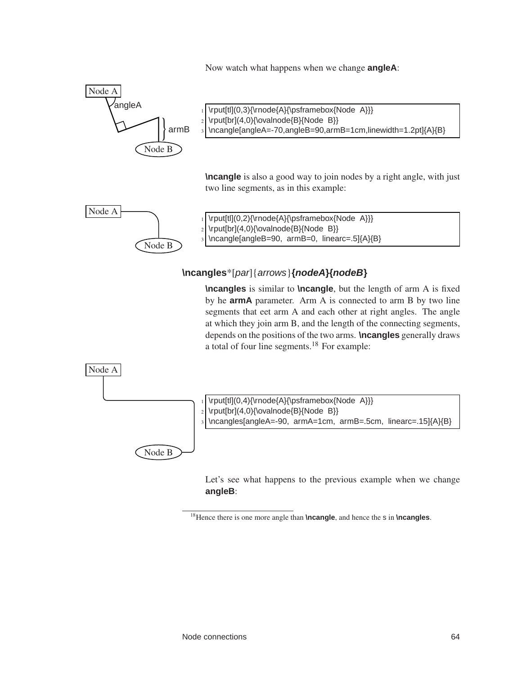Now watch what happens when we change **angleA**:



### **\ncangles**\*[par]{arrows}**{nodeA}{nodeB}**

**\ncangles** is similar to **\ncangle**, but the length of arm A is fixed by he **armA** parameter. Arm A is connected to arm B by two line segments that eet arm A and each other at right angles. The angle at which they join arm B, and the length of the connecting segments, depends on the positions of the two arms. **\ncangles** generally draws a total of four line segments.<sup>18</sup> For example:



Let's see what happens to the previous example when we change **angleB**:

<sup>18</sup>Hence there is one more angle than **\ncangle**, and hence the s in **\ncangles**.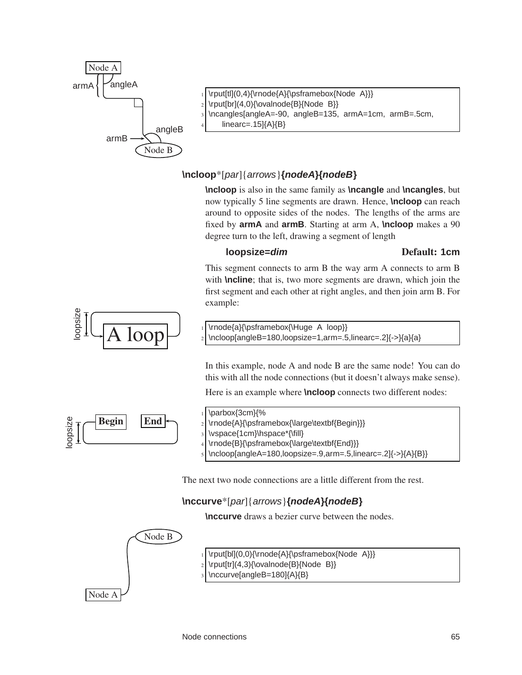

- \rput[tl](0,4){\rnode{A}{\psframebox{Node A}}}
- $\rvert\$ [br](4,0){\ovalnode{B}{Node B}}
- \ncangles[angleA=-90, angleB=135, armA=1cm, armB=.5cm,
	- $linear = .15$  ${A}$  ${B}$

## **\ncloop**\*[par]{arrows}**{nodeA}{nodeB}**

**\ncloop** is also in the same family as **\ncangle** and **\ncangles**, but now typically 5 line segments are drawn. Hence, **\ncloop** can reach around to opposite sides of the nodes. The lengths of the arms are fixed by **armA** and **armB**. Starting at arm A, **\ncloop** makes a 90 degree turn to the left, drawing a segment of length

#### **loopsize=***dim* Default: 1cm

This segment connects to arm B the way arm A connects to arm B with **\ncline**; that is, two more segments are drawn, which join the first segment and each other at right angles, and then join arm B. For example:



 $\overline{\text{A loop}}$   $\overline{\text{1-loop}}$   $\overline{\text{1-loop}}$   $\overline{\text{1-loop}}$  \ncloop[angleB=180,loopsize=1,arm=.5,linearc=.2]{->}{a}{a}

In this example, node A and node B are the same node! You can do this with all the node connections (but it doesn't always make sense).

Here is an example where **\ncloop** connects two different nodes:





- \rnode{B}{\psframebox{\large\textbf{End}}}
- \ncloop[angleA=180,loopsize=.9,arm=.5,linearc=.2]{->}{A}{B}}

The next two node connections are a little different from the rest.

## **\nccurve**\*[par]{arrows}**{nodeA}{nodeB}**

**\nccurve** draws a bezier curve between the nodes.

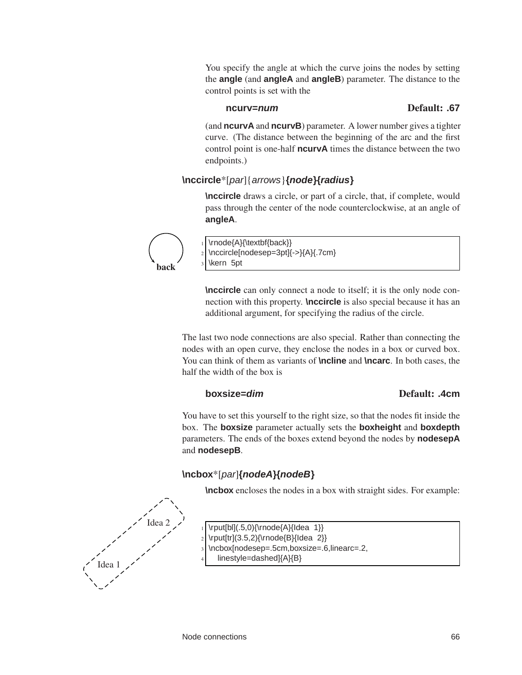You specify the angle at which the curve joins the nodes by setting the **angle** (and **angleA** and **angleB**) parameter. The distance to the control points is set with the

#### **ncurv=num** Default: **.67**

(and **ncurvA** and **ncurvB**) parameter. A lower number gives a tighter curve. (The distance between the beginning of the arc and the first control point is one-half **ncurvA** times the distance between the two endpoints.)

#### **\nccircle**\*[par]{arrows}**{node}{radius}**

**\nccircle** draws a circle, or part of a circle, that, if complete, would pass through the center of the node counterclockwise, at an angle of **angleA**.



\rnode{A}{\textbf{back}}

\nccircle[nodesep=3pt]{->}{A}{.7cm}

\kern 5pt

**\nccircle** can only connect a node to itself; it is the only node connection with this property. **\nccircle** is also special because it has an additional argument, for specifying the radius of the circle.

The last two node connections are also special. Rather than connecting the nodes with an open curve, they enclose the nodes in a box or curved box. You can think of them as variants of **\ncline** and **\ncarc**. In both cases, the half the width of the box is

#### **boxsize=***dim* Default: **.4cm**

You have to set this yourself to the right size, so that the nodes fit inside the box. The **boxsize** parameter actually sets the **boxheight** and **boxdepth** parameters. The ends of the boxes extend beyond the nodes by **nodesepA** and **nodesepB**.

### **\ncbox**\*[par]**{nodeA}{nodeB}**

**\ncbox** encloses the nodes in a box with straight sides. For example:



- \rput[bl] $(.5,0)\{\$ rnode ${A}{\ldots 1}\}$
- \rput[tr](3.5,2){\rnode{B}{Idea 2}}
- \ncbox[nodesep=.5cm,boxsize=.6,linearc=.2,
- linestyle=dashed]{A}{B}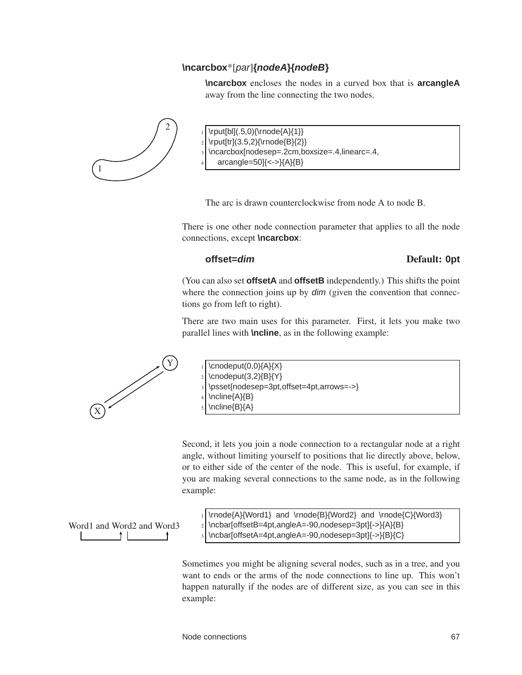#### **\ncarcbox**\*[par]**{nodeA}{nodeB}**

**\ncarcbox** encloses the nodes in a curved box that is **arcangleA** away from the line connecting the two nodes.



 $\rput[b][.5,0){\rnode{A}{1}}$  $\rput[tr](3.5,2)\{\rrnode{B}{2}\}$ 

\ncarcbox[nodesep=.2cm,boxsize=.4,linearc=.4,

 $arcangle=50$ ] $\{<- \} \{A\} \{B\}$ 

The arc is drawn counterclockwise from node A to node B.

There is one other node connection parameter that applies to all the node connections, except **\ncarcbox**:

#### **offset=dim** Default: **0pt**

(You can also set **offsetA** and **offsetB** independently.) This shifts the point where the connection joins up by *dim* (given the convention that connections go from left to right).

There are two main uses for this parameter. First, it lets you make two parallel lines with **\ncline**, as in the following example:



 $Y$  1 \cnodeput(0,0){A}{X}  $\c{nondeput}(3,2)\$ B $\Y$ <sup>3</sup> \psset{nodesep=3pt,offset=4pt,arrows=->} \ncline{A}{B} \ncline{B}{A}

Second, it lets you join a node connection to a rectangular node at a right angle, without limiting yourself to positions that lie directly above, below, or to either side of the center of the node. This is useful, for example, if you are making several connections to the same node, as in the following example:

Word1 and Word2 and Word3

 $_1$  \rnode{A}{Word1} and \rnode{B}{Word2} and \rnode{C}{Word3} <sup>2</sup> \ncbar[offsetB=4pt,angleA=-90,nodesep=3pt]{->}{A}{B} \ncbar[offsetA=4pt,angleA=-90,nodesep=3pt]{->}{B}{C}

Sometimes you might be aligning several nodes, such as in a tree, and you want to ends or the arms of the node connections to line up. This won't happen naturally if the nodes are of different size, as you can see in this example: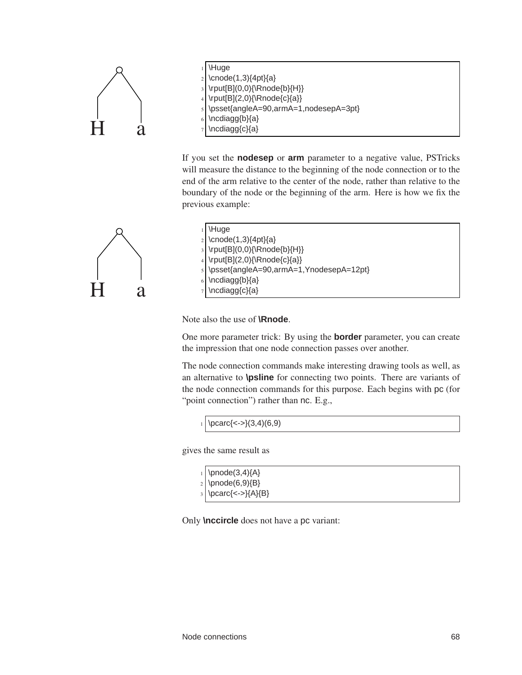



If you set the **nodesep** or **arm** parameter to a negative value, PSTricks will measure the distance to the beginning of the node connection or to the end of the arm relative to the center of the node, rather than relative to the boundary of the node or the beginning of the arm. Here is how we fix the previous example:



| $1$ Huge                                                                                                                |
|-------------------------------------------------------------------------------------------------------------------------|
| $\frac{1}{2} \cdot (1,3)\{4pt\}\{a\}$                                                                                   |
|                                                                                                                         |
|                                                                                                                         |
| 3<br> \rput[B](0,0){\Rnode{b}{H}}<br> <br> rput[B](2,0){\Rnode{c}{a}}<br> s<br> \psset{angleA=90,armA=1,YnodesepA=12pt} |
| $6$ \ncdiagg{b}{a}                                                                                                      |
| $7$ \ncdiagg{c}{a}                                                                                                      |
|                                                                                                                         |

Note also the use of **\Rnode**.

One more parameter trick: By using the **border** parameter, you can create the impression that one node connection passes over another.

The node connection commands make interesting drawing tools as well, as an alternative to **\psline** for connecting two points. There are variants of the node connection commands for this purpose. Each begins with pc (for "point connection") rather than nc. E.g.,

```
_1 \pcarc{<->}(3,4)(6,9)
```
gives the same result as

| $\begin{array}{c}\n \downarrow \text{}\text{pnode}(3,4)\{A\} \\  \downarrow \text{pnode}(6,9)\{B\} \\  \downarrow \text{pcare}\{\texttt{>}\{A\}\{B\}\}\n\end{array}$ |
|----------------------------------------------------------------------------------------------------------------------------------------------------------------------|

Only **\nccircle** does not have a pc variant: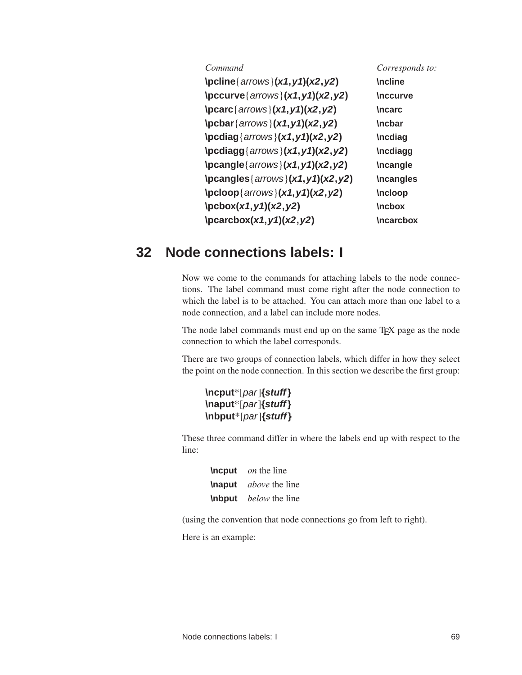| Command                                                                                      | Corresponds to:  |
|----------------------------------------------------------------------------------------------|------------------|
| \pcline { $arrows$ } $(x1, y1)$ $(x2, y2)$                                                   | <b>\ncline</b>   |
| $\text{locurve}\{arrows\} (x1, y1)(x2, y2)$                                                  | <b>Inccurve</b>  |
| $\frac{arrows}{x1, y1)(x2, y2)}$                                                             | <b>\ncarc</b>    |
| $\beta \frac{arrows}{x1, y1)(x2, y2)}$                                                       | <b>\ncbar</b>    |
| $\boldsymbol{\alpha} \{ \text{arrows} \} (x1, y1) (x2, y2)$                                  | <b>Incdiag</b>   |
| $\boldsymbol{\omega}(x_1, y_1)(x_2, y_2)$                                                    | <b>Incdiagg</b>  |
| $\begin{bmatrix} \frac{3}{2} \\ \frac{3}{2} \end{bmatrix}$                                   | <b>Incangle</b>  |
| \pcangles{ $arrows$ }( $x1, y1$ )( $x2, y2$ )                                                | <b>Incangles</b> |
| $\boldsymbol{\mathsf{por}(\mathsf{arrows}(\mathsf{x1},\mathsf{y1})(\mathsf{x2},\mathsf{y2})$ | <b>Incloop</b>   |
| $\text{pcbox}(x1, y1)(x2, y2)$                                                               | <b>Inchox</b>    |
| $\frac{xy}{x^2, y^2}$                                                                        | <b>\ncarcbox</b> |

# **32 Node connections labels: I**

Now we come to the commands for attaching labels to the node connections. The label command must come right after the node connection to which the label is to be attached. You can attach more than one label to a node connection, and a label can include more nodes.

The node label commands must end up on the same T<sub>E</sub>X page as the node connection to which the label corresponds.

There are two groups of connection labels, which differ in how they select the point on the node connection. In this section we describe the first group:

```
\ncput*[par]{stuff}
\naput*[par]{stuff}
\nbput*[par]{stuff}
```
These three command differ in where the labels end up with respect to the line:

| <b>\ncput</b> | on the line                         |
|---------------|-------------------------------------|
|               | <b>\naput</b> <i>above</i> the line |
|               | <b>\nbput</b> <i>below</i> the line |

(using the convention that node connections go from left to right).

Here is an example: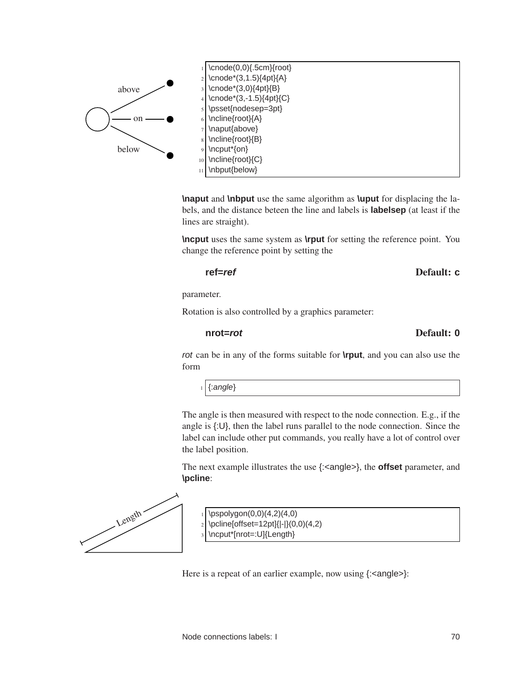

**\naput** and **\nbput** use the same algorithm as **\uput** for displacing the labels, and the distance beteen the line and labels is **labelsep** (at least if the lines are straight).

**\ncput** uses the same system as **\rput** for setting the reference point. You change the reference point by setting the

**ref=ref** Default: **c**

parameter.

Rotation is also controlled by a graphics parameter:

## **nrot=rot** Default: **0**

rot can be in any of the forms suitable for **\rput**, and you can also use the form

 $_1$  {: angle}

The angle is then measured with respect to the node connection. E.g., if the angle is {:U}, then the label runs parallel to the node connection. Since the label can include other put commands, you really have a lot of control over the label position.

The next example illustrates the use {:<angle>}, the **offset** parameter, and **\pcline**:



 $\pspolygon(0,0)(4,2)(4,0)$ 

- $_2$  \pcline[offset=12pt]{|-|}(0,0)(4,2)
- \ncput\*[nrot=:U]{Length}

Here is a repeat of an earlier example, now using  $\{:\text{angle}\}$ :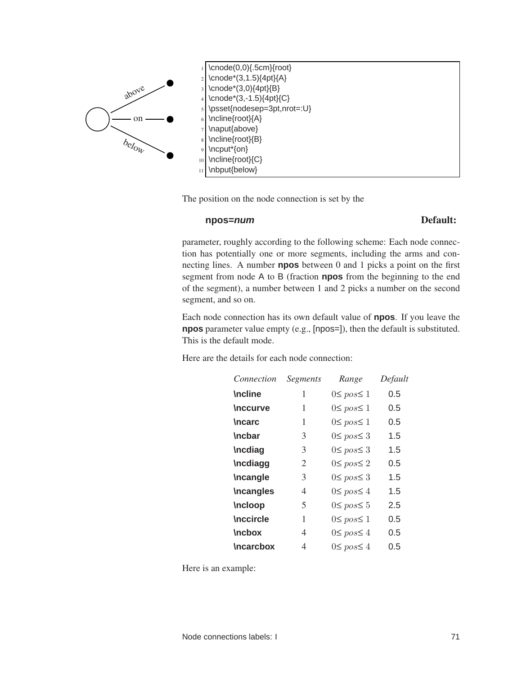

The position on the node connection is set by the

### **npos=num** Default:

parameter, roughly according to the following scheme: Each node connection has potentially one or more segments, including the arms and connecting lines. A number **npos** between 0 and 1 picks a point on the first segment from node A to B (fraction **npos** from the beginning to the end of the segment), a number between 1 and 2 picks a number on the second segment, and so on.

Each node connection has its own default value of **npos**. If you leave the **npos** parameter value empty (e.g., [npos=]), then the default is substituted. This is the default mode.

Here are the details for each node connection:

| Connection       | <b>Segments</b> | Range               | Default |
|------------------|-----------------|---------------------|---------|
| <b>\ncline</b>   | 1               | $0 \leq pos \leq 1$ | 0.5     |
| <b>\nccurve</b>  | 1               | $0 \leq pos \leq 1$ | 0.5     |
| <b>\ncarc</b>    | 1               | $0 \leq pos \leq 1$ | 0.5     |
| <b>\ncbar</b>    | 3               | $0 \leq pos \leq 3$ | 1.5     |
| <b>Incdiag</b>   | 3               | $0 \leq pos \leq 3$ | 1.5     |
| <b>Incdiagg</b>  | 2               | $0 \leq pos \leq 2$ | 0.5     |
| <b>\ncangle</b>  | 3               | $0 \leq pos \leq 3$ | 1.5     |
| <b>Incangles</b> | 4               | $0 \leq pos \leq 4$ | 1.5     |
| <b>Incloop</b>   | 5               | $0 \leq pos \leq 5$ | 2.5     |
| <b>Inccircle</b> | 1               | $0 \leq pos \leq 1$ | 0.5     |
| <b>\ncbox</b>    | 4               | $0 \leq pos \leq 4$ | 0.5     |
| <b>\ncarcbox</b> | 4               | $0 \leq pos \leq 4$ | 0.5     |

Here is an example: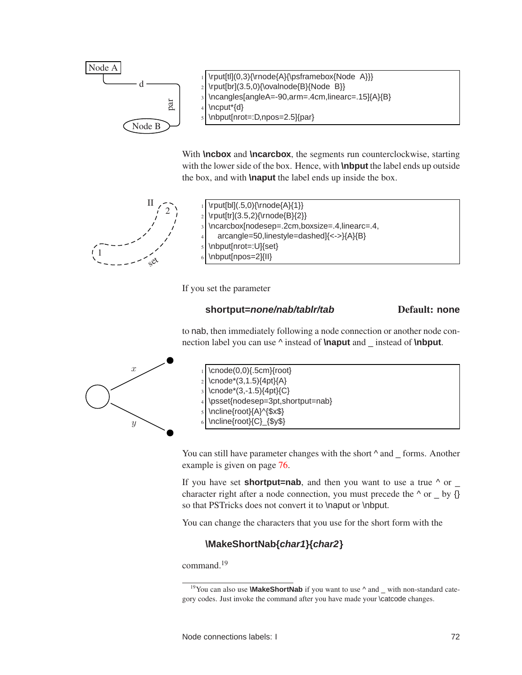

With **\ncbox** and **\ncarcbox**, the segments run counterclockwise, starting with the lower side of the box. Hence, with **\nbput** the label ends up outside the box, and with **\naput** the label ends up inside the box.



 $\prod_{r \in \Lambda} \frac{1}{\text{b}!(.5,0)\{\text{mode}\{A\}}\}$ \rput[tr](3.5,2){\rnode{B}{2}} \ncarcbox[nodesep=.2cm,boxsize=.4,linearc=.4, <sup>4</sup> arcangle=50,linestyle=dashed]{<->}{A}{B} \nbput[nrot=:U]{set} \nbput[npos=2]{II}

If you set the parameter

## **shortput=none/nab/tablr/tab** Default: **none**

to nab, then immediately following a node connection or another node connection label you can use ^ instead of **\naput** and \_ instead of **\nbput**.



 $\c{0,0}$ {.5cm}{root} \cnode\*(3,1.5){4pt}{A} \cnode\*(3,-1.5){4pt}{C} \psset{nodesep=3pt,shortput=nab} \ncline{root}{A}^{\$x\$} \ncline{root}{C}\_{\$y\$}

You can still have parameter changes with the short  $\wedge$  and \_ forms. Another example is given on page [76.](#page-78-0)

If you have set **shortput=nab**, and then you want to use a true  $\wedge$  or  $\overline{\phantom{a}}$ character right after a node connection, you must precede the  $\wedge$  or by  $\{\}$ so that PSTricks does not convert it to \naput or \nbput.

You can change the characters that you use for the short form with the

## **\MakeShortNab{char1}{char2}**

command.<sup>19</sup>

<sup>&</sup>lt;sup>19</sup>You can also use **\MakeShortNab** if you want to use  $\wedge$  and \_ with non-standard category codes. Just invoke the command after you have made your \catcode changes.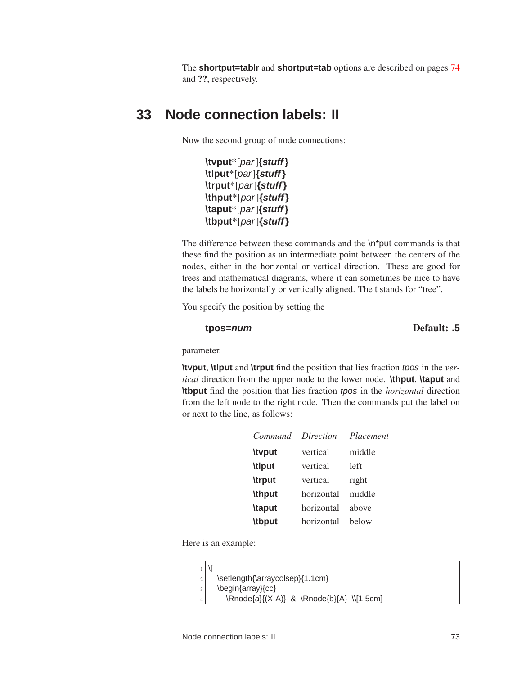<span id="page-76-0"></span>The **shortput=tablr** and **shortput=tab** options are described on pages [74](#page-76-0) and ??, respectively.

# **33 Node connection labels: II**

Now the second group of node connections:

**\tvput**\*[par]**{stuff} \tlput**\*[par]**{stuff} \trput**\*[par]**{stuff} \thput**\*[par]**{stuff} \taput**\*[par]**{stuff} \tbput**\*[par]**{stuff}**

The difference between these commands and the \n\*put commands is that these find the position as an intermediate point between the centers of the nodes, either in the horizontal or vertical direction. These are good for trees and mathematical diagrams, where it can sometimes be nice to have the labels be horizontally or vertically aligned. The t stands for "tree".

You specify the position by setting the

## **tpos=num** Default: **.5**

parameter.

**\tvput**, **\tlput** and **\trput** find the position that lies fraction tpos in the *vertical* direction from the upper node to the lower node. **\thput**, **\taput** and **\tbput** find the position that lies fraction tpos in the *horizontal* direction from the left node to the right node. Then the commands put the label on or next to the line, as follows:

| Command       | Direction  | Placement |
|---------------|------------|-----------|
| <b>\typut</b> | vertical   | middle    |
| <b>\tlput</b> | vertical   | left      |
| <b>\trput</b> | vertical   | right     |
| <b>\thput</b> | horizontal | middle    |
| <b>\taput</b> | horizontal | above     |
| <b>\tbput</b> | horizontal | helow     |

Here is an example:

|   | $1$   $\sqrt{}$ |                                 |
|---|-----------------|---------------------------------|
| 2 |                 | \setlength{\arraycolsep}{1.1cm} |

```
3 \begin{array}{cc}
```

```
4 \Rnode{a}{(X-A)} & \Rnode{b}{A} \\[1.5cm]
```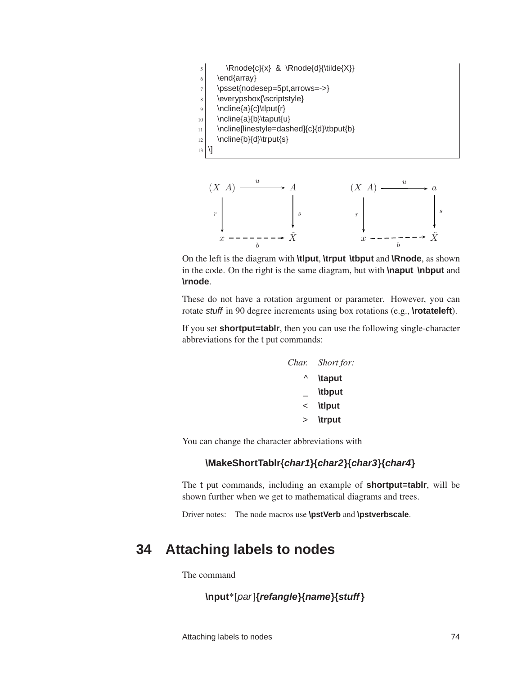



On the left is the diagram with **\tlput**, **\trput \tbput** and **\Rnode**, as shown in the code. On the right is the same diagram, but with **\naput \nbput** and **\rnode**.

These do not have a rotation argument or parameter. However, you can rotate stuff in 90 degree increments using box rotations (e.g., **\rotateleft**).

If you set **shortput=tablr**, then you can use the following single-character abbreviations for the t put commands:

| Char. | Short for:    |
|-------|---------------|
| Λ     | <b>\taput</b> |
|       | <b>\tbput</b> |
| <     | <b>\tlput</b> |
|       | <b>\trput</b> |

You can change the character abbreviations with

## **\MakeShortTablr{char1}{char2}{char3}{char4}**

The t put commands, including an example of **shortput=tablr**, will be shown further when we get to mathematical diagrams and trees.

Driver notes: The node macros use **\pstVerb** and **\pstverbscale**.

# **34 Attaching labels to nodes**

The command

# **\nput**\*[par]**{refangle}{name}{stuff}**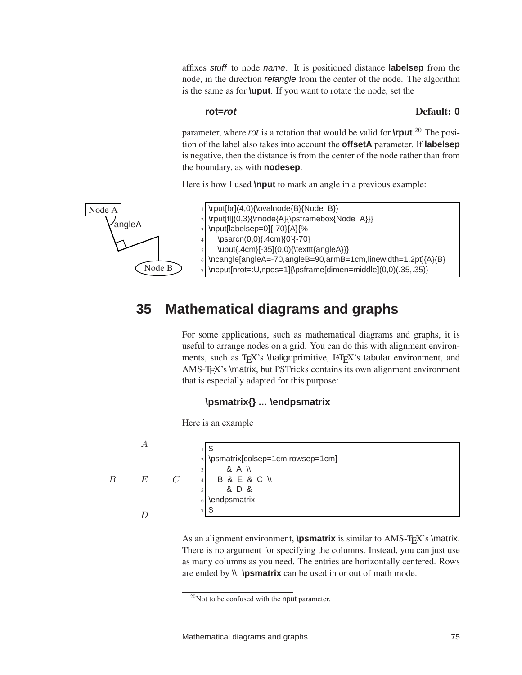affixes stuff to node name. It is positioned distance **labelsep** from the node, in the direction refangle from the center of the node. The algorithm is the same as for **\uput**. If you want to rotate the node, set the

### **rot=rot** Default: **0**

parameter, where rot is a rotation that would be valid for **\rput**. <sup>20</sup> The position of the label also takes into account the **offsetA** parameter. If **labelsep** is negative, then the distance is from the center of the node rather than from the boundary, as with **nodesep**.

Here is how I used **\nput** to mark an angle in a previous example:



# **35 Mathematical diagrams and graphs**

<span id="page-78-0"></span>For some applications, such as mathematical diagrams and graphs, it is useful to arrange nodes on a grid. You can do this with alignment environments, such as T<sub>E</sub>X's \halignprimitive, LAT<sub>E</sub>X's tabular environment, and AMS-TEX's \matrix, but PSTricks contains its own alignment environment that is especially adapted for this purpose:

## **\psmatrix{} ... \endpsmatrix**

Here is an example

|   |   |               | J                                  |
|---|---|---------------|------------------------------------|
|   |   |               | 2 \psmatrix[colsep=1cm,rowsep=1cm] |
|   |   |               | & A \\                             |
| B | E | $\mathcal{C}$ | <b>B &amp; E &amp; C \\</b>        |
|   |   |               | & D &                              |
|   |   |               | \endpsmatrix                       |
|   |   |               | J                                  |
|   |   |               |                                    |

As an alignment environment, **\psmatrix** is similar to AMS-T<sub>E</sub>X's \matrix. There is no argument for specifying the columns. Instead, you can just use as many columns as you need. The entries are horizontally centered. Rows are ended by \\. **\psmatrix** can be used in or out of math mode.

 $20$ Not to be confused with the nput parameter.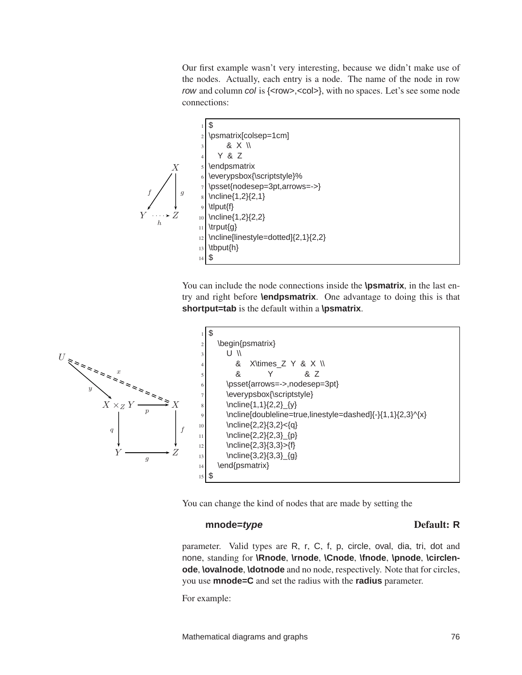Our first example wasn't very interesting, because we didn't make use of the nodes. Actually, each entry is a node. The name of the node in row row and column col is {<row>,<col>}, with no spaces. Let's see some node connections:



You can include the node connections inside the **\psmatrix**, in the last entry and right before **\endpsmatrix**. One advantage to doing this is that **shortput=tab** is the default within a **\psmatrix**.



You can change the kind of nodes that are made by setting the

## **mnode=***type* Default: **R**

parameter. Valid types are R, r, C, f, p, circle, oval, dia, tri, dot and none, standing for **\Rnode**, **\rnode**, **\Cnode**, **\fnode**, **\pnode**, **\circlenode**, **\ovalnode**, **\dotnode** and no node, respectively. Note that for circles, you use **mnode=C** and set the radius with the **radius** parameter.

For example: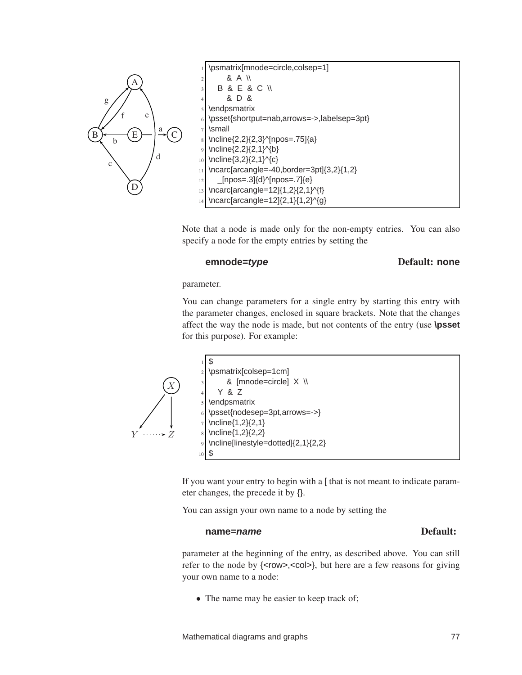

\psmatrix[mnode=circle,colsep=1]  $8A \vee$ <sup>3</sup> B & E & C \\ <sup>4</sup> & D & \endpsmatrix \psset{shortput=nab,arrows=->,labelsep=3pt} \small \ncline{2,2}{2,3}^[npos=.75]{a} \ncline{2,2}{2,1}^{b} 10 \ncline{3,2}{2,1}^{c}  $_{11}$  \ncarc[arcangle=-40,border=3pt]{3,2}{1,2}  $_{12}$  \_[npos=.3]{d}^[npos=.7]{e}  $_{13}$  \ncarc[arcangle=12]{1,2}{2,1}^{f}  $_{14}$  \ncarc[arcangle=12]{2,1}{1,2}^{g}

Note that a node is made only for the non-empty entries. You can also specify a node for the empty entries by setting the

### **emnode=***type* Default: none

parameter.

You can change parameters for a single entry by starting this entry with the parameter changes, enclosed in square brackets. Note that the changes affect the way the node is made, but not contents of the entry (use **\psset** for this purpose). For example:



If you want your entry to begin with a [ that is not meant to indicate parameter changes, the precede it by {}.

You can assign your own name to a node by setting the

### **name=***name* Default:

parameter at the beginning of the entry, as described above. You can still refer to the node by {<row>,<col>}, but here are a few reasons for giving your own name to a node:

• The name may be easier to keep track of;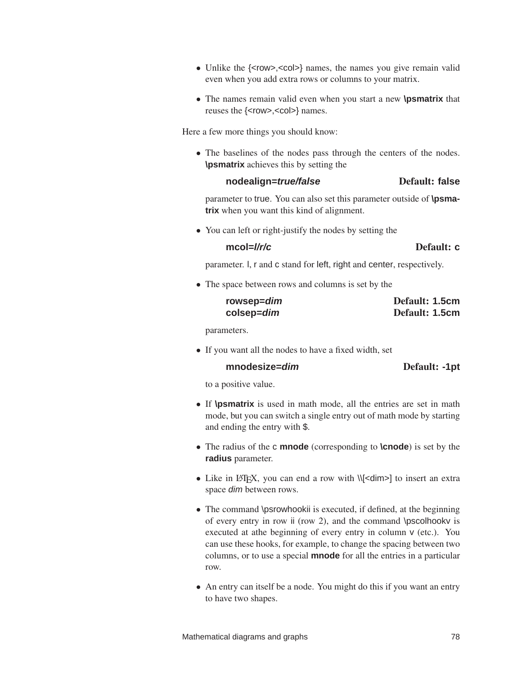- Unlike the {<row>,<col>} names, the names you give remain valid even when you add extra rows or columns to your matrix.
- The names remain valid even when you start a new **\psmatrix** that reuses the {<row>,<col>} names.

Here a few more things you should know:

• The baselines of the nodes pass through the centers of the nodes. **\psmatrix** achieves this by setting the

### **nodealign=***true/false* Default: false

parameter to true. You can also set this parameter outside of **\psmatrix** when you want this kind of alignment.

• You can left or right-justify the nodes by setting the

### **mcol=l/r/c** Default: **c**

parameter. l, r and c stand for left, right and center, respectively.

• The space between rows and columns is set by the

| rowsep=dim | Default: 1.5cm |
|------------|----------------|
| colsep=dim | Default: 1.5cm |

parameters.

• If you want all the nodes to have a fixed width, set

### **mnodesize=dim** Default: **-1pt**

to a positive value.

- If **\psmatrix** is used in math mode, all the entries are set in math mode, but you can switch a single entry out of math mode by starting and ending the entry with \$.
- The radius of the c **mnode** (corresponding to **\cnode**) is set by the **radius** parameter.
- Like in LAT<sub>E</sub>X, you can end a row with \\[<dim>] to insert an extra space dim between rows.
- The command \psrowhookii is executed, if defined, at the beginning of every entry in row ii (row 2), and the command \pscolhookv is executed at athe beginning of every entry in column v (etc.). You can use these hooks, for example, to change the spacing between two columns, or to use a special **mnode** for all the entries in a particular row.
- An entry can itself be a node. You might do this if you want an entry to have two shapes.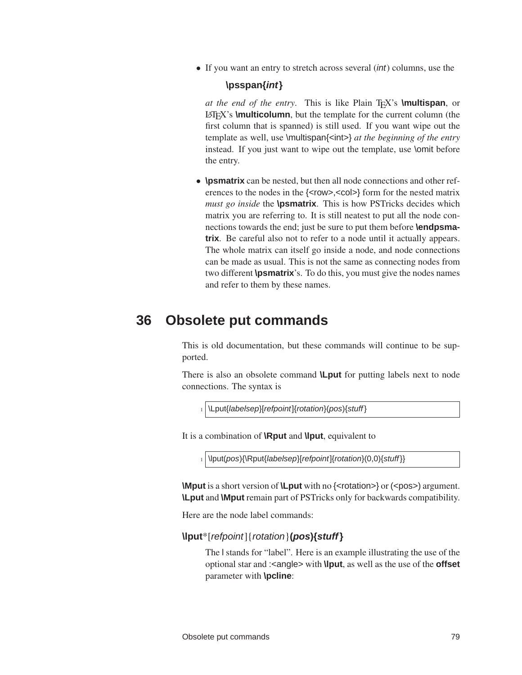• If you want an entry to stretch across several *(int)* columns, use the

## **\psspan{int}**

*at the end of the entry*. This is like Plain TEX's **\multispan**, or LATEX's **\multicolumn**, but the template for the current column (the first column that is spanned) is still used. If you want wipe out the template as well, use \multispan{<int>} *at the beginning of the entry* instead. If you just want to wipe out the template, use \omit before the entry.

• **\psmatrix** can be nested, but then all node connections and other references to the nodes in the {<row>,<col>} form for the nested matrix *must go inside* the **\psmatrix**. This is how PSTricks decides which matrix you are referring to. It is still neatest to put all the node connections towards the end; just be sure to put them before **\endpsmatrix**. Be careful also not to refer to a node until it actually appears. The whole matrix can itself go inside a node, and node connections can be made as usual. This is not the same as connecting nodes from two different **\psmatrix**'s. To do this, you must give the nodes names and refer to them by these names.

# **36 Obsolete put commands**

This is old documentation, but these commands will continue to be supported.

There is also an obsolete command **\Lput** for putting labels next to node connections. The syntax is

1 \\Lput{labelsep}[refpoint]{rotation}(pos){stuff}

It is a combination of **\Rput** and **\lput**, equivalent to

1 \lput(pos){\Rput{labelsep}[refpoint]{rotation}(0,0){stuff}}

**\Mput** is a short version of **\Lput** with no {<rotation>} or (<pos>) argument. **\Lput** and **\Mput** remain part of PSTricks only for backwards compatibility.

Here are the node label commands:

**\lput**\*[refpoint]{rotation}**(pos){stuff}**

The l stands for "label". Here is an example illustrating the use of the optional star and :<angle> with **\lput**, as well as the use of the **offset** parameter with **\pcline**: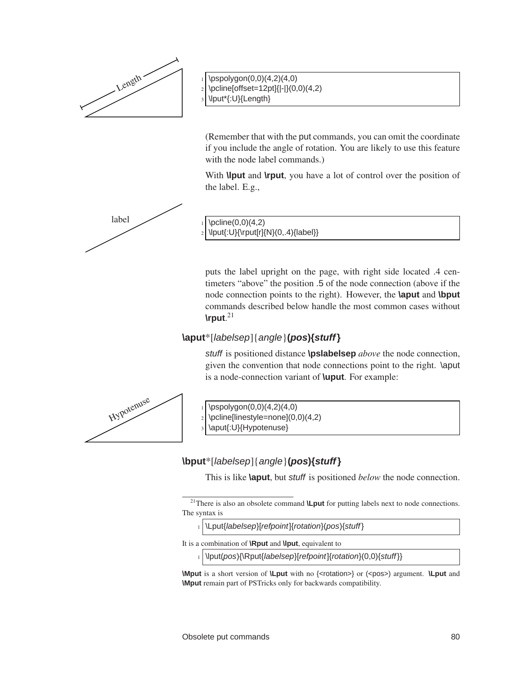

 $\pspolygon(0,0)(4,2)(4,0)$  $_2$  \pcline[offset=12pt]{|-|}(0,0)(4,2)  $_3$  \lput\*{:U}{Length}

(Remember that with the put commands, you can omit the coordinate if you include the angle of rotation. You are likely to use this feature with the node label commands.)

With **\lput** and **\rput**, you have a lot of control over the position of the label. E.g.,



\lput{:U}{\rput[r]{N}(0,.4){label}}

puts the label upright on the page, with right side located .4 centimeters "above" the position .5 of the node connection (above if the node connection points to the right). However, the **\aput** and **\bput** commands described below handle the most common cases without **\rput**. 21

# **\aput**\*[labelsep]{angle}**(pos){stuff}**

stuff is positioned distance **\pslabelsep** *above* the node connection, given the convention that node connections point to the right. \aput is a node-connection variant of **\uput**. For example:



 $\pspolygon(0,0)(4,2)(4,0)$ 

\aput{:U}{Hypotenuse}

# **\bput**\*[labelsep]{angle}**(pos){stuff}**

This is like **\aput**, but stuff is positioned *below* the node connection.

- 1 \Lput{labelsep}[refpoint]{rotation}(pos){stuff}
- It is a combination of **\Rput** and **\lput**, equivalent to
	- 1 \lput(pos){\Rput{labelsep}[refpoint]{rotation}(0,0){stuff}}

**\Mput** is a short version of **\Lput** with no {<rotation>} or (<pos>) argument. **\Lput** and **\Mput** remain part of PSTricks only for backwards compatibility.

 $_2 \rightarrow$  \pcline[linestyle=none](0,0)(4,2)

<sup>21</sup>There is also an obsolete command **\Lput** for putting labels next to node connections. The syntax is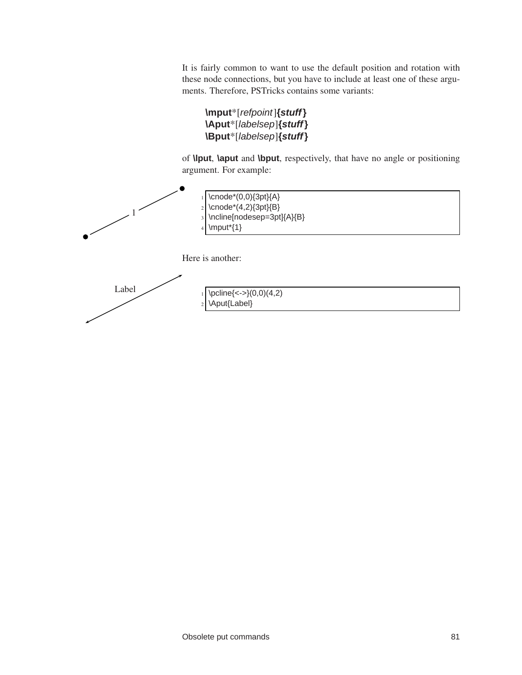It is fairly common to want to use the default position and rotation with these node connections, but you have to include at least one of these arguments. Therefore, PSTricks contains some variants:

```
\mput*[refpoint]{stuff}
\Aput*[labelsep]{stuff}
\Bput*[labelsep]{stuff}
```
of **\lput**, **\aput** and **\bput**, respectively, that have no angle or positioning argument. For example:

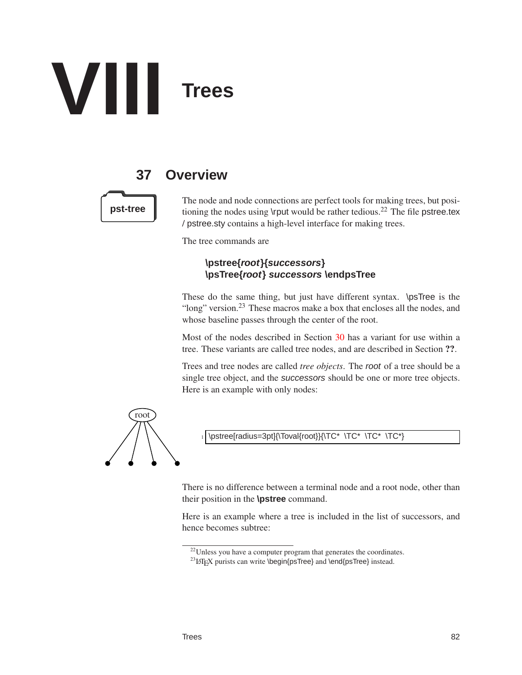

# **37 Overview**

The node and node connections are perfect tools for making trees, but posi**pst-tree** tioning the nodes using \rput would be rather tedious.<sup>22</sup> The file pstree.tex / pstree.sty contains a high-level interface for making trees.

The tree commands are

## **\pstree{root}{successors} \psTree{root} successors \endpsTree**

These do the same thing, but just have different syntax. \psTree is the "long" version.<sup>23</sup> These macros make a box that encloses all the nodes, and whose baseline passes through the center of the root.

Most of the nodes described in Section [30](#page-61-0) has a variant for use within a tree. These variants are called tree nodes, and are described in Section ??.

Trees and tree nodes are called *tree objects*. The root of a tree should be a single tree object, and the successors should be one or more tree objects. Here is an example with only nodes:



\pstree[radius=3pt]{\Toval{root}}{\TC\* \TC\* \TC\* \TC\*}

There is no difference between a terminal node and a root node, other than their position in the **\pstree** command.

Here is an example where a tree is included in the list of successors, and hence becomes subtree:

<sup>&</sup>lt;sup>22</sup>Unless you have a computer program that generates the coordinates.

<sup>&</sup>lt;sup>23</sup>LAT<sub>EX</sub> purists can write \begin{psTree} and \end{psTree} instead.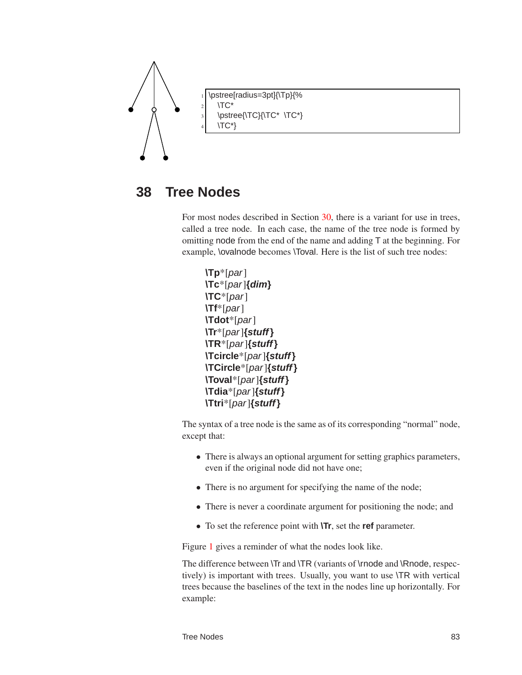

# **38 Tree Nodes**

For most nodes described in Section [30,](#page-61-0) there is a variant for use in trees, called a tree node. In each case, the name of the tree node is formed by omitting node from the end of the name and adding T at the beginning. For example, \ovalnode becomes \Toval. Here is the list of such tree nodes:

```
\Tp*[par]
\Tc*[par]{dim}
\TC*[par]
\Tf*[par]
\Tdot*[par]
\Tr*[par]{stuff}
\TR*[par]{stuff}
\Tcircle*[par]{stuff}
\TCircle*[par]{stuff}
\Toval*[par]{stuff}
\Tdia*[par]{stuff}
\Ttri*[par]{stuff}
```
The syntax of a tree node is the same as of its corresponding "normal" node, except that:

- There is always an optional argument for setting graphics parameters, even if the original node did not have one;
- There is no argument for specifying the name of the node;
- There is never a coordinate argument for positioning the node; and
- To set the reference point with **\Tr**, set the **ref** parameter.

Figure [1](#page-87-0) gives a reminder of what the nodes look like.

The difference between \Tr and \TR (variants of \rnode and \Rnode, respectively) is important with trees. Usually, you want to use \TR with vertical trees because the baselines of the text in the nodes line up horizontally. For example: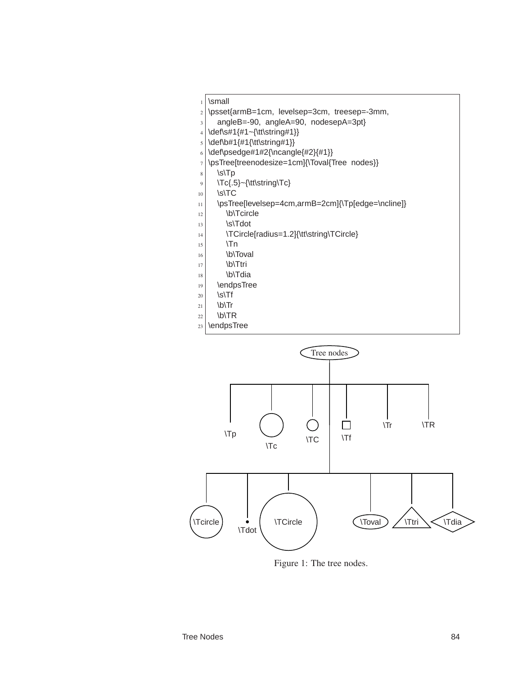- $_1$  \small
- <sup>2</sup> \psset{armB=1cm, levelsep=3cm, treesep=-3mm,
- $3$  angleB=-90, angleA=90, nodesepA=3pt}
- $_4$  \def\s#1{#1~{\tt\string#1}}
- $5 \text{b}$ #1{#1{\tt\string#1}}
- 6 \def\psedge#1#2{\ncangle{#2}{#1}}
- <sup>7</sup> \psTree[treenodesize=1cm]{\Toval{Tree nodes}}
- $8$  \s\Tp
- $9 \mid \text{Tc{.5}-{\ttt\scriptsize\textsf{tring}}}\$
- $10$  \s\TC
- $11$  \psTree[levelsep=4cm,armB=2cm]{\Tp[edge=\ncline]}
- $|12$  \b\Tcircle
- $|13$  \s\Tdot
- $\left| \right\rangle$  \TCircle[radius=1.2]{\tt\string\TCircle}
- $15$  \Tn
- $16$  \b\Toval
- $17$  \b\Ttri
- $18$  \b\Tdia
- 19 \endpsTree
- $20 \mid \quad$ \s\Tf
- $21$  \b\Tr
- $22$  \b\TR
- $23$  \endpsTree



<span id="page-87-0"></span>Figure 1: The tree nodes.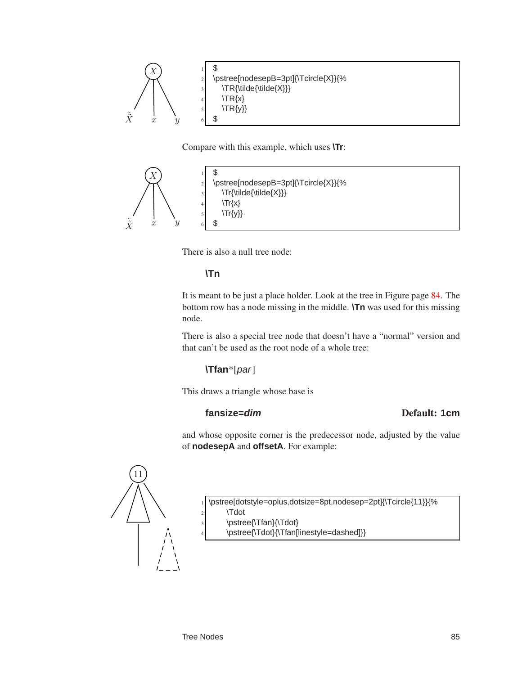

Compare with this example, which uses **\Tr**:



There is also a null tree node:

## **\Tn**

It is meant to be just a place holder. Look at the tree in Figure page [84.](#page-87-0) The bottom row has a node missing in the middle. **\Tn** was used for this missing node.

There is also a special tree node that doesn't have a "normal" version and that can't be used as the root node of a whole tree:

# **\Tfan**\*[par]

This draws a triangle whose base is

## **fansize=dim** Default: **1cm**

and whose opposite corner is the predecessor node, adjusted by the value of **nodesepA** and **offsetA**. For example:



\pstree[dotstyle=oplus,dotsize=8pt,nodesep=2pt]{\Tcircle{11}}{%

- \Tdot
- \pstree{\Tfan}{\Tdot}
- \pstree{\Tdot}{\Tfan[linestyle=dashed]}}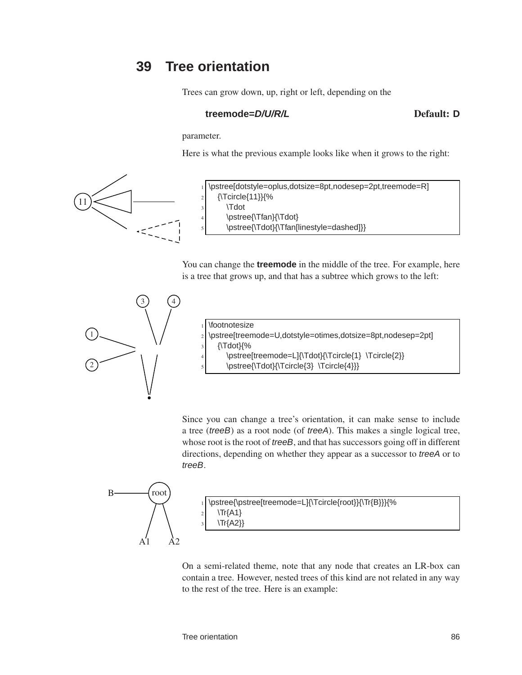# **39 Tree orientation**

Trees can grow down, up, right or left, depending on the

## **treemode=D/U/R/L** Default: **D**

parameter.

Here is what the previous example looks like when it grows to the right:



\pstree[dotstyle=oplus,dotsize=8pt,nodesep=2pt,treemode=R]  ${\T{Circle}{11}}$ \Tdot \pstree{\Tfan}{\Tdot} \pstree{\Tdot}{\Tfan[linestyle=dashed]}}

You can change the **treemode** in the middle of the tree. For example, here is a tree that grows up, and that has a subtree which grows to the left:



|                | $\frac{1}{\text{footnotesize}}$                               |
|----------------|---------------------------------------------------------------|
|                | 2 \pstree[treemode=U,dotstyle=otimes,dotsize=8pt,nodesep=2pt] |
| $\frac{3}{3}$  | {\Tdot}{%                                                     |
| $\overline{4}$ | \pstree[treemode=L]{\Tdot}{\Tcircle{1} \Tcircle{2}}           |
| $\mathbf{5}$   | \pstree{\Tdot}{\Tcircle{3} \Tcircle{4}}}                      |

Since you can change a tree's orientation, it can make sense to include a tree (treeB) as a root node (of treeA). This makes a single logical tree, whose root is the root of *treeB*, and that has successors going off in different directions, depending on whether they appear as a successor to treeA or to treeB.



On a semi-related theme, note that any node that creates an LR-box can contain a tree. However, nested trees of this kind are not related in any way to the rest of the tree. Here is an example: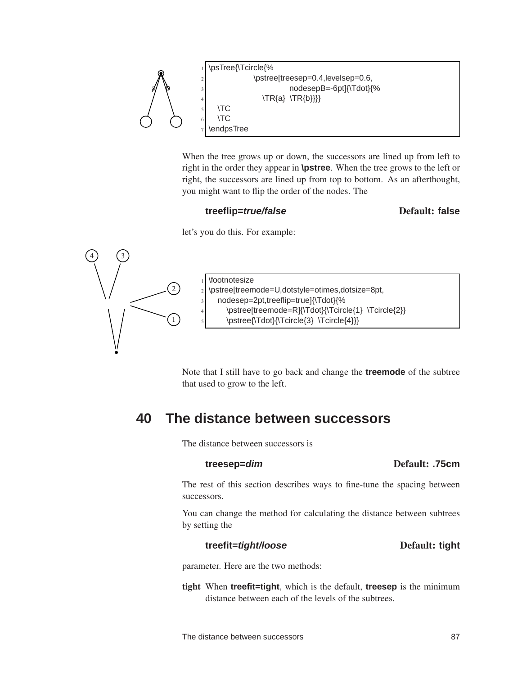

When the tree grows up or down, the successors are lined up from left to right in the order they appear in **\pstree**. When the tree grows to the left or right, the successors are lined up from top to bottom. As an afterthought, you might want to flip the order of the nodes. The

## **treeflip=true/false** Default: **false**

let's you do this. For example:



Note that I still have to go back and change the **treemode** of the subtree that used to grow to the left.

# **40 The distance between successors**

The distance between successors is

### **treesep=dim** Default: **.75cm**

The rest of this section describes ways to fine-tune the spacing between successors.

You can change the method for calculating the distance between subtrees by setting the

## **treefit=tight/loose** Default: **tight**

parameter. Here are the two methods:

tight When **treefit=tight**, which is the default, **treesep** is the minimum distance between each of the levels of the subtrees.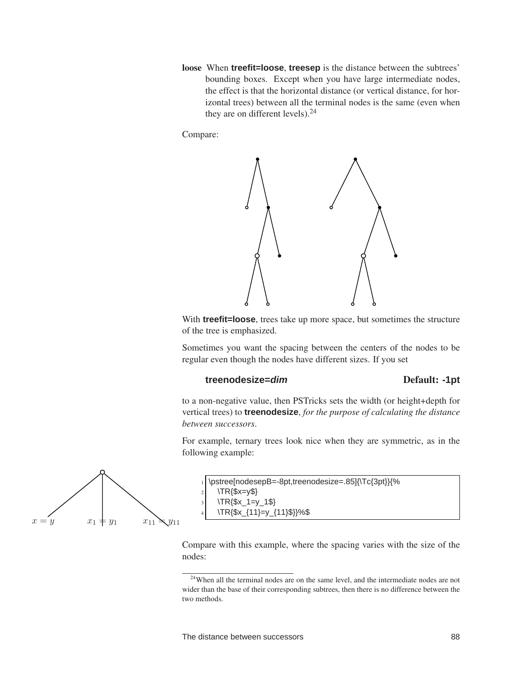loose When **treefit=loose**, **treesep** is the distance between the subtrees' bounding boxes. Except when you have large intermediate nodes, the effect is that the horizontal distance (or vertical distance, for horizontal trees) between all the terminal nodes is the same (even when they are on different levels).  $24$ 

Compare:



With **treefit=loose**, trees take up more space, but sometimes the structure of the tree is emphasized.

Sometimes you want the spacing between the centers of the nodes to be regular even though the nodes have different sizes. If you set

### **treenodesize=dim** Default: **-1pt**

to a non-negative value, then PSTricks sets the width (or height+depth for vertical trees) to **treenodesize**, *for the purpose of calculating the distance between successors*.

For example, ternary trees look nice when they are symmetric, as in the following example:

|                | 1)\pstree[nodesepB=-8pt,treenodesize=.85]{\Tc{3pt}}{% |
|----------------|-------------------------------------------------------|
|                | 2 \TR{\$x=y\$}                                        |
| $\frac{1}{3}$  | $\TR{\$x_1=y_1\$\}$                                   |
| $\overline{4}$ | $\TR{\$x_{11}=\y_{11}\$\}\%$                          |

Compare with this example, where the spacing varies with the size of the nodes:



<sup>&</sup>lt;sup>24</sup>When all the terminal nodes are on the same level, and the intermediate nodes are not wider than the base of their corresponding subtrees, then there is no difference between the two methods.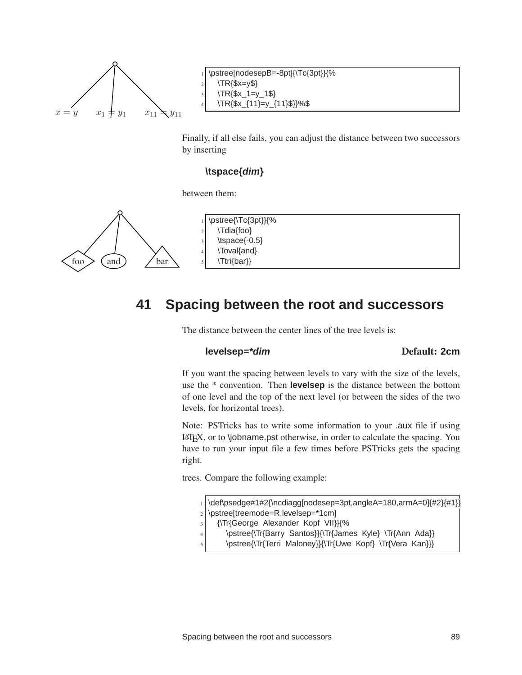

\pstree[nodesepB=-8pt]{\Tc{3pt}}{%  $\TR$   $\{$   $x=y$   $\}$ \TR{\$x\_1=y\_1\$} \TR{\$x\_{11}=y\_{11}\$}}%\$

Finally, if all else fails, you can adjust the distance between two successors by inserting

### **\tspace{dim}**

between them:



# **41 Spacing between the root and successors**

The distance between the center lines of the tree levels is:

### **levelsep=\*dim** Default: **2cm**

If you want the spacing between levels to vary with the size of the levels, use the \* convention. Then **levelsep** is the distance between the bottom of one level and the top of the next level (or between the sides of the two levels, for horizontal trees).

Note: PSTricks has to write some information to your .aux file if using LATEX, or to \jobname.pst otherwise, in order to calculate the spacing. You have to run your input file a few times before PSTricks gets the spacing right.

trees. Compare the following example:

\def\psedge#1#2{\ncdiagg[nodesep=3pt,angleA=180,armA=0]{#2}{#1}]

- $2 \times 2$  \pstree[treemode=R, levelsep=\*1cm]
- <sup>3</sup> {\Tr{George Alexander Kopf VII}}{%
- 4 \pstree{\Tr{Barry Santos}}{\Tr{James Kyle} \Tr{Ann Ada}}
- \pstree{\Tr{Terri Maloney}}{\Tr{Uwe Kopf} \Tr{Vera Kan}}}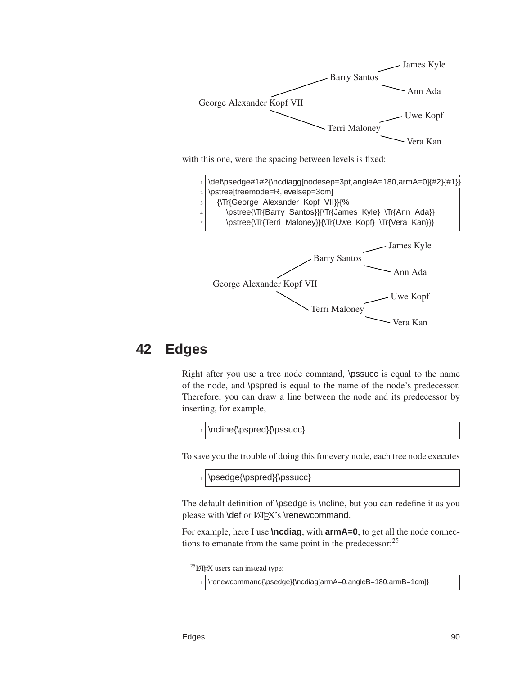

with this one, were the spacing between levels is fixed:



# **42 Edges**

Right after you use a tree node command, \pssucc is equal to the name of the node, and \pspred is equal to the name of the node's predecessor. Therefore, you can draw a line between the node and its predecessor by inserting, for example,

1 \ncline{\pspred}{\pssucc}

To save you the trouble of doing this for every node, each tree node executes

1 \psedge{\pspred}{\pssucc}

The default definition of \psedge is \ncline, but you can redefine it as you please with \def or LATEX's \renewcommand.

For example, here I use **\ncdiag**, with **armA=0**, to get all the node connections to emanate from the same point in the predecessor:<sup>25</sup>

 ${}^{25}$ LAT<sub>E</sub>X users can instead type:

<sup>1 \</sup>renewcommand{\psedge}{\ncdiag[armA=0,angleB=180,armB=1cm]}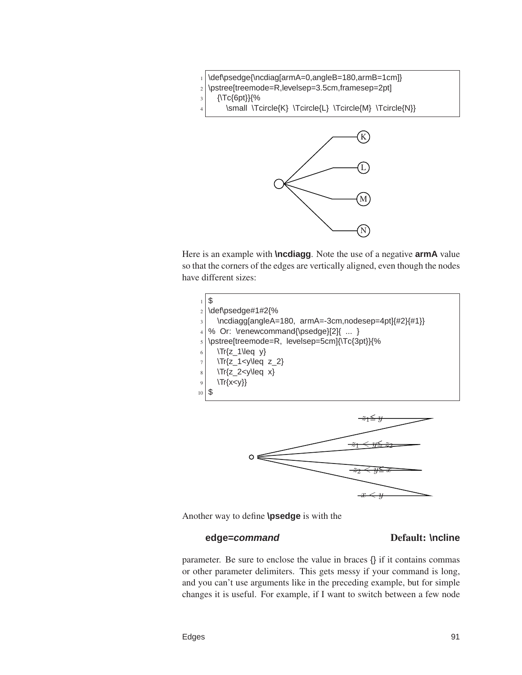

- $3$  {\Tc{6pt}}{%
	- \small \Tcircle{K} \Tcircle{L} \Tcircle{M} \Tcircle{N}}



Here is an example with **\ncdiagg**. Note the use of a negative **armA** value so that the corners of the edges are vertically aligned, even though the nodes have different sizes:





Another way to define **\psedge** is with the

## **edge=command** Default: **\ncline**

parameter. Be sure to enclose the value in braces {} if it contains commas or other parameter delimiters. This gets messy if your command is long, and you can't use arguments like in the preceding example, but for simple changes it is useful. For example, if I want to switch between a few node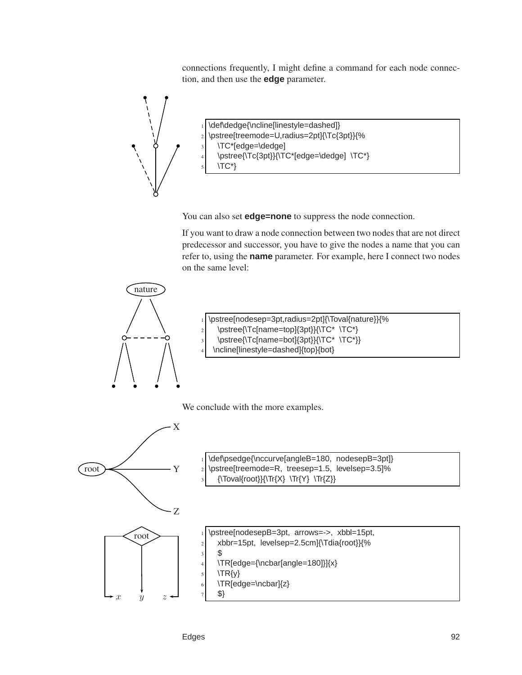connections frequently, I might define a command for each node connection, and then use the **edge** parameter.



\def\dedge{\ncline[linestyle=dashed]} <sup>2</sup> \pstree[treemode=U,radius=2pt]{\Tc{3pt}}{% \TC\*[edge=\dedge] 4 \pstree{\Tc{3pt}}{\TC\*[edge=\dedge] \TC\*}  $\langle TC^*\rangle$ 

You can also set **edge=none** to suppress the node connection.

If you want to draw a node connection between two nodes that are not direct predecessor and successor, you have to give the nodes a name that you can refer to, using the **name** parameter. For example, here I connect two nodes on the same level:



- <sup>1</sup> \pstree[nodesep=3pt,radius=2pt]{\Toval{nature}}{%  $\text{2}$  \pstree{\Tc[name=top]{3pt}}{\TC\* \TC\*} \pstree{\Tc[name=bot]{3pt}}{\TC\* \TC\*}}
	- \ncline[linestyle=dashed]{top}{bot}

We conclude with the more examples.



| 1 \def\psedge{\nccurve[angleB=180, nodesepB=3pt]}  |
|----------------------------------------------------|
| 2) \pstree[treemode=R, treesep=1.5, levelsep=3.5]% |
| 3 {\Toval{root}}{\Tr{X} \Tr{Y} \Tr{Z}}             |

\pstree[nodesepB=3pt, arrows=->, xbbl=15pt,  $|2|$  xbbr=15pt, levelsep=2.5cm]{\Tdia{root}}{%  $3$  \$  $\left\{\n\begin{array}{c}\n\text{180}\n\end{array}\right\}$  $5$  \TR{y}  $6$   $\text{TR}$ [edge=\ncbar]{z}

<sup>7</sup> \$}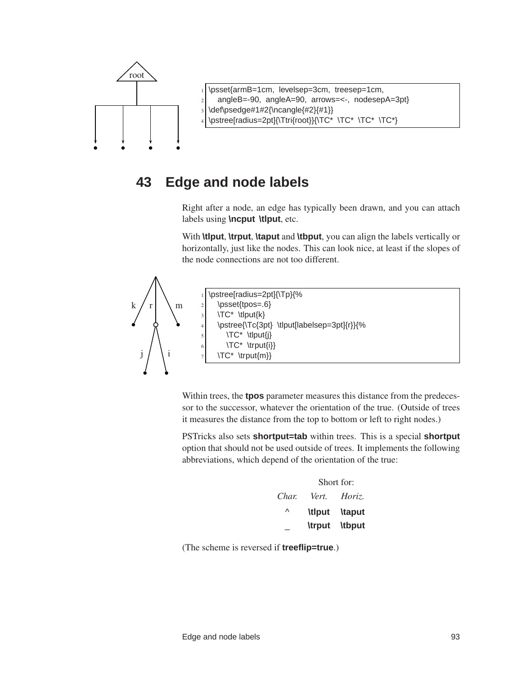

\psset{armB=1cm, levelsep=3cm, treesep=1cm, angleB=-90, angleA=90, arrows=<-, nodesepA=3pt} \def\psedge#1#2{\ncangle{#2}{#1}} \pstree[radius=2pt]{\Ttri{root}}{\TC\* \TC\* \TC\* \TC\*}

# **43 Edge and node labels**

Right after a node, an edge has typically been drawn, and you can attach labels using **\ncput \tlput**, etc.

With **\tlput**, **\trput**, **\taput** and **\tbput**, you can align the labels vertically or horizontally, just like the nodes. This can look nice, at least if the slopes of the node connections are not too different.



\pstree[radius=2pt]{\Tp}{% \psset{tpos=.6}  $3$   $\text{TC}^$  \tlput{k} <sup>4</sup> \pstree{\Tc{3pt} \tlput[labelsep=3pt]{r}}{%  $5$   $\text{TC}^*$  \tlput{j} \TC\* \trput{i}} \TC\* \trput{m}}

Within trees, the **tpos** parameter measures this distance from the predecessor to the successor, whatever the orientation of the true. (Outside of trees it measures the distance from the top to bottom or left to right nodes.)

PSTricks also sets **shortput=tab** within trees. This is a special **shortput** option that should not be used outside of trees. It implements the following abbreviations, which depend of the orientation of the true:

|       | Short for:    |               |  |
|-------|---------------|---------------|--|
| Char. | Vert.         | Horiz.        |  |
| Λ     | <b>\tlput</b> | <b>\taput</b> |  |
|       | <b>\trput</b> | \tbput        |  |

(The scheme is reversed if **treeflip=true**.)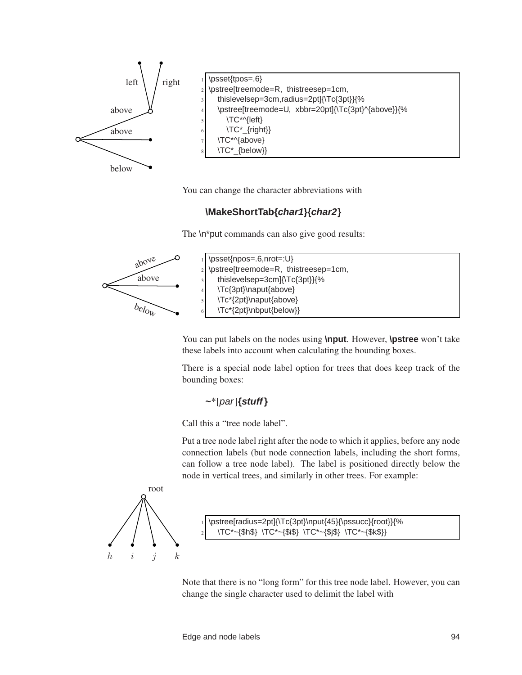

You can change the character abbreviations with

# **\MakeShortTab{char1}{char2}**

The \n\*put commands can also give good results:



You can put labels on the nodes using **\nput**. However, **\pstree** won't take these labels into account when calculating the bounding boxes.

There is a special node label option for trees that does keep track of the bounding boxes:

## **~**\*[par]**{stuff}**

Call this a "tree node label".

Put a tree node label right after the node to which it applies, before any node connection labels (but node connection labels, including the short forms, can follow a tree node label). The label is positioned directly below the node in vertical trees, and similarly in other trees. For example:



\pstree[radius=2pt]{\Tc{3pt}\nput{45}{\pssucc}{root}}{% <sup>2</sup> \TC\*~{\$h\$} \TC\*~{\$i\$} \TC\*~{\$j\$} \TC\*~{\$k\$}}

Note that there is no "long form" for this tree node label. However, you can change the single character used to delimit the label with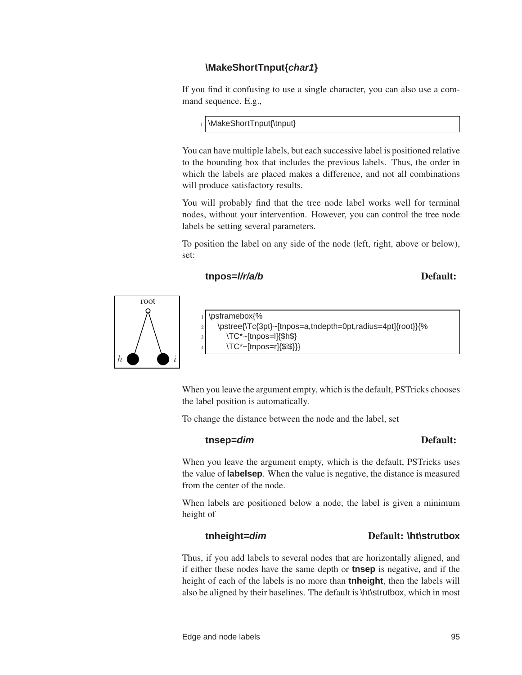# **\MakeShortTnput{char1}**

If you find it confusing to use a single character, you can also use a command sequence. E.g.,

1 \MakeShortTnput{\tnput}

You can have multiple labels, but each successive label is positioned relative to the bounding box that includes the previous labels. Thus, the order in which the labels are placed makes a difference, and not all combinations will produce satisfactory results.

You will probably find that the tree node label works well for terminal nodes, without your intervention. However, you can control the tree node labels be setting several parameters.

To position the label on any side of the node (left, right, above or below), set:

# **tnpos=l/r/a/b** Default:



|                | <sub>1</sub>  \psframebox{%                                |
|----------------|------------------------------------------------------------|
| $\overline{2}$ | \pstree{\Tc{3pt}~[tnpos=a,tndepth=0pt,radius=4pt]{root}}{% |
| $\frac{3}{3}$  | $\TC^*$ -[tnpos= $I$ ]{\$h\$}                              |
| 4 I            | $\TC^{\ast}$ -[tnpos=r]{\$i\$}}}                           |
|                |                                                            |

When you leave the argument empty, which is the default, PSTricks chooses the label position is automatically.

To change the distance between the node and the label, set

## **tnsep=dim** Default:

When you leave the argument empty, which is the default, PSTricks uses the value of **labelsep**. When the value is negative, the distance is measured from the center of the node.

When labels are positioned below a node, the label is given a minimum height of

# **tnheight=dim** Default: **\ht\strutbox**

Thus, if you add labels to several nodes that are horizontally aligned, and if either these nodes have the same depth or **tnsep** is negative, and if the height of each of the labels is no more than **tnheight**, then the labels will also be aligned by their baselines. The default is \ht\strutbox, which in most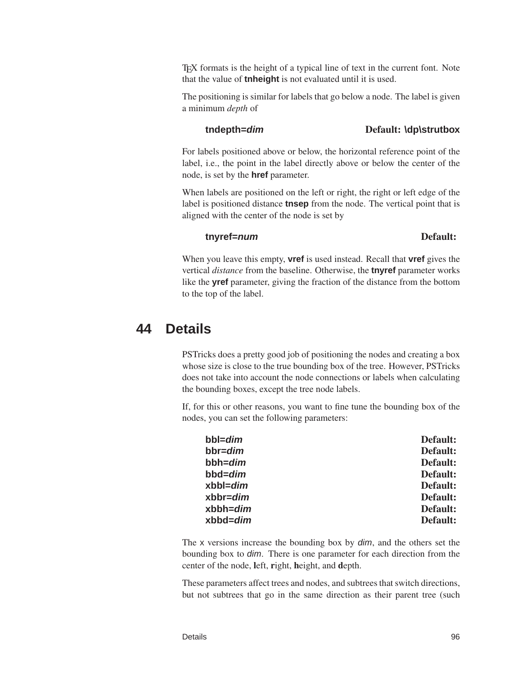TEX formats is the height of a typical line of text in the current font. Note that the value of **tnheight** is not evaluated until it is used.

The positioning is similar for labels that go below a node. The label is given a minimum *depth* of

### **tndepth=dim** Default: **\dp\strutbox**

For labels positioned above or below, the horizontal reference point of the label, i.e., the point in the label directly above or below the center of the node, is set by the **href** parameter.

When labels are positioned on the left or right, the right or left edge of the label is positioned distance **tnsep** from the node. The vertical point that is aligned with the center of the node is set by

## **tnyref=num** Default:

When you leave this empty, **vref** is used instead. Recall that **vref** gives the vertical *distance* from the baseline. Otherwise, the **tnyref** parameter works like the **yref** parameter, giving the fraction of the distance from the bottom to the top of the label.

# **44 Details**

PSTricks does a pretty good job of positioning the nodes and creating a box whose size is close to the true bounding box of the tree. However, PSTricks does not take into account the node connections or labels when calculating the bounding boxes, except the tree node labels.

If, for this or other reasons, you want to fine tune the bounding box of the nodes, you can set the following parameters:

| bbl= <i>dim</i>  | Default: |
|------------------|----------|
| bbr= <i>dim</i>  | Default: |
| bbh= <i>dim</i>  | Default: |
| bbd= <i>dim</i>  | Default: |
| xbbl= <i>dim</i> | Default: |
| xbbr= <i>dim</i> | Default: |
| xbbh= <i>dim</i> | Default: |
| xbbd= <i>dim</i> | Default: |
|                  |          |

The x versions increase the bounding box by dim, and the others set the bounding box to dim. There is one parameter for each direction from the center of the node, left, right, height, and depth.

These parameters affect trees and nodes, and subtrees that switch directions, but not subtrees that go in the same direction as their parent tree (such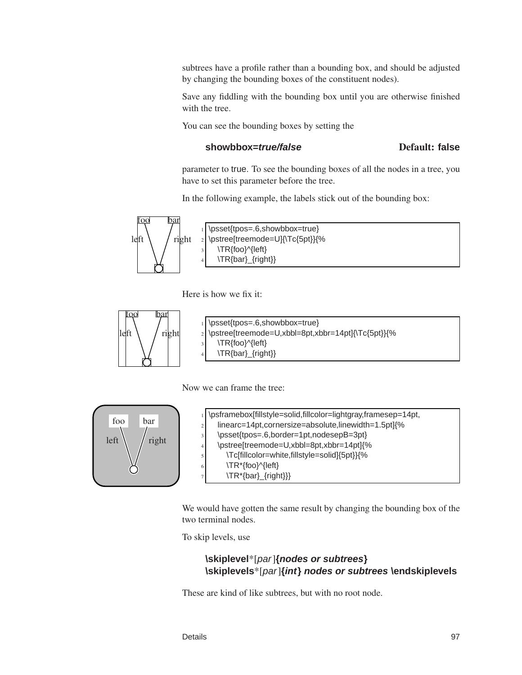subtrees have a profile rather than a bounding box, and should be adjusted by changing the bounding boxes of the constituent nodes).

Save any fiddling with the bounding box until you are otherwise finished with the tree.

You can see the bounding boxes by setting the

### **showbbox=true/false** Default: **false**

parameter to true. To see the bounding boxes of all the nodes in a tree, you have to set this parameter before the tree.

In the following example, the labels stick out of the bounding box:



Here is how we fix it:



| 1 \psset{tpos=.6,showbbox=true}                      |
|------------------------------------------------------|
| 2 \pstree[treemode=U,xbbl=8pt,xbbr=14pt]{\Tc{5pt}}{% |
| $\vert$ \TR{foo}^{left}                              |
| \TR{bar}_{right}}                                    |
|                                                      |

Now we can frame the tree:



|                | \psframebox[fillstyle=solid,fillcolor=lightgray,framesep=14pt, |
|----------------|----------------------------------------------------------------|
| $\overline{c}$ | linearc=14pt,cornersize=absolute,linewidth=1.5pt]{%            |
| 3              | \psset{tpos=.6,border=1pt,nodesepB=3pt}                        |
| 4              | \pstree[treemode=U,xbbl=8pt,xbbr=14pt]{%                       |
| 5              | \Tc[fillcolor=white,fillstyle=solid]{5pt}}{%                   |
| 6              | \TR*{foo}^{left}                                               |
| ÷              | \TR*{bar}_{right}}}                                            |

We would have gotten the same result by changing the bounding box of the two terminal nodes.

To skip levels, use

## **\skiplevel**\*[par]**{nodes or subtrees} \skiplevels**\*[par]**{int} nodes or subtrees \endskiplevels**

These are kind of like subtrees, but with no root node.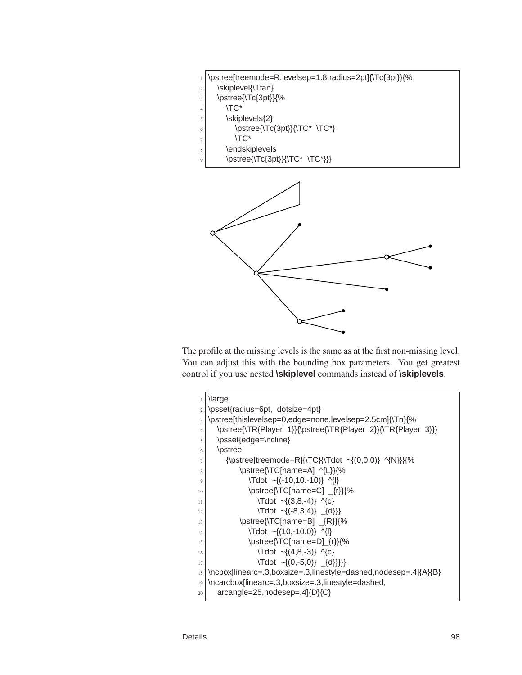| <sub>1</sub>  \pstree[treemode=R,levelsep=1.8,radius=2pt]{\Tc{3pt}}{% |
|-----------------------------------------------------------------------|
|-----------------------------------------------------------------------|

- \skiplevel{\Tfan}
- $\frac{3}{\sqrt{3p}}$  \pstree{\Tc{3pt}}{%
- $4 \times 10^{-4}$
- \skiplevels $\{2\}$
- 6 \pstree{\Tc{3pt}}{\TC\* \TC\*}
- $7 \times T$ C\*
- $|$  \endskiplevels
- \pstree{\Tc{3pt}}{\TC\* \TC\*}}}



The profile at the missing levels is the same as at the first non-missing level. You can adjust this with the bounding box parameters. You get greatest control if you use nested **\skiplevel** commands instead of **\skiplevels**.

| $\mathbf{1}$   | <b>\large</b>                                                   |
|----------------|-----------------------------------------------------------------|
| $\overline{c}$ | \psset{radius=6pt, dotsize=4pt}                                 |
| 3              | \pstree[thislevelsep=0,edge=none,levelsep=2.5cm]{\Tn}{%         |
| $\overline{4}$ | \pstree{\TR{Player 1}}{\pstree{\TR{Player 2}}{\TR{Player 3}}}   |
| 5              | \psset{edge=\ncline}                                            |
| 6              | \pstree                                                         |
| $\tau$         | {\pstree[treemode=R]{\TC}{\Tdot ~{(0,0,0)} ^{N}}}{%             |
| 8              | \pstree{\TC[name=A] ^{L}}{%                                     |
| 9              | $\text{Tdot } \sim \{(-10, 10, -10)\}$ ^{ }                     |
| 10             | \pstree{\TC[name=C] _{r}}{%                                     |
| 11             | $\text{Tot} \sim \{(3, 8, -4)\}$ $\{C\}$                        |
| 12             | $\text{Idot } \sim \{(-8,3,4)\}$ {d}}                           |
| 13             | \pstree{\TC[name=B] {R}}{%                                      |
| 14             | $\text{Tot} \sim \{(10,-10.0)\}$ ^{ }                           |
| 15             | \pstree{\TC[name=D]_{r}}{%                                      |
| 16             | $\text{Idot } \sim \{(4, 8, -3)\}$ $\{C\}$                      |
| 17             | $\text{Tot} \sim \{(0, -5, 0)\}$ $\{\{d\}\}\$                   |
| 18             | \ncbox[linearc=.3,boxsize=.3,linestyle=dashed,nodesep=.4]{A}{B} |
| 19             | \ncarcbox[linearc=.3,boxsize=.3,linestyle=dashed,               |
| 20             | $arcangle = 25, nodesep = .4 \{D\} \{C\}$                       |
|                |                                                                 |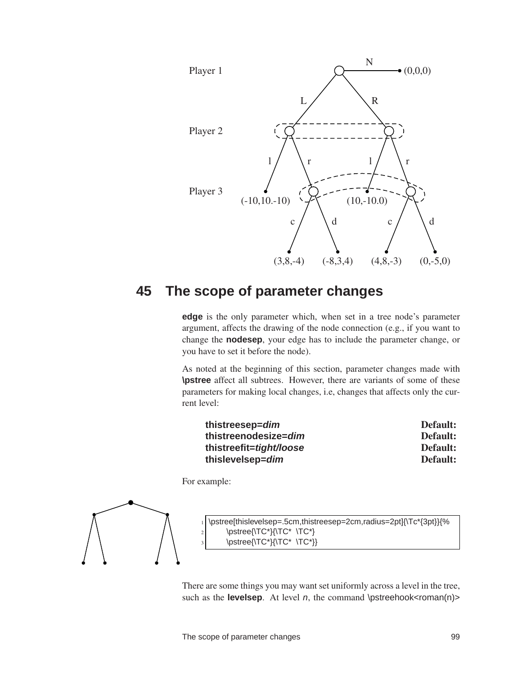

# **45 The scope of parameter changes**

**edge** is the only parameter which, when set in a tree node's parameter argument, affects the drawing of the node connection (e.g., if you want to change the **nodesep**, your edge has to include the parameter change, or you have to set it before the node).

As noted at the beginning of this section, parameter changes made with **\pstree** affect all subtrees. However, there are variants of some of these parameters for making local changes, i.e, changes that affects only the current level:

| thistreesep= <i>dim</i>         | Default: |
|---------------------------------|----------|
| thistreenodesize= <i>dim</i>    | Default: |
| thistreefit= <i>tight/loose</i> | Default: |
| thislevelsep= <i>dim</i>        | Default: |

For example:



There are some things you may want set uniformly across a level in the tree, such as the **levelsep**. At level  $n$ , the command  $\mathbf{S}$  **less**  $\mathbf{S}$  **levelses**  $\mathbf{S}$  **levelses**  $\mathbf{S}$  **levelses**  $\mathbf{S}$  **levelses**  $\mathbf{S}$  **levelses**  $\mathbf{S}$  **levelses**  $\mathbf{S}$  **levelses**  $\mathbf{S}$  **level**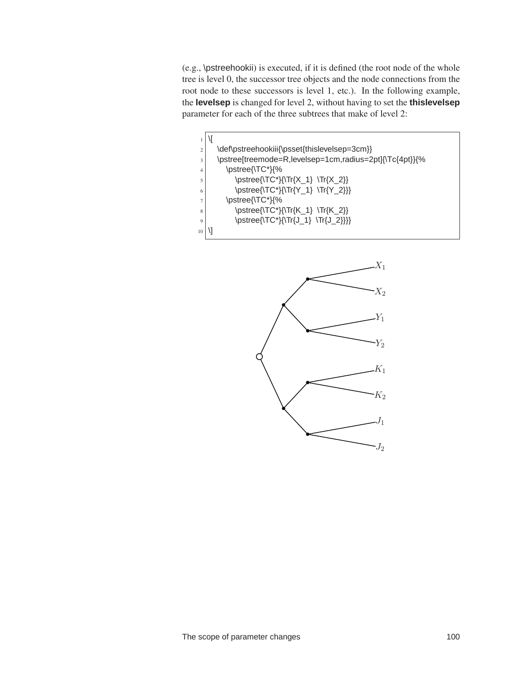(e.g., \pstreehookii) is executed, if it is defined (the root node of the whole tree is level 0, the successor tree objects and the node connections from the root node to these successors is level 1, etc.). In the following example, the **levelsep** is changed for level 2, without having to set the **thislevelsep** parameter for each of the three subtrees that make of level 2:



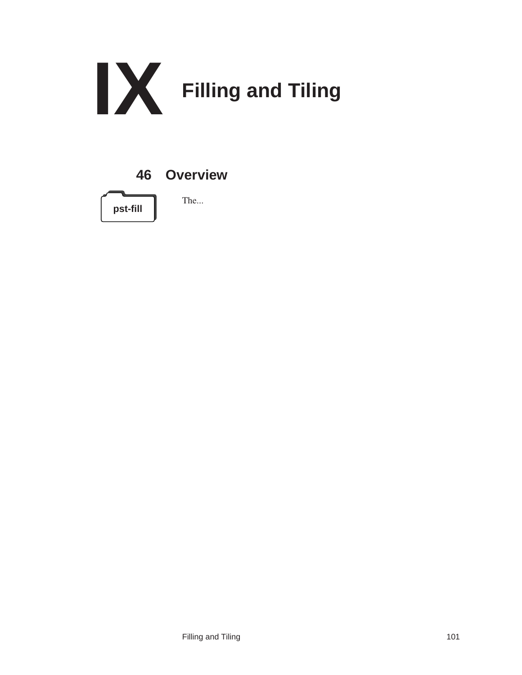





The...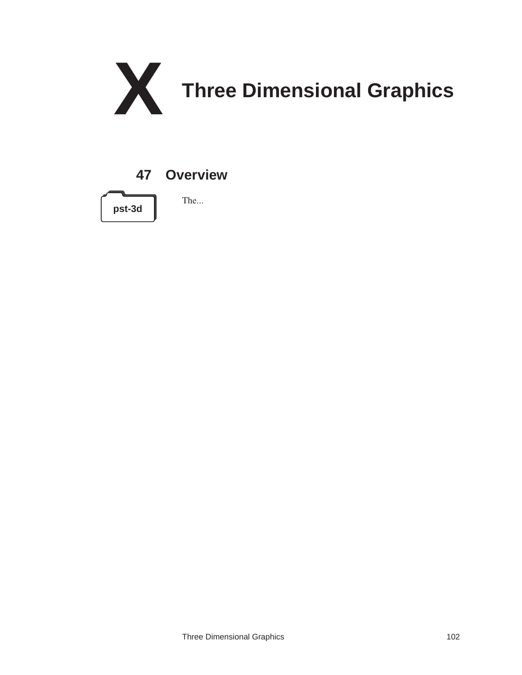

# **47 Overview**



The...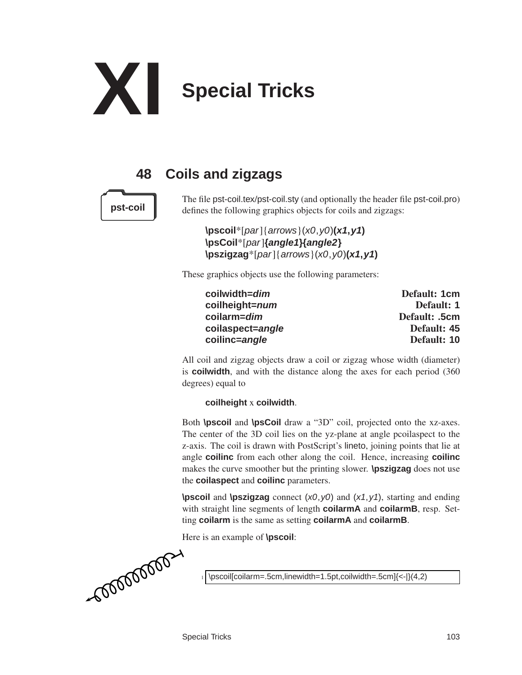

# **48 Coils and zigzags**



The file pst-coil.tex/pst-coil.sty (and optionally the header file pst-coil.pro) **pst-coil** defines the following graphics objects for coils and zigzags:

> **\pscoil**\*[par]{arrows}(x0,y0)**(x1,y1) \psCoil**\*[par]**{angle1}{angle2} \pszigzag**\*[par]{arrows}(x0,y0)**(x1,y1)**

These graphics objects use the following parameters:

| coilwidth= <i>dim</i>  | Default: 1cm  |  |
|------------------------|---------------|--|
| coilheight= <i>num</i> | Default: 1    |  |
| coilarm= <i>dim</i>    | Default: .5cm |  |
| coilaspect=angle       | Default: 45   |  |
| coilinc=angle          | Default: 10   |  |

All coil and zigzag objects draw a coil or zigzag whose width (diameter) is **coilwidth**, and with the distance along the axes for each period (360 degrees) equal to

## **coilheight** x **coilwidth**.

Both **\pscoil** and **\psCoil** draw a "3D" coil, projected onto the xz-axes. The center of the 3D coil lies on the yz-plane at angle pcoilaspect to the z-axis. The coil is drawn with PostScript's lineto, joining points that lie at angle **coilinc** from each other along the coil. Hence, increasing **coilinc** makes the curve smoother but the printing slower. **\pszigzag** does not use the **coilaspect** and **coilinc** parameters.

**\pscoil** and **\pszigzag** connect (x0,y0) and (x1,y1), starting and ending with straight line segments of length **coilarmA** and **coilarmB**, resp. Setting **coilarm** is the same as setting **coilarmA** and **coilarmB**.

Here is an example of **\pscoil**:

\pscoil[coilarm=.5cm,linewidth=1.5pt,coilwidth=.5cm]{<-|}(4,2)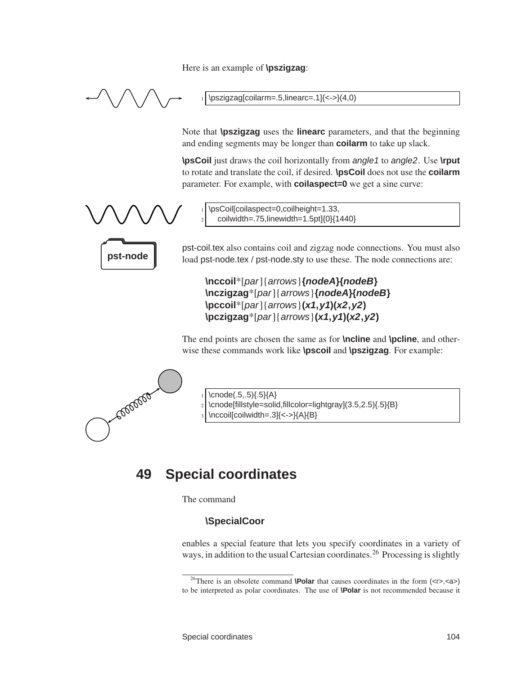Here is an example of **\pszigzag**:



 $\psi$ szigzag[coilarm=.5,linearc=.1] $\langle$  <->}(4,0)

Note that **\pszigzag** uses the **linearc** parameters, and that the beginning and ending segments may be longer than **coilarm** to take up slack.

**\psCoil** just draws the coil horizontally from angle1 to angle2. Use **\rput** to rotate and translate the coil, if desired. **\psCoil** does not use the **coilarm** parameter. For example, with **coilaspect=0** we get a sine curve:



\psCoil[coilaspect=0,coilheight=1.33, <sup>2</sup> coilwidth=.75,linewidth=1.5pt]{0}{1440}

pst-coil.tex also contains coil and zigzag node connections. You must also **pst-node**  $\parallel$  load pst-node.tex / pst-node.sty to use these. The node connections are:

> **\nccoil**\*[par]{arrows}**{nodeA}{nodeB} \nczigzag**\*[par]{arrows}**{nodeA}{nodeB} \pccoil**\*[par]{arrows}**(x1,y1)(x2,y2) \pczigzag**\*[par]{arrows}**(x1,y1)(x2,y2)**

The end points are chosen the same as for **\ncline** and **\pcline**, and otherwise these commands work like **\pscoil** and **\pszigzag**. For example:



 $\cnode(.5,.5)\{.5\}$  $A\}$ 

- \cnode[fillstyle=solid,fillcolor=lightgray](3.5,2.5){.5}{B}
	- \nccoil[coilwidth=.3]{<->}{A}{B}

# **49 Special coordinates**

The command

# **\SpecialCoor**

enables a special feature that lets you specify coordinates in a variety of ways, in addition to the usual Cartesian coordinates.<sup>26</sup> Processing is slightly

<sup>&</sup>lt;sup>26</sup>There is an obsolete command **\Polar** that causes coordinates in the form (<r>><<r/>(<a>> to be interpreted as polar coordinates. The use of **\Polar** is not recommended because it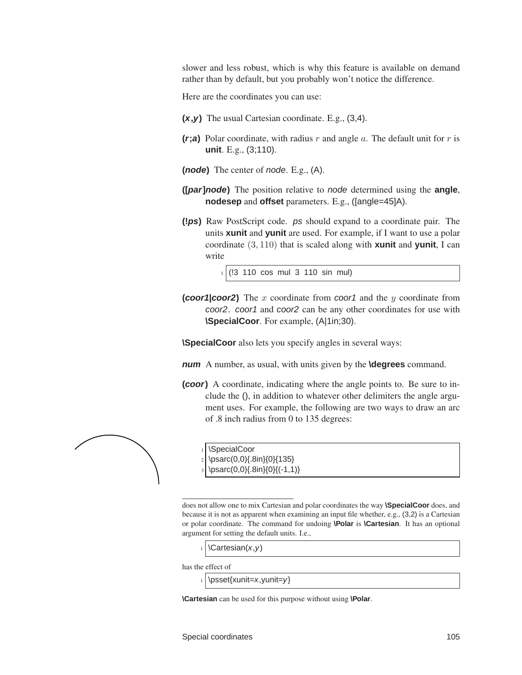<span id="page-108-0"></span>slower and less robust, which is why this feature is available on demand rather than by default, but you probably won't notice the difference.

Here are the coordinates you can use:

- **(x,y)** The usual Cartesian coordinate. E.g., (3,4).
- **(r;a)** Polar coordinate, with radius r and angle a. The default unit for r is **unit**. E.g., (3;110).
- **(node)** The center of node. E.g., (A).
- **([par]node)** The position relative to node determined using the **angle**, **nodesep** and **offset** parameters. E.g., ([angle=45]A).
- **(!ps)** Raw PostScript code. ps should expand to a coordinate pair. The units **xunit** and **yunit** are used. For example, if I want to use a polar coordinate (3, 110) that is scaled along with **xunit** and **yunit**, I can write

<sup>1</sup> (!3 110 cos mul 3 110 sin mul)

**(coor1|coor2)** The x coordinate from coor1 and the y coordinate from coor2. coor1 and coor2 can be any other coordinates for use with **\SpecialCoor**. For example, (A|1in;30).

**\SpecialCoor** also lets you specify angles in several ways:

- **num** A number, as usual, with units given by the **\degrees** command.
- **(coor)** A coordinate, indicating where the angle points to. Be sure to include the (), in addition to whatever other delimiters the angle argument uses. For example, the following are two ways to draw an arc of .8 inch radius from 0 to 135 degrees:



does not allow one to mix Cartesian and polar coordinates the way **\SpecialCoor** does, and because it is not as apparent when examining an input file whether, e.g., (3,2) is a Cartesian or polar coordinate. The command for undoing **\Polar** is **\Cartesian**. It has an optional

 $\text{Cartesian}(x, y)$ 

\SpecialCoor

\psarc(0,0){.8in}{0}{135} \psarc(0,0){.8in}{0}{(-1,1)}

has the effect of

 $\psset{xunit=x,yunit=y}$ 

argument for setting the default units. I.e.,

**\Cartesian** can be used for this purpose without using **\Polar**.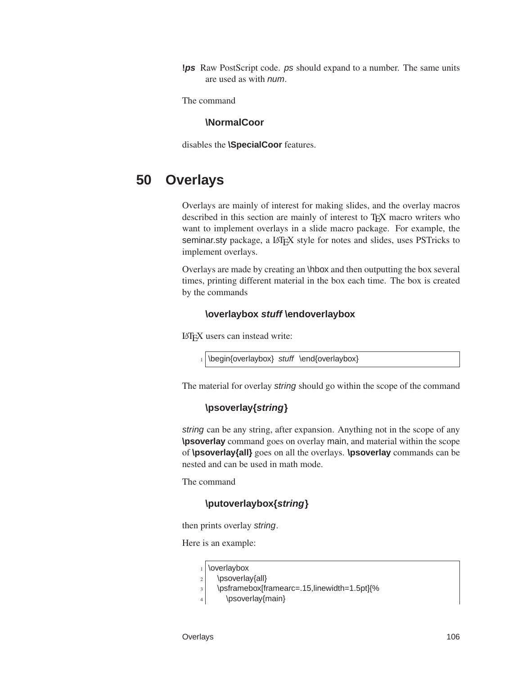<span id="page-109-0"></span>**!ps** Raw PostScript code. ps should expand to a number. The same units are used as with num.

The command

#### **\NormalCoor**

disables the **\SpecialCoor** features.

## **50 Overlays**

Overlays are mainly of interest for making slides, and the overlay macros described in this section are mainly of interest to T<sub>E</sub>X macro writers who want to implement overlays in a slide macro package. For example, the seminar.sty package, a LAT<sub>EX</sub> style for notes and slides, uses PSTricks to implement overlays.

Overlays are made by creating an \hbox and then outputting the box several times, printing different material in the box each time. The box is created by the commands

#### **\overlaybox stuff \endoverlaybox**

LATEX users can instead write:

\begin{overlaybox} stuff \end{overlaybox}

The material for overlay string should go within the scope of the command

#### **\psoverlay{string}**

string can be any string, after expansion. Anything not in the scope of any **\psoverlay** command goes on overlay main, and material within the scope of **\psoverlay{all}** goes on all the overlays. **\psoverlay** commands can be nested and can be used in math mode.

The command

#### **\putoverlaybox{string}**

then prints overlay string.

Here is an example:

|  | $_1$ \overlaybox |
|--|------------------|
|--|------------------|

```
2 \psoverlay{all}
```
<sup>3</sup> \psframebox[framearc=.15,linewidth=1.5pt]{%

4 \psoverlay{main}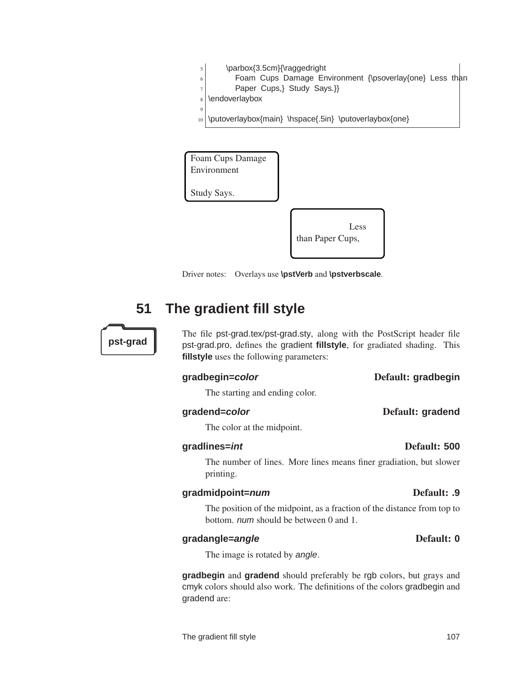Foam Cups Damage Environment

<sup>10</sup> \putoverlaybox{main} \hspace{.5in} \putoverlaybox{one}

<span id="page-110-0"></span> $5$  \parbox{3.5cm}{\raggedright

 $7$  Paper Cups,} Study Says.}}

Study Says.

 $8$  \endoverlaybox

 $\epsilon$ 



6 Foam Cups Damage Environment {\psoverlay{one} Less than

Driver notes: Overlays use **\pstVerb** and **\pstverbscale**.

## **51 The gradient fill style**

The file pst-grad.tex/pst-grad.sty, along with the PostScript header file **pst-grad** pst-grad.pro, defines the gradient **fillstyle**, for gradiated shading. This **fillstyle** uses the following parameters:

#### **gradbegin=color** Default: **gradbegin**

The starting and ending color.

#### **gradend=color** Default: **gradend**

The color at the midpoint.

#### **gradlines=int** Default: **500**

The number of lines. More lines means finer gradiation, but slower printing.

#### **gradmidpoint=num** Default: **.9**

The position of the midpoint, as a fraction of the distance from top to bottom. num should be between 0 and 1.

The image is rotated by angle.

**gradbegin** and **gradend** should preferably be rgb colors, but grays and cmyk colors should also work. The definitions of the colors gradbegin and gradend are:

## **gradangle=angle** Default: **0**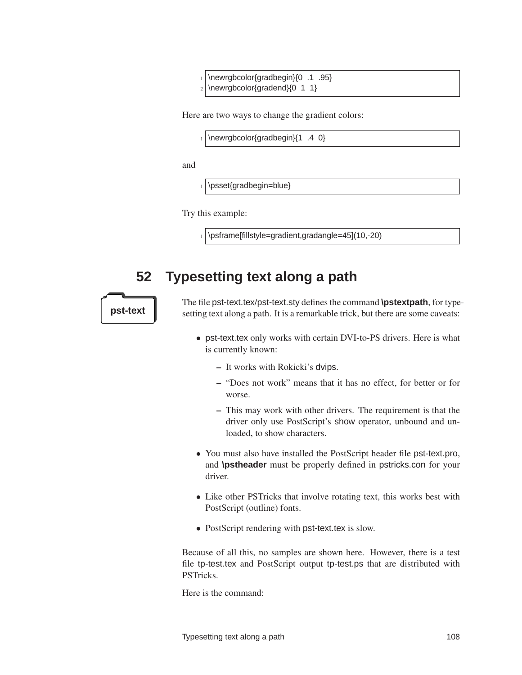<span id="page-111-1"></span>\newrgbcolor{gradbegin}{0 .1 .95}  $2 \times 1$  \newrgbcolor{gradend}{0 1 1}

Here are two ways to change the gradient colors:

 $\vert$  \newrgbcolor{gradbegin}{1 .4 0}

and

\psset{gradbegin=blue}

Try this example:

<span id="page-111-0"></span> $1 \times 1$  \psframe[fillstyle=gradient,gradangle=45](10,-20)

**52 Typesetting text along a path**

The file pst-text.tex/pst-text.sty defines the command **\pstextpath**, for type**pst-text** setting text along a path. It is a remarkable trick, but there are some caveats:

- pst-text.tex only works with certain DVI-to-PS drivers. Here is what is currently known:
	- It works with Rokicki's dvips.
	- "Does not work" means that it has no effect, for better or for worse.
	- This may work with other drivers. The requirement is that the driver only use PostScript's show operator, unbound and unloaded, to show characters.
- You must also have installed the PostScript header file pst-text.pro, and **\pstheader** must be properly defined in pstricks.con for your driver.
- Like other PSTricks that involve rotating text, this works best with PostScript (outline) fonts.
- PostScript rendering with pst-text.tex is slow.

Because of all this, no samples are shown here. However, there is a test file tp-test.tex and PostScript output tp-test.ps that are distributed with PSTricks.

Here is the command:

Typesetting text along a path 108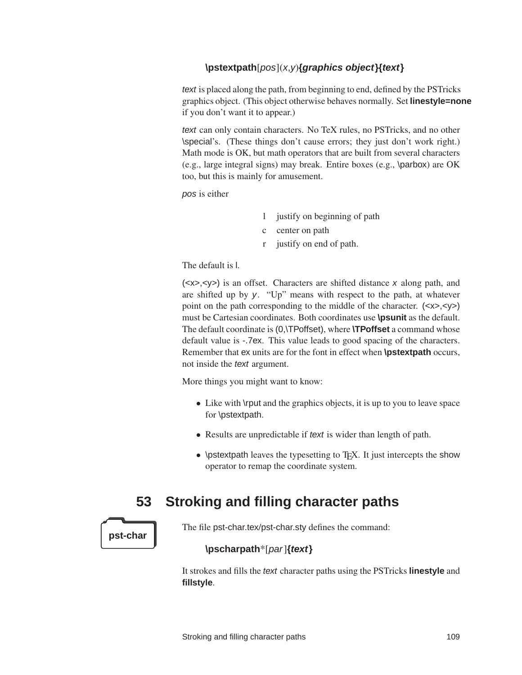### <span id="page-112-0"></span>**\pstextpath**[pos](x,y)**{graphics object}{text}**

text is placed along the path, from beginning to end, defined by the PSTricks graphics object. (This object otherwise behaves normally. Set **linestyle=none** if you don't want it to appear.)

text can only contain characters. No TeX rules, no PSTricks, and no other \special's. (These things don't cause errors; they just don't work right.) Math mode is OK, but math operators that are built from several characters (e.g., large integral signs) may break. Entire boxes (e.g., \parbox) are OK too, but this is mainly for amusement.

pos is either

- l justify on beginning of path
- c center on path
- r justify on end of path.

The default is l.

(<x>,<y>) is an offset. Characters are shifted distance x along path, and are shifted up by y. "Up" means with respect to the path, at whatever point on the path corresponding to the middle of the character. (<x>,<y>) must be Cartesian coordinates. Both coordinates use **\psunit** as the default. The default coordinate is (0,\TPoffset), where **\TPoffset** a command whose default value is -.7ex. This value leads to good spacing of the characters. Remember that ex units are for the font in effect when **\pstextpath** occurs, not inside the text argument.

More things you might want to know:

- Like with \rput and the graphics objects, it is up to you to leave space for \pstextpath.
- Results are unpredictable if text is wider than length of path.
- \pstextpath leaves the typesetting to T<sub>E</sub>X. It just intercepts the show operator to remap the coordinate system.

## **53 Stroking and filling character paths**

**pst-char**

The file pst-char.tex/pst-char.sty defines the command:

#### **\pscharpath**\*[par]**{text}**

It strokes and fills the text character paths using the PSTricks **linestyle** and **fillstyle**.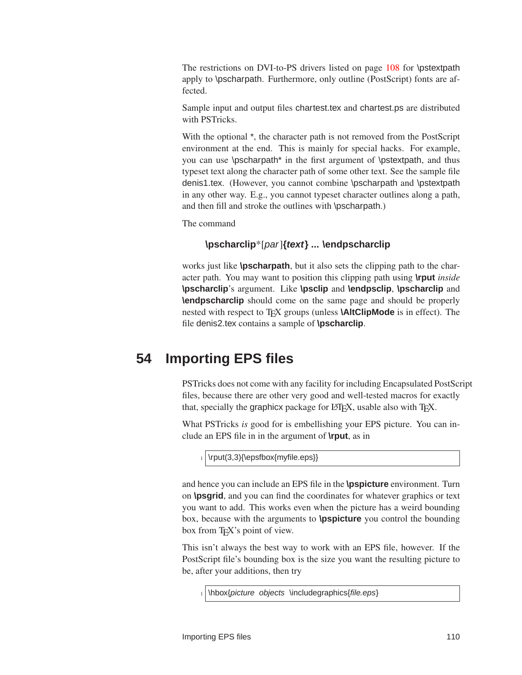<span id="page-113-0"></span>The restrictions on DVI-to-PS drivers listed on page [108](#page-111-0) for \pstextpath apply to \pscharpath. Furthermore, only outline (PostScript) fonts are affected.

Sample input and output files chartest.tex and chartest.ps are distributed with PSTricks.

With the optional  $*$ , the character path is not removed from the PostScript environment at the end. This is mainly for special hacks. For example, you can use \pscharpath\* in the first argument of \pstextpath, and thus typeset text along the character path of some other text. See the sample file denis1.tex. (However, you cannot combine \pscharpath and \pstextpath in any other way. E.g., you cannot typeset character outlines along a path, and then fill and stroke the outlines with \pscharpath.)

The command

### **\pscharclip**\*[par]**{text} ... \endpscharclip**

works just like **\pscharpath**, but it also sets the clipping path to the character path. You may want to position this clipping path using **\rput** *inside* **\pscharclip**'s argument. Like **\psclip** and **\endpsclip**, **\pscharclip** and **\endpscharclip** should come on the same page and should be properly nested with respect to T<sub>E</sub>X groups (unless **\AltClipMode** is in effect). The file denis2.tex contains a sample of **\pscharclip**.

## **54 Importing EPS files**

PSTricks does not come with any facility for including Encapsulated PostScript files, because there are other very good and well-tested macros for exactly that, specially the graphicx package for LAT<sub>EX</sub>, usable also with T<sub>EX</sub>.

What PSTricks *is* good for is embellishing your EPS picture. You can include an EPS file in in the argument of **\rput**, as in

 $_1$  \rput(3,3){\epsfbox{myfile.eps}}

and hence you can include an EPS file in the **\pspicture** environment. Turn on **\psgrid**, and you can find the coordinates for whatever graphics or text you want to add. This works even when the picture has a weird bounding box, because with the arguments to **\pspicture** you control the bounding box from T<sub>E</sub>X's point of view.

This isn't always the best way to work with an EPS file, however. If the PostScript file's bounding box is the size you want the resulting picture to be, after your additions, then try

 $1$  \hbox{picture objects \includegraphics{file.eps}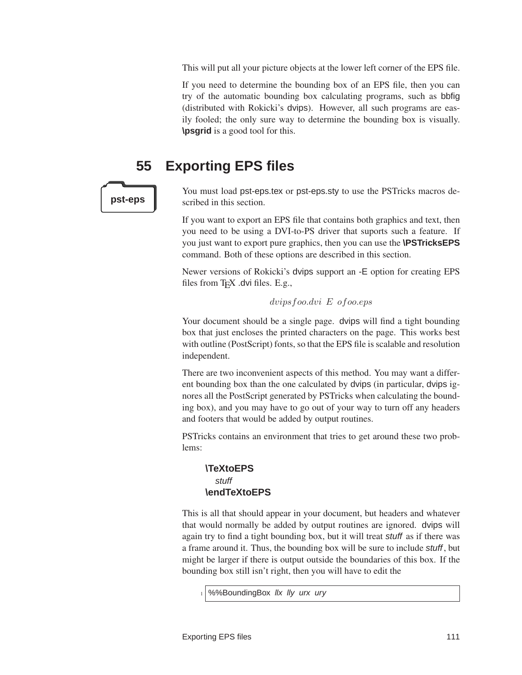<span id="page-114-0"></span>This will put all your picture objects at the lower left corner of the EPS file.

If you need to determine the bounding box of an EPS file, then you can try of the automatic bounding box calculating programs, such as bbfig (distributed with Rokicki's dvips). However, all such programs are easily fooled; the only sure way to determine the bounding box is visually. **\psgrid** is a good tool for this.

## **55 Exporting EPS files**



You must load pst-eps.tex or pst-eps.sty to use the PSTricks macros de**pst-eps c** scribed in this section.

> If you want to export an EPS file that contains both graphics and text, then you need to be using a DVI-to-PS driver that suports such a feature. If you just want to export pure graphics, then you can use the **\PSTricksEPS** command. Both of these options are described in this section.

> Newer versions of Rokicki's dvips support an -E option for creating EPS files from  $T_FX$  dvi files. E.g.,

#### dvipsfoo.dvi E ofoo.eps

Your document should be a single page. dvips will find a tight bounding box that just encloses the printed characters on the page. This works best with outline (PostScript) fonts, so that the EPS file is scalable and resolution independent.

There are two inconvenient aspects of this method. You may want a different bounding box than the one calculated by dvips (in particular, dvips ignores all the PostScript generated by PSTricks when calculating the bounding box), and you may have to go out of your way to turn off any headers and footers that would be added by output routines.

PSTricks contains an environment that tries to get around these two problems:

### **\TeXtoEPS** stuff **\endTeXtoEPS**

This is all that should appear in your document, but headers and whatever that would normally be added by output routines are ignored. dvips will again try to find a tight bounding box, but it will treat stuff as if there was a frame around it. Thus, the bounding box will be sure to include stuff, but might be larger if there is output outside the boundaries of this box. If the bounding box still isn't right, then you will have to edit the

%%BoundingBox llx lly urx ury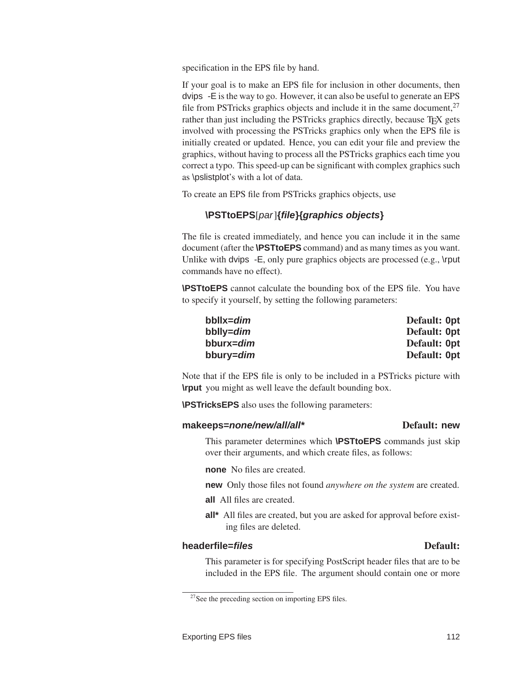<span id="page-115-0"></span>specification in the EPS file by hand.

If your goal is to make an EPS file for inclusion in other documents, then dvips -E is the way to go. However, it can also be useful to generate an EPS file from PSTricks graphics objects and include it in the same document, $27$ rather than just including the PSTricks graphics directly, because T<sub>E</sub>X gets involved with processing the PSTricks graphics only when the EPS file is initially created or updated. Hence, you can edit your file and preview the graphics, without having to process all the PSTricks graphics each time you correct a typo. This speed-up can be significant with complex graphics such as \pslistplot's with a lot of data.

To create an EPS file from PSTricks graphics objects, use

### **\PSTtoEPS**[par]**{file}{graphics objects}**

The file is created immediately, and hence you can include it in the same document (after the **\PSTtoEPS** command) and as many times as you want. Unlike with dvips -E, only pure graphics objects are processed (e.g., \rput commands have no effect).

**\PSTtoEPS** cannot calculate the bounding box of the EPS file. You have to specify it yourself, by setting the following parameters:

| bbllx=dim | Default: Opt |
|-----------|--------------|
| bblly=dim | Default: Opt |
| bburx=dim | Default: Opt |
| bbury=dim | Default: Opt |

Note that if the EPS file is only to be included in a PSTricks picture with **\rput** you might as well leave the default bounding box.

**\PSTricksEPS** also uses the following parameters:

#### makeeps=*none/new/all/all\** Default: new

#### This parameter determines which **\PSTtoEPS** commands just skip over their arguments, and which create files, as follows:

**none** No files are created.

**new** Only those files not found *anywhere on the system* are created.

**all** All files are created.

**all\*** All files are created, but you are asked for approval before existing files are deleted.

#### **headerfile=***files* Default:

#### This parameter is for specifying PostScript header files that are to be included in the EPS file. The argument should contain one or more

 $27$ See the preceding section on importing EPS files.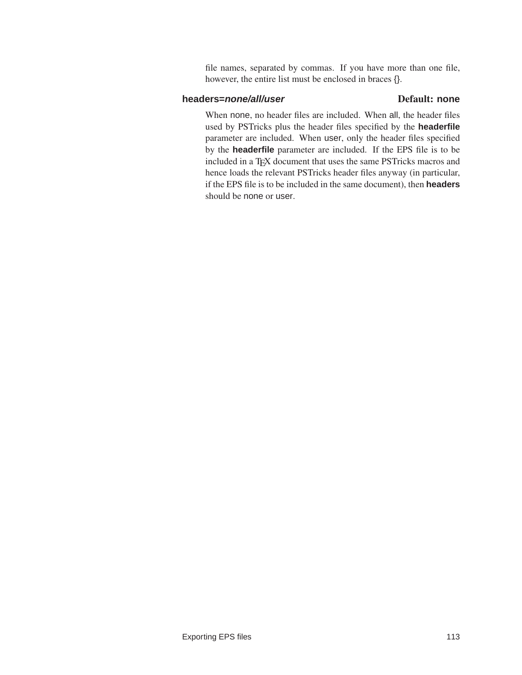<span id="page-116-0"></span>file names, separated by commas. If you have more than one file, however, the entire list must be enclosed in braces {}.

#### **headers=***none/all/user* Default: none

When none, no header files are included. When all, the header files used by PSTricks plus the header files specified by the **headerfile** parameter are included. When user, only the header files specified by the **headerfile** parameter are included. If the EPS file is to be included in a TEX document that uses the same PSTricks macros and hence loads the relevant PSTricks header files anyway (in particular, if the EPS file is to be included in the same document), then **headers** should be none or user.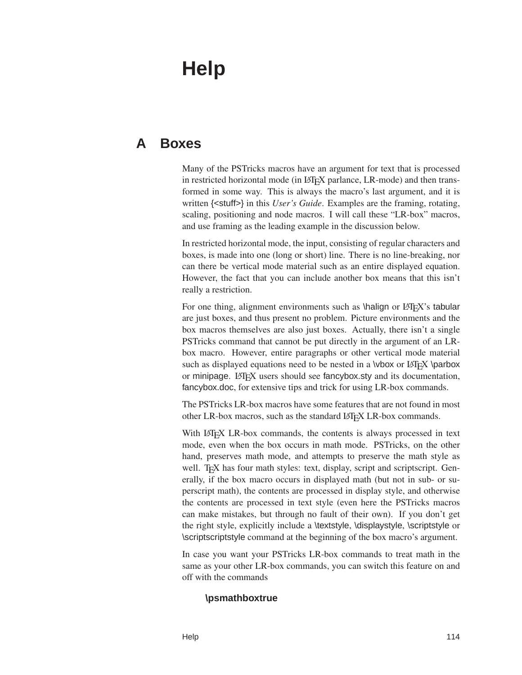# <span id="page-117-0"></span>**Help**

## **A Boxes**

Many of the PSTricks macros have an argument for text that is processed in restricted horizontal mode (in LATEX parlance, LR-mode) and then transformed in some way. This is always the macro's last argument, and it is written {<stuff>} in this *User's Guide*. Examples are the framing, rotating, scaling, positioning and node macros. I will call these "LR-box" macros, and use framing as the leading example in the discussion below.

In restricted horizontal mode, the input, consisting of regular characters and boxes, is made into one (long or short) line. There is no line-breaking, nor can there be vertical mode material such as an entire displayed equation. However, the fact that you can include another box means that this isn't really a restriction.

For one thing, alignment environments such as  $\hbox{\sf half}$  or LATEX's tabular are just boxes, and thus present no problem. Picture environments and the box macros themselves are also just boxes. Actually, there isn't a single PSTricks command that cannot be put directly in the argument of an LRbox macro. However, entire paragraphs or other vertical mode material such as displayed equations need to be nested in a \vbox or LATEX \parbox or minipage. LATEX users should see fancybox.sty and its documentation, fancybox.doc, for extensive tips and trick for using LR-box commands.

The PSTricks LR-box macros have some features that are not found in most other LR-box macros, such as the standard LATEX LR-box commands.

With LAT<sub>E</sub>X LR-box commands, the contents is always processed in text mode, even when the box occurs in math mode. PSTricks, on the other hand, preserves math mode, and attempts to preserve the math style as well. T<sub>E</sub>X has four math styles: text, display, script and scriptscript. Generally, if the box macro occurs in displayed math (but not in sub- or superscript math), the contents are processed in display style, and otherwise the contents are processed in text style (even here the PSTricks macros can make mistakes, but through no fault of their own). If you don't get the right style, explicitly include a \textstyle, \displaystyle, \scriptstyle or \scriptscriptstyle command at the beginning of the box macro's argument.

In case you want your PSTricks LR-box commands to treat math in the same as your other LR-box commands, you can switch this feature on and off with the commands

#### **\psmathboxtrue**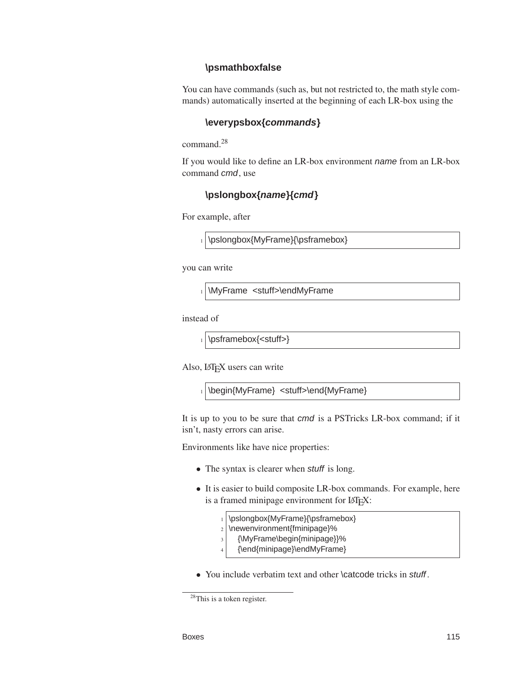#### <span id="page-118-0"></span>**\psmathboxfalse**

You can have commands (such as, but not restricted to, the math style commands) automatically inserted at the beginning of each LR-box using the

#### **\everypsbox{commands}**

command.<sup>28</sup>

If you would like to define an LR-box environment name from an LR-box command cmd, use

### **\pslongbox{name}{cmd}**

For example, after

1 \pslongbox{MyFrame}{\psframebox}

you can write

1 \MyFrame <stuff>\endMyFrame

instead of

\psframebox{<stuff>}

Also, LATEX users can write

1 \begin{MyFrame} <stuff>\end{MyFrame}

It is up to you to be sure that cmd is a PSTricks LR-box command; if it isn't, nasty errors can arise.

Environments like have nice properties:

- The syntax is clearer when *stuff* is long.
- It is easier to build composite LR-box commands. For example, here is a framed minipage environment for LATEX:
	- 1 \pslongbox{MyFrame}{\psframebox}
	- $2 \times 2$  \newenvironment{fminipage}%
	- $3$  {\MyFrame\begin{minipage}}%
	- <sup>4</sup> {\end{minipage}\endMyFrame}
- You include verbatim text and other \catcode tricks in stuff.

<sup>28</sup>This is a token register.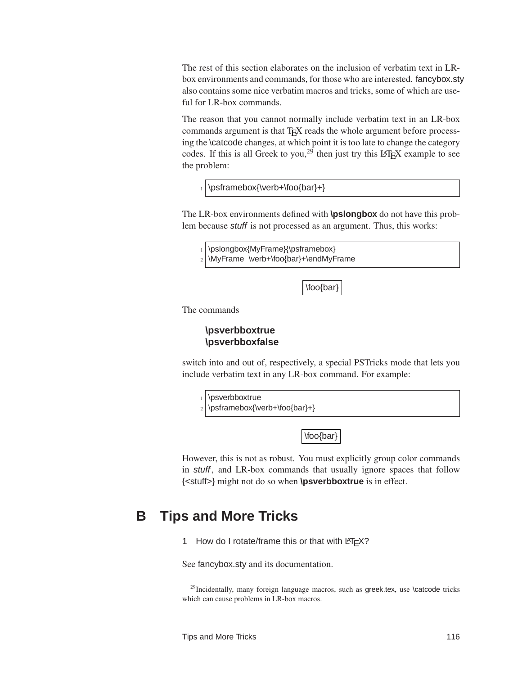<span id="page-119-0"></span>The rest of this section elaborates on the inclusion of verbatim text in LRbox environments and commands, for those who are interested. fancybox.sty also contains some nice verbatim macros and tricks, some of which are useful for LR-box commands.

The reason that you cannot normally include verbatim text in an LR-box commands argument is that TEX reads the whole argument before processing the \catcode changes, at which point it is too late to change the category codes. If this is all Greek to you,<sup>29</sup> then just try this LAT<sub>E</sub>X example to see the problem:

\psframebox{\verb+\foo{bar}+}

The LR-box environments defined with **\pslongbox** do not have this problem because stuff is not processed as an argument. Thus, this works:

1 \pslongbox{MyFrame}{\psframebox}

\MyFrame \verb+\foo{bar}+\endMyFrame

\foo{bar}

The commands

#### **\psverbboxtrue \psverbboxfalse**

switch into and out of, respectively, a special PSTricks mode that lets you include verbatim text in any LR-box command. For example:



However, this is not as robust. You must explicitly group color commands in stuff, and LR-box commands that usually ignore spaces that follow {<stuff>} might not do so when **\psverbboxtrue** is in effect.

## **B Tips and More Tricks**

1 How do I rotate/frame this or that with  $\text{LTEX?}$ 

See fancybox.sty and its documentation.

<sup>&</sup>lt;sup>29</sup>Incidentally, many foreign language macros, such as greek.tex, use \catcode tricks which can cause problems in LR-box macros.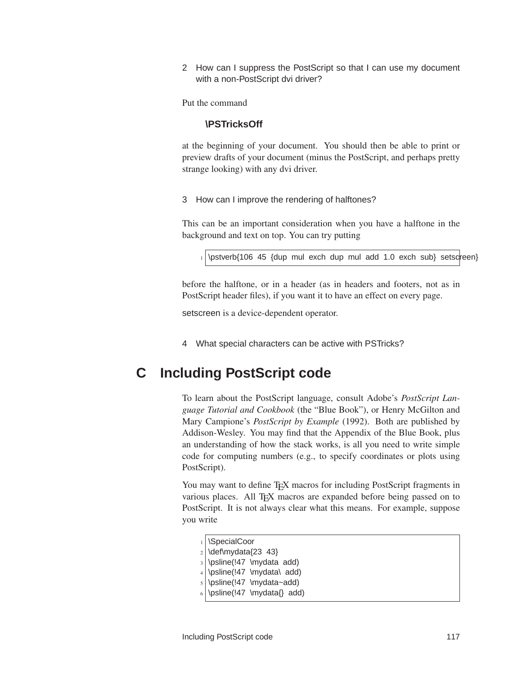<span id="page-120-0"></span>2 How can I suppress the PostScript so that I can use my document with a non-PostScript dvi driver?

Put the command

#### **\PSTricksOff**

at the beginning of your document. You should then be able to print or preview drafts of your document (minus the PostScript, and perhaps pretty strange looking) with any dvi driver.

3 How can I improve the rendering of halftones?

This can be an important consideration when you have a halftone in the background and text on top. You can try putting

\pstverb{106 45 {dup mul exch dup mul add 1.0 exch sub} setscreen}

before the halftone, or in a header (as in headers and footers, not as in PostScript header files), if you want it to have an effect on every page.

setscreen is a device-dependent operator.

4 What special characters can be active with PSTricks?

## **C Including PostScript code**

To learn about the PostScript language, consult Adobe's *PostScript Language Tutorial and Cookbook* (the "Blue Book"), or Henry McGilton and Mary Campione's *PostScript by Example* (1992). Both are published by Addison-Wesley. You may find that the Appendix of the Blue Book, plus an understanding of how the stack works, is all you need to write simple code for computing numbers (e.g., to specify coordinates or plots using PostScript).

You may want to define TEX macros for including PostScript fragments in various places. All TEX macros are expanded before being passed on to PostScript. It is not always clear what this means. For example, suppose you write

| 1   \SpecialCoor                       |
|----------------------------------------|
| $2$ \def\mydata{23 43}                 |
| $\frac{1}{2}$ \psline(!47 \mydata add) |
| $4 \log^2(47 \mydata \ add)$           |
| $5$ \psline(!47 \mydata~add)           |
| $6 \log\left(147 \ mydata\right)$ add) |
|                                        |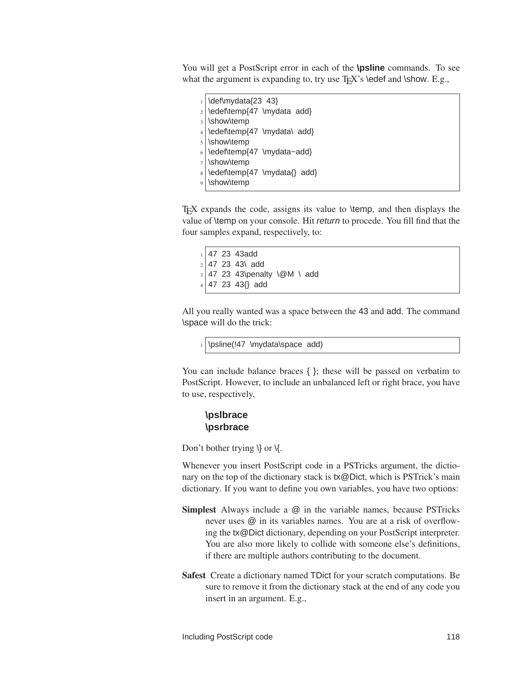<span id="page-121-0"></span>You will get a PostScript error in each of the **\psline** commands. To see what the argument is expanding to, try use  $T_F X$ 's \edef and \show. E.g.,

\def\mydata{23 43} \edef\temp{47 \mydata add} \show\temp \edef\temp{47 \mydata\ add} \show\temp \edef\temp{47 \mydata~add} \show\temp \edef\temp{47 \mydata{} add} \show\temp

 $TeX$  expands the code, assigns its value to  $\temp$ , and then displays the value of \temp on your console. Hit return to procede. You fill find that the four samples expand, respectively, to:

 $1$  47 23 43add  $2 | 47 23 43 \text{ add}$  $3$  47 23 43\penalty \@M \ add 47 23 43{} add

All you really wanted was a space between the 43 and add. The command \space will do the trick:

 $_1$  \psline(!47 \mydata\space add)

You can include balance braces { }; these will be passed on verbatim to PostScript. However, to include an unbalanced left or right brace, you have to use, respectively,

#### **\pslbrace \psrbrace**

Don't bother trying  $\setminus$  or  $\setminus$ .

Whenever you insert PostScript code in a PSTricks argument, the dictionary on the top of the dictionary stack is tx@Dict, which is PSTrick's main dictionary. If you want to define you own variables, you have two options:

- Simplest Always include a @ in the variable names, because PSTricks never uses @ in its variables names. You are at a risk of overflowing the tx@Dict dictionary, depending on your PostScript interpreter. You are also more likely to collide with someone else's definitions, if there are multiple authors contributing to the document.
- Safest Create a dictionary named TDict for your scratch computations. Be sure to remove it from the dictionary stack at the end of any code you insert in an argument. E.g.,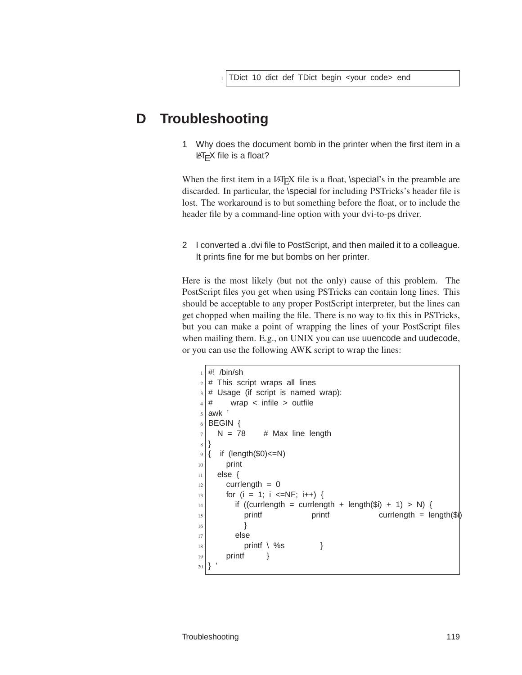## **D Troubleshooting**

1 Why does the document bomb in the printer when the first item in a LATEX file is a float?

When the first item in a  $\Delta E$ <sub>E</sub>X file is a float, \special's in the preamble are discarded. In particular, the \special for including PSTricks's header file is lost. The workaround is to but something before the float, or to include the header file by a command-line option with your dvi-to-ps driver.

2 I converted a .dvi file to PostScript, and then mailed it to a colleague. It prints fine for me but bombs on her printer.

Here is the most likely (but not the only) cause of this problem. The PostScript files you get when using PSTricks can contain long lines. This should be acceptable to any proper PostScript interpreter, but the lines can get chopped when mailing the file. There is no way to fix this in PSTricks, but you can make a point of wrapping the lines of your PostScript files when mailing them. E.g., on UNIX you can use uuencode and uudecode, or you can use the following AWK script to wrap the lines:

```
_1 #! /bin/sh
2 \mid # This script wraps all lines
3 \mid # Usage (if script is named wrap):
4 \mid # wrap < infile > outfile
5 awk
6 BEGIN {
7 \mid N = 78 # Max line length
8 }
9 \mid \ if (length($0) <= N)
_{10} print
11 else {
12 currlength = 0
_{13} for (i = 1; i <=NF; i++) {
_{14} if ((currlength = currlength + length($i) + 1) > N) {
\begin{array}{ccc} \text{15} & \text{print} \\ \text{16} & \text{print} \end{array}\begin{array}{c} 16 \end{array} }
17 else
_{18} printf \ %s }
19 printf }
20
```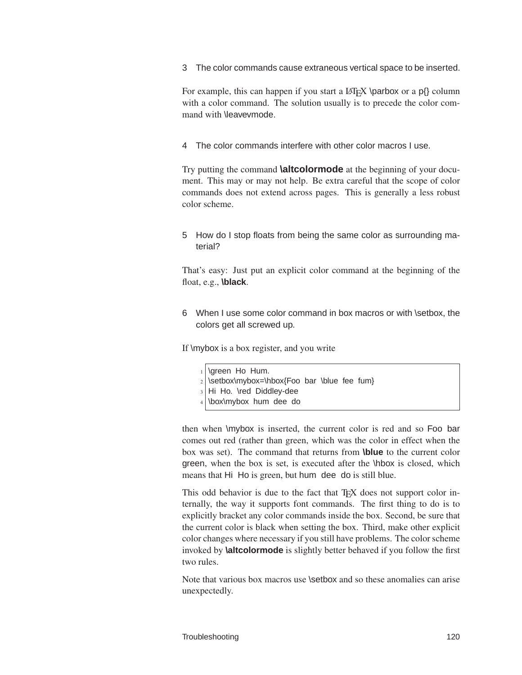<span id="page-123-0"></span>3 The color commands cause extraneous vertical space to be inserted.

For example, this can happen if you start a  $\langle$ Fig.X \parbox or a p{\} column with a color command. The solution usually is to precede the color command with \leavevmode.

4 The color commands interfere with other color macros I use.

Try putting the command **\altcolormode** at the beginning of your document. This may or may not help. Be extra careful that the scope of color commands does not extend across pages. This is generally a less robust color scheme.

5 How do I stop floats from being the same color as surrounding material?

That's easy: Just put an explicit color command at the beginning of the float, e.g., **\black**.

6 When I use some color command in box macros or with \setbox, the colors get all screwed up.

If \mybox is a box register, and you write

- \green Ho Hum.
- $2$  \setbox\mybox=\hbox{Foo bar \blue fee fum}
- Hi Ho. \red Diddley-dee
- \box\mybox hum dee do

then when \mybox is inserted, the current color is red and so Foo bar comes out red (rather than green, which was the color in effect when the box was set). The command that returns from **\blue** to the current color green, when the box is set, is executed after the \hbox is closed, which means that Hi Ho is green, but hum dee do is still blue.

This odd behavior is due to the fact that T<sub>E</sub>X does not support color internally, the way it supports font commands. The first thing to do is to explicitly bracket any color commands inside the box. Second, be sure that the current color is black when setting the box. Third, make other explicit color changes where necessary if you still have problems. The color scheme invoked by **\altcolormode** is slightly better behaved if you follow the first two rules.

Note that various box macros use \setbox and so these anomalies can arise unexpectedly.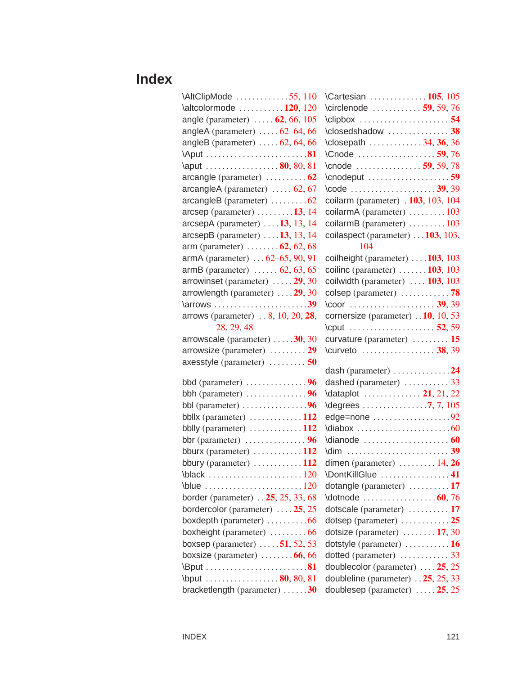# **Index**

| \AltClipMode 55, 110                                   |
|--------------------------------------------------------|
| $\lambda$ 120, 120                                     |
| angle (parameter) $\ldots$ . 62, 66, 105               |
| angleA (parameter) $\dots$ . 62–64, 66                 |
| angleB (parameter) $\dots$ .62, 64, 66                 |
|                                                        |
| \aput 80, 80, 81                                       |
| $\alpha$ arcangle (parameter) $\dots \dots \dots 62$   |
| arcangleA (parameter)  62, 67                          |
| arcangleB (parameter) 62                               |
| $\alpha$ rcsep (parameter) $\dots \dots \dots 13$ , 14 |
| $\alpha$ rcsepA (parameter)  13, 13, 14                |
| arcsepB (parameter)  . 13, 13, 14                      |
| arm (parameter) $\dots \dots 62, 62, 68$               |
| armA (parameter)  62-65, 90, 91                        |
| armB (parameter) $\ldots \ldots 62, 63, 65$            |
| arrowinset (parameter)  29, 30                         |
| arrowlength (parameter)  29, 30                        |
| \arrows 39                                             |
| arrows (parameter) 8, 10, 20, 28,                      |
| 28, 29, 48                                             |
| arrowscale (parameter) 30, 30                          |
| arrowsize (parameter)  29                              |
| axesstyle (parameter)  50                              |
| bbd (parameter) $\dots \dots \dots \dots$              |
| bbh (parameter) $\ldots$ 96                            |
| bbl (parameter) $\dots \dots \dots \dots \dots$        |
| bbllx (parameter) $\dots \dots \dots \dots 112$        |
| bblly (parameter) 112                                  |
|                                                        |
| bburx (parameter) $\dots \dots \dots \dots 112$        |
| bbury (parameter) $\dots \dots \dots \dots 112$        |
| \black<br>. 120                                        |
|                                                        |
| border (parameter) 25, 25, 33, 68                      |
| bordercolor (parameter) $\dots$ 25, 25                 |
| boxdepth (parameter) $\dots\dots\dots66$               |
| boxheight (parameter)  66                              |
| boxsep (parameter) $\dots$ 51, 52, 53                  |
| boxsize (parameter) $\ldots \ldots \ldots 66, 66$      |
|                                                        |
|                                                        |
| \bput 80, 80, 81<br>hrackatlangth (perspecter)<br>30   |

| $\text{MltClipMode} \dots \dots \dots \dots 55, 110$     | \Cartesian  105, 105                                             |
|----------------------------------------------------------|------------------------------------------------------------------|
| $\lambda$ laltcolormode  120, 120                        | \circlenode $\ldots \ldots \ldots$ 59, 59, 76                    |
| angle (parameter) $\ldots$ . 62, 66, 105                 | $\text{Clipbox} \ldots \ldots \ldots \ldots \ldots 54$           |
| angleA (parameter) $\ldots$ . 62–64, 66                  | $\lvert \text{Closedshadow} \ldots \ldots \ldots \ldots \rvert$  |
| angleB (parameter) $\dots$ .62, 64, 66                   | \closepath 34, 36, 36                                            |
|                                                          | $\text{Conode}$ 59,76                                            |
| \aput 80, 80, 81                                         | $\text{Conode}$ 59, 59, 78                                       |
| arcangle (parameter) $\ldots \ldots \ldots 62$           |                                                                  |
| $\alpha$ arcangleA (parameter) $\ldots$ . 62, 67         |                                                                  |
| $\alpha$ arcangleB (parameter) $\ldots \ldots \ldots 62$ | coilarm (parameter) $.103, 103, 104$                             |
| $\alpha$ rcsep (parameter) $\dots \dots \dots 13$ , 14   | coilarmA (parameter) $\dots \dots \dots 103$                     |
| $\alpha$ rcsepA (parameter) $\dots$ 13, 13, 14           | coilarmB (parameter) 103                                         |
| $\alpha$ csepB (parameter) $\dots$ 13, 13, 14            | coilaspect (parameter) $\dots$ 103, 103,                         |
| arm (parameter) $\ldots \ldots 62, 62, 68$               | 104                                                              |
| armA (parameter) $ 62-65, 90, 91$                        | coilheight (parameter) $\dots$ 103, 103                          |
| armB (parameter) $\ldots \ldots 62, 63, 65$              | coilinc (parameter) $\ldots \ldots$ 103, 103                     |
| arrowinset (parameter) $\ldots$ . 29, 30                 | coilwidth (parameter) $\ldots$ 103, 103                          |
| arrowlength (parameter) $\dots$ 29, 30                   |                                                                  |
| $\arrows \ldots, \ldots, \ldots, \ldots, \ldots, \ldots$ |                                                                  |
| arrows (parameter) $ 8, 10, 20, 28,$                     | cornersize (parameter) 10, 10, 53                                |
| 28, 29, 48                                               | \cput  52, 59                                                    |
| arrowscale (parameter) $\dots$ . 30, 30                  | curvature (parameter) $\dots \dots \dots 15$                     |
| arrowsize (parameter) $\dots \dots 29$                   | $\text{curveto} \ldots \ldots \ldots \ldots \ldots \text{38,39}$ |
| axesstyle (parameter) $\ldots \ldots \ldots$ 50          | dash (parameter) $\dots \dots \dots \dots 24$                    |
|                                                          | dashed (parameter)  33                                           |
| bbh (parameter) $\dots \dots \dots \dots$                | \dataplot  21, 21, 22                                            |
|                                                          |                                                                  |
| bbllx (parameter) $\dots \dots \dots \dots \dots 112$    | edge=none $\ldots \ldots \ldots \ldots \ldots 92$                |
| bblly (parameter) $\dots \dots \dots \dots 112$          |                                                                  |
|                                                          |                                                                  |
| bburx (parameter) $\dots \dots \dots \dots 112$          |                                                                  |
| bbury (parameter) $\dots \dots \dots \dots 112$          | dimen (parameter) $\ldots \ldots \ldots 14, 26$                  |
|                                                          | \DontKillGlue 41                                                 |
| \blue $\ldots \ldots \ldots \ldots \ldots \ldots 120$    | dotangle (parameter) $\dots \dots \dots 17$                      |
| border (parameter) 25, 25, 33, 68                        |                                                                  |
| bordercolor (parameter) $\dots$ 25, 25                   | dotscale (parameter) $\dots \dots \dots 17$                      |
| boxdepth (parameter) $\ldots \ldots \ldots 66$           | dotsep (parameter) $\dots \dots \dots \dots 25$                  |
| boxheight (parameter) $\ldots \ldots \ldots 66$          | dotsize (parameter) $\dots \dots 17, 30$                         |
| boxsep (parameter) $\dots$ 51, 52, 53                    | dotstyle (parameter) $\dots \dots \dots \dots 16$                |
| boxsize (parameter) $\ldots \ldots \ldots 66, 66$        |                                                                  |
|                                                          | doublecolor (parameter) $\dots$ 25, 25                           |
| \bput $\ldots$ 80, 80, 81                                | doubleline (parameter) $\ldots$ 25, 25, 33                       |
| bracketlength (parameter) $\dots \dots 30$               | doublesep (parameter) $\dots$ . 25, 25                           |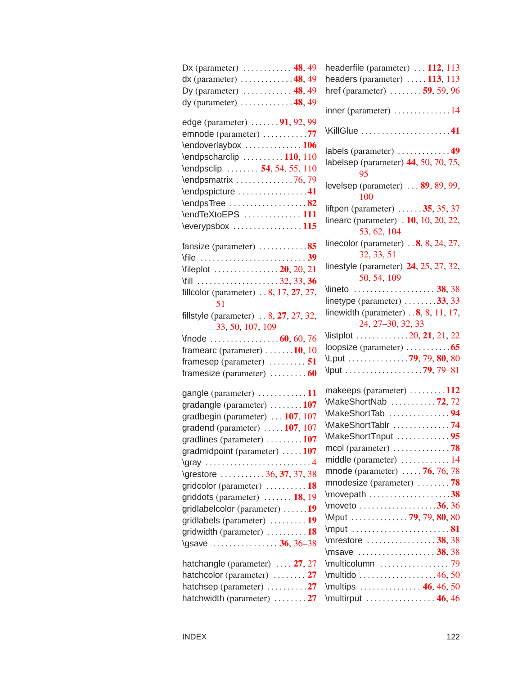| Dx (parameter) $\dots \dots \dots \dots 48, 49$                                    |
|------------------------------------------------------------------------------------|
| $dx$ (parameter) 48, 49                                                            |
| Dy (parameter) $\dots \dots \dots \dots$ 48, 49                                    |
| dy (parameter) $\dots \dots \dots \dots 48, 49$                                    |
| edge (parameter)  91, 92, 99                                                       |
| emnode (parameter) 77                                                              |
| \endoverlaybox 106                                                                 |
| \endpscharclip  110, 110                                                           |
| \endpsclip  54, 54, 55, 110                                                        |
| \endpsmatrix 76,79                                                                 |
| \endpspicture 41                                                                   |
| \endpsTree 82                                                                      |
| \endTeXtoEPS  111                                                                  |
| $\text{everypsbox} \dots \dots \dots \dots 115$                                    |
| fansize (parameter) 85                                                             |
|                                                                                    |
| $\left\{ \text{displot} \right. \dots \dots \dots \dots \dots 20, 20, 21 \right\}$ |
|                                                                                    |
| fillcolor (parameter) $\ldots$ 8, 17, 27, 27,<br>51                                |
| fillstyle (parameter) $\ldots$ 8, 27, 27, 32,<br>33, 50, 107, 109                  |
| $\frac{60}{60}$ , 76                                                               |
| framearc (parameter) $\dots \dots 10$ , 10                                         |
| framesep (parameter)  51                                                           |
| framesize (parameter)  60                                                          |
| gangle (parameter) 11                                                              |
| gradangle (parameter) 107                                                          |
| gradbegin (parameter)  107, 107                                                    |
| gradend (parameter) $\dots$ . 107, 107                                             |
| gradlines (parameter) 107                                                          |
| gradmidpoint (parameter) $\dots$ 107                                               |
| \gray 4                                                                            |
| \grestore 36, 37, 37, 38                                                           |
| gridcolor (parameter)  18                                                          |
| griddots (parameter)  18, 19                                                       |
| gridlabelcolor (parameter) 19                                                      |
| gridlabels (parameter)  19                                                         |
| gridwidth (parameter) 18                                                           |
| \gsave  36, 36–38                                                                  |
| hatchangle (parameter) $\ldots$ 27, 27                                             |
| hatchcolor (parameter)  27                                                         |
| hatchsep (parameter) 27                                                            |
| hatchwidth (parameter) $\dots \dots 27$                                            |

| headerfile (parameter)  112, 113                                  |
|-------------------------------------------------------------------|
| headers (parameter) $\dots$ 113, 113                              |
| href (parameter) $\ldots \ldots \ldots$ 59, 59, 96                |
| inner (parameter) 14                                              |
| KillGlue 41                                                       |
| labels (parameter) 49                                             |
| labelsep (parameter) 44, 50, 70, 75,<br>95                        |
| levelsep (parameter)  89, 89, 99,<br>100                          |
| liftpen (parameter) $\ldots \ldots 35, 35, 37$                    |
| linearc (parameter) $.10, 10, 20, 22,$                            |
| 53, 62, 104                                                       |
| linecolor (parameter) $\ldots$ 8, 8, 24, 27,<br>32, 33, 51        |
| linestyle (parameter) 24, 25, 27, 32,                             |
| 50, 54, 109                                                       |
| Vineto  38, 38                                                    |
| linetype (parameter) $\ldots \ldots \ldots$ 33, 33                |
| linewidth (parameter) $\ldots$ 8, 8, 11, 17,                      |
| 24, 27-30, 32, 33                                                 |
| $\text{Nistplot}$ 20, 21, 21, 22                                  |
| loopsize (parameter) $\dots \dots \dots 65$                       |
| \Lput 79, 79, 80, 80                                              |
| \lput 79, 79–81                                                   |
|                                                                   |
| makeeps (parameter) $\dots \dots \dots 112$<br>MakeShortNab 72,72 |
| MakeShortTab 94                                                   |
| MakeShortTablr 74                                                 |
| MakeShortTnput 95                                                 |
|                                                                   |
| middle (parameter) 14                                             |
| mnode (parameter) $\ldots$ . 76, 76, 78                           |
| mnodesize (parameter) $\ldots \ldots \ldots$ 78                   |
| \movepath 38                                                      |
| $\text{two}$ 36, 36                                               |
| Mput 79, 79, 80, 80                                               |
| \mput 81                                                          |
|                                                                   |
| \msave  38, 38                                                    |
| \multicolumn  79                                                  |
|                                                                   |
| \multips $\ldots \ldots \ldots \ldots \cdot 46, 46, 50$           |
| \multirput 46, 46                                                 |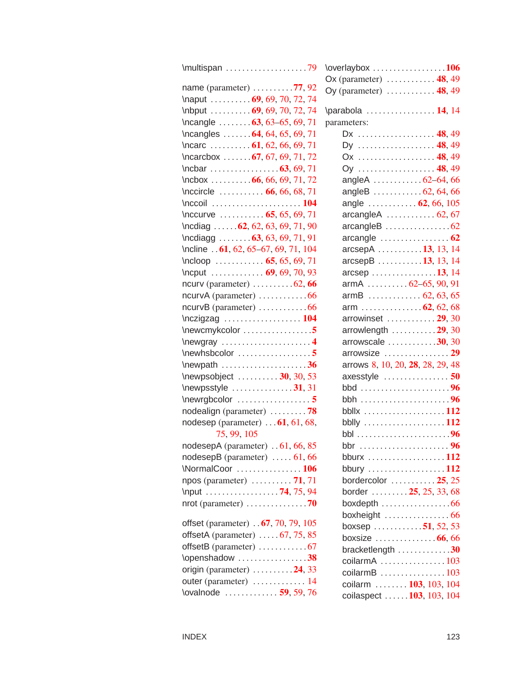| \multispan 79                                               |
|-------------------------------------------------------------|
| name (parameter) $\ldots \ldots \ldots$ 77, 92              |
| \naput  69, 69, 70, 72, 74                                  |
| \nbput  69, 69, 70, 72, 74                                  |
| \ncangle $\dots \dots 63, 63-65, 69, 71$                    |
| \ncangles  64, 64, 65, 69, 71                               |
|                                                             |
| $\text{C}$ \ncarcbox  67, 67, 69, 71, 72                    |
|                                                             |
| $\hbox{hcbox}$ 66, 66, 69, 71, 72                           |
| $\{ \, 0, 66, 66, 68, 71 \,$                                |
|                                                             |
| \nccurve $\ldots \ldots \ldots \ldots \quad 65, 65, 69, 71$ |
| $\begin{bmatrix} 62, 62, 63, 69, 71, 90 \end{bmatrix}$      |
| $\n$ cdiagg  63, 63, 69, 71, 91                             |
| \ncline 61, 62, 65-67, 69, 71, 104                          |
| $\hbox{ncloop}$ 65, 65, 69, 71                              |
| \ncput  69, 69, 70, 93                                      |
| ncurv (parameter) $\dots \dots \dots 62, 66$                |
|                                                             |
| $ncurvB$ (parameter) $\dots\dots\dots\dots66$               |
| $\nczigzag \ldots \ldots \ldots \ldots 104$                 |
| $\neq$ wewcmykcolor 5                                       |
| \newgray 4                                                  |
|                                                             |
| $\neq 36$                                                   |
| \newpsobject $\ldots \ldots \ldots$ 30, 30, 53              |
| $\neq$ \newpsstyle 31, 31                                   |
|                                                             |
| nodealign (parameter) 78                                    |
| nodesep (parameter) $\dots$ 61, 61, 68,                     |
| 75, 99, 105                                                 |
| nodesepA (parameter) 61, 66, 85                             |
| nodesepB (parameter) $\dots$ . 61, 66<br>\NormalCoor  106   |
| npos (parameter)  71, 71                                    |
| \nput 74, 75, 94                                            |
|                                                             |
|                                                             |
| offset (parameter) 67, 70, 79, 105                          |
| offsetA (parameter) $\dots$ .67, 75, 85                     |
| offsetB (parameter) 67                                      |
| \openshadow 38                                              |
| origin (parameter) $\ldots \ldots \ldots$ 24, 33            |
| outer (parameter)  14                                       |
| \ovalnode  59, 59, 76                                       |

| \overlaybox 106                                       |  |
|-------------------------------------------------------|--|
| Ox (parameter) $\dots \dots \dots \dots$ 48, 49       |  |
| Oy (parameter) $\dots \dots \dots \dots 48, 49$       |  |
|                                                       |  |
| \parabola  14, 14                                     |  |
| parameters:                                           |  |
| Dx  48,49                                             |  |
| Dy  48,49                                             |  |
| Ox  48,49                                             |  |
| Oy  48, 49                                            |  |
| angleA 62-64,66                                       |  |
| angleB $\ldots \ldots \ldots \ldots 62, 64, 66$       |  |
| angle $\ldots \ldots \ldots \ldots 62, 66, 105$       |  |
| arcangleA $\ldots \ldots \ldots 62, 67$               |  |
|                                                       |  |
| arcangle $\ldots \ldots \ldots \ldots \ldots 62$      |  |
| arcsepA 13, 13, 14                                    |  |
| arcsepB 13, 13, 14                                    |  |
| arcsep 13, 14                                         |  |
| armA $62-65, 90, 91$                                  |  |
|                                                       |  |
| arm  62, 62, 68                                       |  |
| arrowinset  29, 30                                    |  |
| arrowlength $\ldots \ldots \ldots 29, 30$             |  |
| arrowscale $\ldots \ldots \ldots 30, 30$              |  |
| arrowsize  29                                         |  |
| arrows 8, 10, 20, 28, 28, 29, 48                      |  |
| axesstyle $\ldots$ 50                                 |  |
|                                                       |  |
|                                                       |  |
| bbllx $\ldots \ldots \ldots \ldots \ldots \ldots 112$ |  |
| bblly $\ldots \ldots \ldots \ldots \ldots \ldots 112$ |  |
|                                                       |  |
| bbr 96                                                |  |
| bburx 112                                             |  |
| bbury 112                                             |  |
| bordercolor $\ldots \ldots \ldots 25, 25$             |  |
| border $\ldots \ldots \ldots 25, 25, 33, 68$          |  |
| boxdepth $\ldots \ldots \ldots \ldots \ldots 66$      |  |
|                                                       |  |
| boxsep 51, 52, 53                                     |  |
| boxsize $\ldots \ldots \ldots \ldots 66, 66$          |  |
| bracketlength $\ldots \ldots \ldots \ldots 30$        |  |
| coilarmA $\ldots$ 103                                 |  |
| coilarmB 103                                          |  |
| coilarm  103, 103, 104                                |  |
| coilaspect  103, 103, 104                             |  |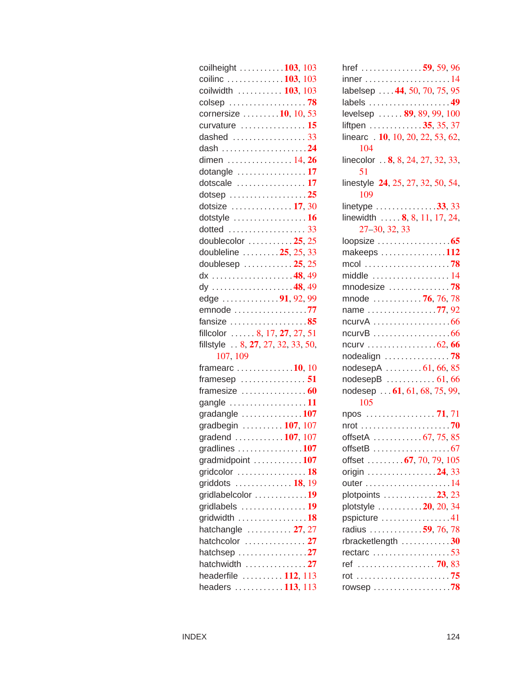| coilheight $\ldots \ldots \ldots 103, 103$        |
|---------------------------------------------------|
| coilinc 103, 103                                  |
| coilwidth  103, 103                               |
|                                                   |
| cornersize $\dots \dots \dots 10$ , 10, 53        |
| curvature  15                                     |
| dashed  33                                        |
|                                                   |
| dimen $\ldots$ 14, 26                             |
| dotangle 17                                       |
| dotscale  17                                      |
|                                                   |
|                                                   |
| dotstyle 16                                       |
| dotted  33                                        |
| doublecolor $\ldots \ldots \ldots 25, 25$         |
| doubleline  25, 25, 33                            |
| doublesep  25, 25                                 |
| $dx$ 48,49                                        |
| dy 48, 49                                         |
| edge 91, 92, 99                                   |
| emnode 77                                         |
| fansize $\ldots$ 85                               |
| fillcolor $\ldots \ldots 8, 17, 27, 27, 51$       |
| fillstyle  8, 27, 27, 32, 33, 50,                 |
| 107, 109                                          |
| framearc $\ldots \ldots \ldots \ldots 10, 10$     |
| framesep $\ldots \ldots \ldots \ldots \ldots 51$  |
| framesize $\ldots \ldots \ldots \ldots 60$        |
| gangle 11                                         |
| gradangle $\ldots$ 107                            |
| gradbegin  107, 107                               |
| gradend 107, 107                                  |
| gradlines 107                                     |
| gradmidpoint $\ldots \ldots \ldots \ldots 107$    |
| gridcolor $\ldots$ 18                             |
| griddots  18, 19                                  |
| gridlabelcolor 19                                 |
| gridlabels $\ldots$ 19                            |
| gridwidth $\ldots \ldots \ldots \ldots \ldots 18$ |
| hatchangle  27, 27                                |
| hatchcolor  27                                    |
| hatchsep 27                                       |
| hatchwidth 27                                     |
| headerfile  112, 113                              |
| headers $\ldots \ldots \ldots \ldots 113, 113$    |
|                                                   |

| href 59, 59, 96                                             |
|-------------------------------------------------------------|
| $inner \ldots \ldots \ldots \ldots \ldots \ldots \ldots 14$ |
| labelsep  44, 50, 70, 75, 95                                |
| labels 49                                                   |
| levelsep  89, 89, 99, 100                                   |
| liftpen 35, 35, 37                                          |
| linearc . 10, 10, 20, 22, 53, 62,                           |
| 104                                                         |
| linecolor $\ldots$ 8, 8, 24, 27, 32, 33,<br>51              |
| linestyle 24, 25, 27, 32, 50, 54,                           |
| 109                                                         |
| linetype 33, 33                                             |
| linewidth $8, 8, 11, 17, 24,$                               |
| $27 - 30, 32, 33$                                           |
| loopsize 65                                                 |
| makeeps 112                                                 |
|                                                             |
| middle 14                                                   |
| mnodesize 78                                                |
| mnode $\ldots \ldots \ldots \ldots 76, 76, 78$              |
| name 77,92                                                  |
| ncurvA 66                                                   |
|                                                             |
|                                                             |
| nodealign 78                                                |
| nodesepA $\ldots \ldots \ldots 61, 66, 85$                  |
| $nodesepB$ 61, 66                                           |
| nodesep  61, 61, 68, 75, 99,                                |
| 105                                                         |
| npos  71,71                                                 |
|                                                             |
| offsetA $\ldots \ldots \ldots \ldots 67, 75, 85$            |
| offsetB $\ldots \ldots \ldots \ldots \ldots \ldots$         |
| offset $\ldots \ldots \ldots 67, 70, 79, 105$               |
| origin 24, 33                                               |
| outer 14                                                    |
| plotpoints 23, 23                                           |
| plotstyle $\ldots \ldots \ldots 20$ , 20, 34                |
| pspicture 41                                                |
| radius 59, 76, 78                                           |
| rbracketlength $\ldots \ldots \ldots \ldots 30$             |
| $rectarc \ldots \ldots \ldots \ldots \ldots 53$             |
|                                                             |
|                                                             |
| rowsep 78                                                   |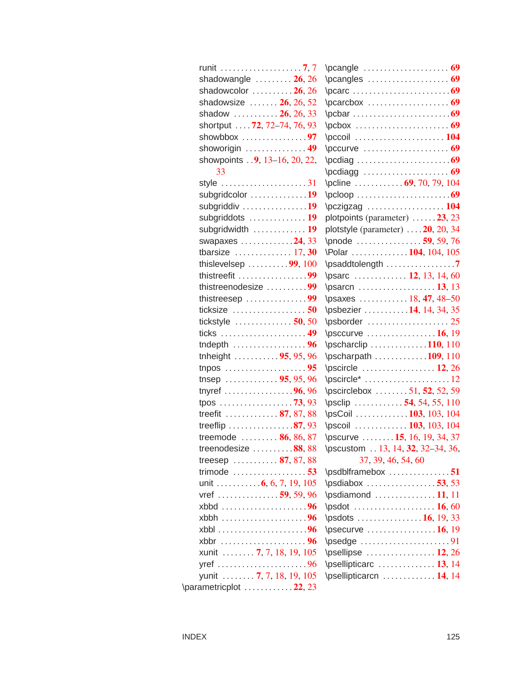| shadowangle $\ldots \ldots \ldots 26, 26$            |  |
|------------------------------------------------------|--|
| shadowcolor $\ldots \ldots \ldots 26, 26$            |  |
| shadowsize $\ldots \ldots 26, 26, 52$                |  |
| shadow  26, 26, 33                                   |  |
| shortput  . 72, 72-74, 76, 93                        |  |
| showbbox $\ldots \ldots \ldots \ldots \ldots$        |  |
| showorigin $\ldots \ldots \ldots \ldots$ . 49        |  |
| showpoints  9, 13-16, 20, 22,                        |  |
| 33                                                   |  |
| style $\ldots \ldots \ldots \ldots \ldots \ldots 31$ |  |
| subgridcolor 19                                      |  |
| subgriddiv 19                                        |  |
| subgriddots  19                                      |  |
| subgridwidth  19                                     |  |
| swapaxes 24, 33                                      |  |
|                                                      |  |
| thislevelsep $\ldots \ldots \ldots$ 99, 100          |  |
| thistreefit $\ldots \ldots \ldots \ldots \ldots$     |  |
| thistreenodesize 99                                  |  |
| thistreesep 99                                       |  |
| ticksize $\ldots \ldots \ldots \ldots \ldots 50$     |  |
| tickstyle $\ldots$ 50, 50                            |  |
|                                                      |  |
| tndepth $\ldots$ 96                                  |  |
| tnheight 95, 95, 96                                  |  |
| tnpos $\ldots \ldots \ldots \ldots \ldots \ldots 95$ |  |
| tnsep  95, 95, 96                                    |  |
| tnyref $\ldots \ldots \ldots \ldots \ldots 96,96$    |  |
| tpos 73, 93                                          |  |
| treefit  87, 87, 88                                  |  |
| treeflip $\ldots \ldots \ldots \ldots 87,93$         |  |
| treemode  86, 86, 87                                 |  |
| treenodesize $\ldots \ldots \ldots 88,88$            |  |
| treesep  87, 87, 88                                  |  |
| trimode $\ldots \ldots \ldots \ldots \ldots 53$      |  |
| unit 6, 6, 7, 19, 105                                |  |
| vref  59, 59, 96                                     |  |
|                                                      |  |
| xbbh 96                                              |  |
|                                                      |  |
|                                                      |  |
| xunit  7, 7, 18, 19, 105                             |  |
|                                                      |  |
| yunit  7, 7, 18, 19, 105                             |  |
| \parametricplot 22, 23                               |  |

| $\boldsymbol{\text{pcdiag}} \dots \boldsymbol{\text{q}}$        |
|-----------------------------------------------------------------|
| $\boldsymbol{\text{pcdiagg}} \dots \boldsymbol{\text{pcdiagg}}$ |
| \pcline  69, 70, 79, 104                                        |
|                                                                 |
| \pczigzag  104                                                  |
| plotpoints (parameter) 23, 23                                   |
| plotstyle (parameter)  . 20, 20, 34                             |
| \pnode  59, 59, 76                                              |
| \Polar 104, 104, 105                                            |
| \psaddtolength 7                                                |
| \psarc  12, 13, 14, 60                                          |
|                                                                 |
| \psaxes 18, 47, 48-50                                           |
| \psbezier 14, 14, 34, 35                                        |
|                                                                 |
| $\text{D}\text{S}\text{C}$                                      |
| $\text{pscharclip} \ldots \ldots \ldots \ldots 110, 110$        |
| \pscharpath 109, 110                                            |
| $\text{pscircle}$ 12, 26                                        |
| $\text{pscircle}^ \dots \dots \dots \dots \dots 12$             |
| \pscirclebox 51, 52, 52, 59                                     |
| $\text{psclip}$ 54, 54, 55, 110                                 |
| \psCoil 103, 103, 104                                           |
| \pscoil  103, 103, 104                                          |
| \pscurve  15, 16, 19, 34, 37                                    |
|                                                                 |
| \pscustom 13, 14, 32, 32-34, 36,                                |
| 37, 39, 46, 54, 60                                              |
| \psdblframebox 51                                               |
| $\psi$ sdiabox 53,53                                            |
| $\psdiamond$ 11, 11                                             |
|                                                                 |
|                                                                 |
| $\text{D}\$                                                     |
|                                                                 |
|                                                                 |
| $\text{V}$ psellipticarc  13, 14<br>\psellipticarcn  14, 14     |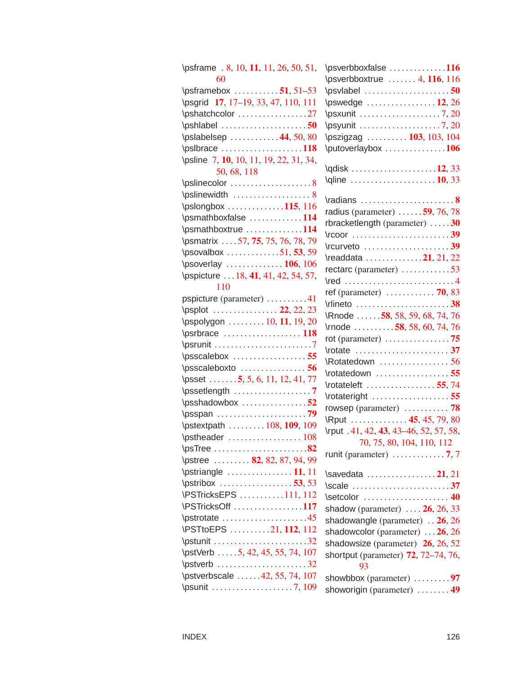| \psframe . 8, 10, 11, 11, 26, 50, 51,           |
|-------------------------------------------------|
| 60                                              |
| $\psframebox \ldots \ldots \enspace .51, 51-53$ |
| \psgrid 17, 17-19, 33, 47, 110, 111             |
| \pshatchcolor 27                                |
| $\Phi$ 50                                       |
| \pslabelsep  44, 50, 80                         |
| $\psi$ slbrace 118                              |
| \psline 7, 10, 10, 11, 19, 22, 31, 34,          |
| 50, 68, 118                                     |
| \pslinecolor 8                                  |
| \pslinewidth  8                                 |
| $\pslongbox \ldots$ 115, 116                    |
| \psmathboxfalse 114                             |
| \psmathboxtrue 114                              |
| \psmatrix 57, 75, 75, 76, 78, 79                |
|                                                 |
| \psoverlay  106, 106                            |
| \pspicture  18, 41, 41, 42, 54, 57,             |
| 110                                             |
| pspicture (parameter) 41                        |
| \psplot  22, 22, 23                             |
| \pspolygon  10, 11, 19, 20                      |
|                                                 |
|                                                 |
|                                                 |
| $\text{D}\text{D}$                              |
| \psset $5, 5, 6, 11, 12, 41, 77$                |
| $\text{D}\text{D}$                              |
| $\psshadowbox \dots \dots \dots \dots 52$       |
|                                                 |
| \pstextpath  108, 109, 109                      |
|                                                 |
| $\psTree \ldots \ldots \ldots$<br>.82           |
| \pstree  82, 82, 87, 94, 99                     |
| $\sqrt{11, 11}$                                 |
| $\sqrt{53}, 53$                                 |
| \PSTricksEPS 111, 112                           |
| \PSTricksOff 117                                |
| \pstrotate 45                                   |
| \PSTtoEPS 21, 112, 112                          |
| $\sqrt{32}$                                     |
| \pstVerb  5, 42, 45, 55, 74, 107                |
| $\sqrt{32}$                                     |
| \pstverbscale 42, 55, 74, 107                   |
| \psunit 7, 109                                  |

| \psverbboxfalse 116                                                                                                                                                                                                                                                                                                                          |
|----------------------------------------------------------------------------------------------------------------------------------------------------------------------------------------------------------------------------------------------------------------------------------------------------------------------------------------------|
| $\text{Vpsverbbo}$ xtrue  4, 116, 116                                                                                                                                                                                                                                                                                                        |
|                                                                                                                                                                                                                                                                                                                                              |
| \pswedge $\ldots$ 12, 26                                                                                                                                                                                                                                                                                                                     |
| $\beta$ . 20                                                                                                                                                                                                                                                                                                                                 |
|                                                                                                                                                                                                                                                                                                                                              |
| \pszigzag  103, 103, 104                                                                                                                                                                                                                                                                                                                     |
| \putoverlaybox 106                                                                                                                                                                                                                                                                                                                           |
|                                                                                                                                                                                                                                                                                                                                              |
| $\qquad \qquad \text{Qline} \ldots \ldots \ldots \ldots \ldots \ldots \qquad \text{10, 33}$                                                                                                                                                                                                                                                  |
|                                                                                                                                                                                                                                                                                                                                              |
|                                                                                                                                                                                                                                                                                                                                              |
| radius (parameter) $\ldots \ldots$ 59, 76, 78                                                                                                                                                                                                                                                                                                |
| rbracketlength (parameter) 30                                                                                                                                                                                                                                                                                                                |
|                                                                                                                                                                                                                                                                                                                                              |
| $\lvert \text{curveto} \ldots \ldots \ldots \ldots \rvert$                                                                                                                                                                                                                                                                                   |
| $\text{Vreaddata}$ 21, 21, 22                                                                                                                                                                                                                                                                                                                |
| rectarc (parameter) $\ldots \ldots \ldots \ldots$                                                                                                                                                                                                                                                                                            |
| $\lvert \mathsf{red} \rvert \ldots \rvert \ldots \rvert \ldots \rvert \ldots \rvert \ldots \rvert \lvert \mathsf{4} \rvert$                                                                                                                                                                                                                  |
| ref (parameter) $\ldots \ldots \ldots$ 70, 83                                                                                                                                                                                                                                                                                                |
| $\lvert$ $\lvert$ $\lvert$ $\lvert$ $\lvert$ $\lvert$ $\lvert$ $\lvert$ $\lvert$ $\lvert$ $\lvert$ $\lvert$ $\lvert$ $\lvert$ $\lvert$ $\lvert$ $\lvert$ $\lvert$ $\lvert$ $\lvert$ $\lvert$ $\lvert$ $\lvert$ $\lvert$ $\lvert$ $\lvert$ $\lvert$ $\lvert$ $\lvert$ $\lvert$ $\lvert$ $\lvert$ $\lvert$ $\lvert$ $\lvert$ $\lvert$ $\lvert$ |
| Rnode 58, 58, 59, 68, 74, 76                                                                                                                                                                                                                                                                                                                 |
| \mode $\ldots \ldots \ldots$ 58, 58, 60, 74, 76                                                                                                                                                                                                                                                                                              |
|                                                                                                                                                                                                                                                                                                                                              |
| \rotate 37                                                                                                                                                                                                                                                                                                                                   |
|                                                                                                                                                                                                                                                                                                                                              |
|                                                                                                                                                                                                                                                                                                                                              |
| Rotatedown  56                                                                                                                                                                                                                                                                                                                               |
| \rotatedown 55                                                                                                                                                                                                                                                                                                                               |
| \rotateleft 55,74                                                                                                                                                                                                                                                                                                                            |
| \rotateright 55                                                                                                                                                                                                                                                                                                                              |
| rowsep (parameter) $\ldots \ldots \ldots$ 78                                                                                                                                                                                                                                                                                                 |
| \Rput  45, 45, 79, 80                                                                                                                                                                                                                                                                                                                        |
| \rput .41, 42, 43, 43–46, 52, 57, 58,                                                                                                                                                                                                                                                                                                        |
| 70, 75, 80, 104, 110, 112<br>runit (parameter) $\ldots \ldots \ldots \ldots$ 7, 7                                                                                                                                                                                                                                                            |
|                                                                                                                                                                                                                                                                                                                                              |
| $\simeq 21, 21$                                                                                                                                                                                                                                                                                                                              |
|                                                                                                                                                                                                                                                                                                                                              |
| Setcolor  40                                                                                                                                                                                                                                                                                                                                 |
| shadow (parameter) $\ldots$ 26, 26, 33                                                                                                                                                                                                                                                                                                       |
| shadowangle (parameter) 26, 26                                                                                                                                                                                                                                                                                                               |
| shadowcolor (parameter) $\dots$ 26, 26                                                                                                                                                                                                                                                                                                       |
| shadowsize (parameter) $26$ , 26, 52                                                                                                                                                                                                                                                                                                         |
| shortput (parameter) 72, 72–74, 76,                                                                                                                                                                                                                                                                                                          |
| 93                                                                                                                                                                                                                                                                                                                                           |
| showbbox (parameter) $\dots \dots \dots$<br>showorigin (parameter)  49                                                                                                                                                                                                                                                                       |